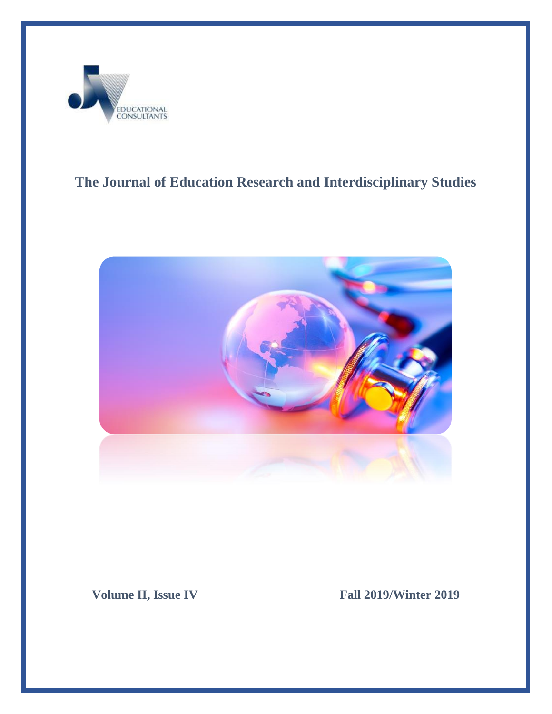

## **The Journal of Education Research and Interdisciplinary Studies**



**Volume II, Issue IV** Fall **2019/Winter 2019**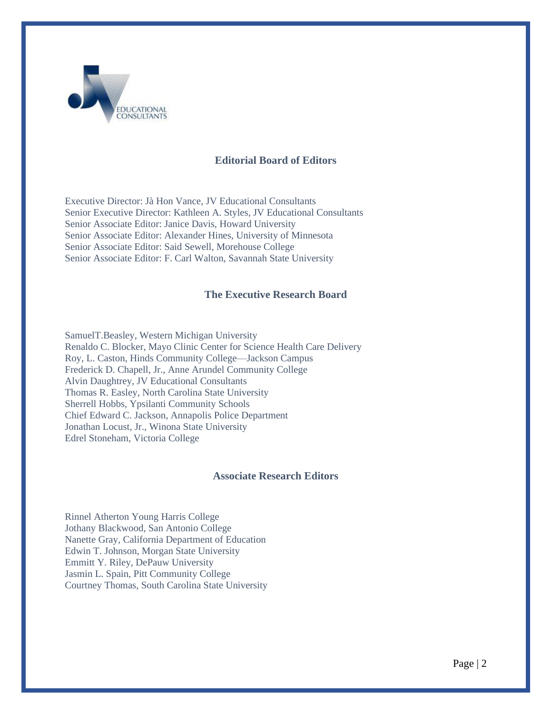

#### **Editorial Board of Editors**

Executive Director: Jà Hon Vance, JV Educational Consultants Senior Executive Director: Kathleen A. Styles, JV Educational Consultants Senior Associate Editor: Janice Davis, Howard University Senior Associate Editor: Alexander Hines, University of Minnesota Senior Associate Editor: Said Sewell, Morehouse College Senior Associate Editor: F. Carl Walton, Savannah State University

#### **The Executive Research Board**

SamuelT.Beasley, Western Michigan University Renaldo C. Blocker, Mayo Clinic Center for Science Health Care Delivery Roy, L. Caston, Hinds Community College—Jackson Campus Frederick D. Chapell, Jr., Anne Arundel Community College Alvin Daughtrey, JV Educational Consultants Thomas R. Easley, North Carolina State University Sherrell Hobbs, Ypsilanti Community Schools Chief Edward C. Jackson, Annapolis Police Department Jonathan Locust, Jr., Winona State University Edrel Stoneham, Victoria College

#### **Associate Research Editors**

Rinnel Atherton Young Harris College Jothany Blackwood, San Antonio College Nanette Gray, California Department of Education Edwin T. Johnson, Morgan State University Emmitt Y. Riley, DePauw University Jasmin L. Spain, Pitt Community College Courtney Thomas, South Carolina State University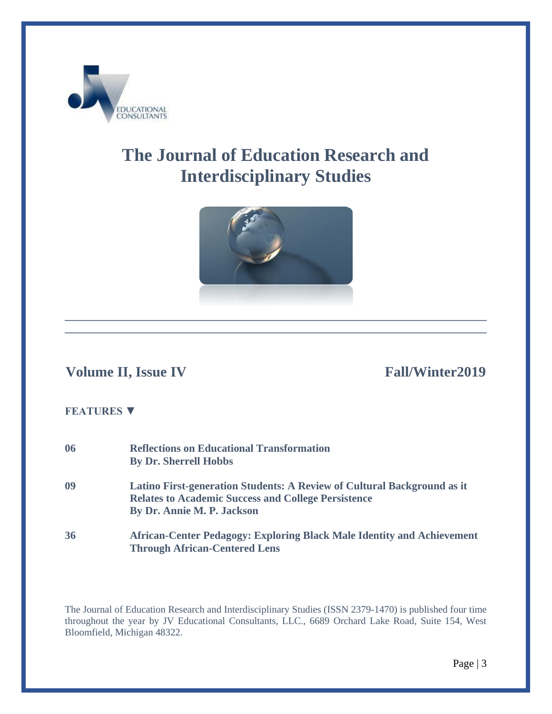

# **The Journal of Education Research and Interdisciplinary Studies**



**\_\_\_\_\_\_\_\_\_\_\_\_\_\_\_\_\_\_\_\_\_\_\_\_\_\_\_\_\_\_\_\_\_\_\_\_\_\_\_\_\_\_\_\_\_\_\_\_\_\_\_\_\_\_\_\_\_\_\_\_\_\_\_\_\_\_\_\_\_\_\_\_\_\_\_\_\_\_**

### **Volume II, Issue IV** Fall/Winter2019

#### **FEATURES ▼**

| 06 | <b>Reflections on Educational Transformation</b><br><b>By Dr. Sherrell Hobbs</b>                                                                                    |
|----|---------------------------------------------------------------------------------------------------------------------------------------------------------------------|
| 09 | Latino First-generation Students: A Review of Cultural Background as it<br><b>Relates to Academic Success and College Persistence</b><br>By Dr. Annie M. P. Jackson |
| 36 | <b>African-Center Pedagogy: Exploring Black Male Identity and Achievement</b><br><b>Through African-Centered Lens</b>                                               |

The Journal of Education Research and Interdisciplinary Studies (ISSN 2379-1470) is published four time throughout the year by JV Educational Consultants, LLC., 6689 Orchard Lake Road, Suite 154, West Bloomfield, Michigan 48322.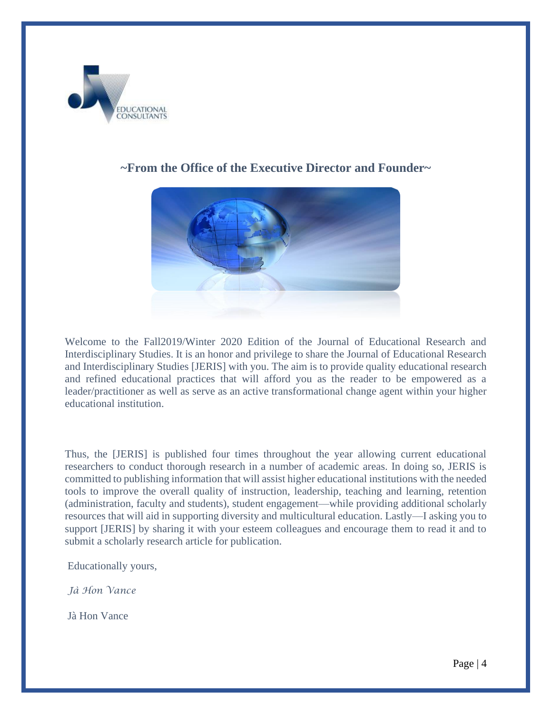

### **~From the Office of the Executive Director and Founder~**

Welcome to the Fall2019/Winter 2020 Edition of the Journal of Educational Research and Interdisciplinary Studies. It is an honor and privilege to share the Journal of Educational Research and Interdisciplinary Studies [JERIS] with you. The aim is to provide quality educational research and refined educational practices that will afford you as the reader to be empowered as a leader/practitioner as well as serve as an active transformational change agent within your higher educational institution.

Thus, the [JERIS] is published four times throughout the year allowing current educational researchers to conduct thorough research in a number of academic areas. In doing so, JERIS is committed to publishing information that will assist higher educational institutions with the needed tools to improve the overall quality of instruction, leadership, teaching and learning, retention (administration, faculty and students), student engagement—while providing additional scholarly resources that will aid in supporting diversity and multicultural education. Lastly—I asking you to support [JERIS] by sharing it with your esteem colleagues and encourage them to read it and to submit a scholarly research article for publication.

Educationally yours,

*Jà Hon Vance*

Jà Hon Vance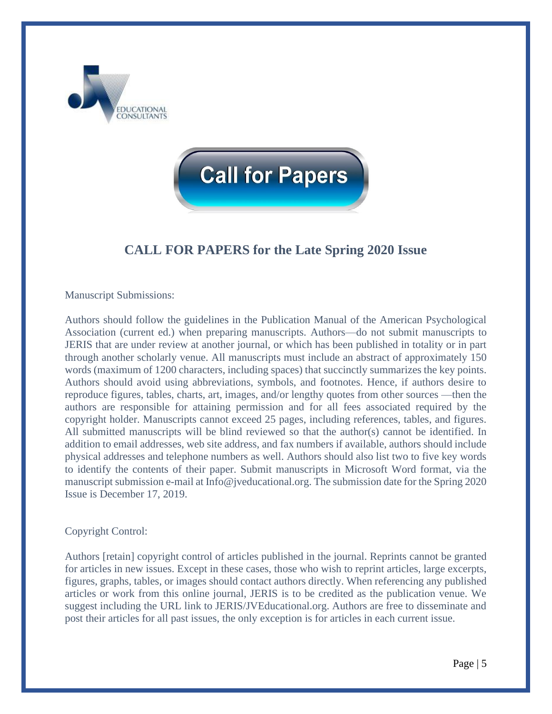



## **CALL FOR PAPERS for the Late Spring 2020 Issue**

#### Manuscript Submissions:

Authors should follow the guidelines in the Publication Manual of the American Psychological Association (current ed.) when preparing manuscripts. Authors—do not submit manuscripts to JERIS that are under review at another journal, or which has been published in totality or in part through another scholarly venue. All manuscripts must include an abstract of approximately 150 words (maximum of 1200 characters, including spaces) that succinctly summarizes the key points. Authors should avoid using abbreviations, symbols, and footnotes. Hence, if authors desire to reproduce figures, tables, charts, art, images, and/or lengthy quotes from other sources —then the authors are responsible for attaining permission and for all fees associated required by the copyright holder. Manuscripts cannot exceed 25 pages, including references, tables, and figures. All submitted manuscripts will be blind reviewed so that the author(s) cannot be identified. In addition to email addresses, web site address, and fax numbers if available, authors should include physical addresses and telephone numbers as well. Authors should also list two to five key words to identify the contents of their paper. Submit manuscripts in Microsoft Word format, via the manuscript submission e-mail at Info@jveducational.org. The submission date for the Spring 2020 Issue is December 17, 2019.

#### Copyright Control:

Authors [retain] copyright control of articles published in the journal. Reprints cannot be granted for articles in new issues. Except in these cases, those who wish to reprint articles, large excerpts, figures, graphs, tables, or images should contact authors directly. When referencing any published articles or work from this online journal, JERIS is to be credited as the publication venue. We suggest including the URL link to JERIS/JVEducational.org. Authors are free to disseminate and post their articles for all past issues, the only exception is for articles in each current issue.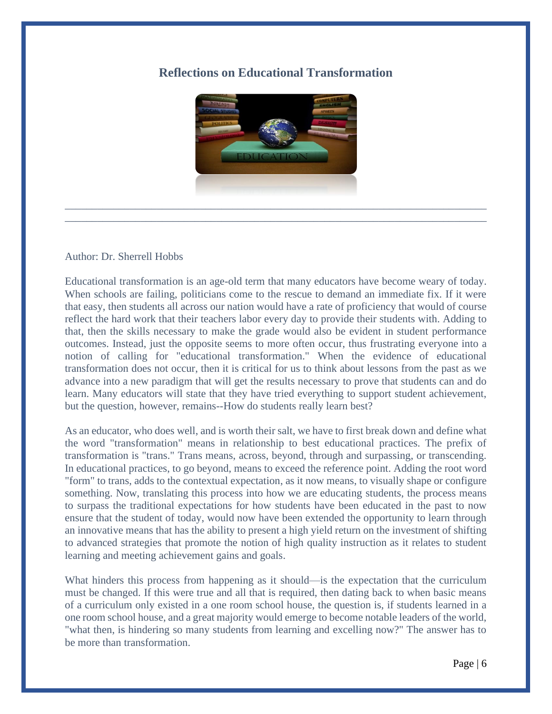### **Reflections on Educational Transformation**



\_\_\_\_\_\_\_\_\_\_\_\_\_\_\_\_\_\_\_\_\_\_\_\_\_\_\_\_\_\_\_\_\_\_\_\_\_\_\_\_\_\_\_\_\_\_\_\_\_\_\_\_\_\_\_\_\_\_\_\_\_\_\_\_\_\_\_\_\_\_\_\_\_\_\_\_\_\_

#### Author: Dr. Sherrell Hobbs

Educational transformation is an age-old term that many educators have become weary of today. When schools are failing, politicians come to the rescue to demand an immediate fix. If it were that easy, then students all across our nation would have a rate of proficiency that would of course reflect the hard work that their teachers labor every day to provide their students with. Adding to that, then the skills necessary to make the grade would also be evident in student performance outcomes. Instead, just the opposite seems to more often occur, thus frustrating everyone into a notion of calling for "educational transformation." When the evidence of educational transformation does not occur, then it is critical for us to think about lessons from the past as we advance into a new paradigm that will get the results necessary to prove that students can and do learn. Many educators will state that they have tried everything to support student achievement, but the question, however, remains--How do students really learn best?

As an educator, who does well, and is worth their salt, we have to first break down and define what the word "transformation" means in relationship to best educational practices. The prefix of transformation is "trans." Trans means, across, beyond, through and surpassing, or transcending. In educational practices, to go beyond, means to exceed the reference point. Adding the root word "form" to trans, adds to the contextual expectation, as it now means, to visually shape or configure something. Now, translating this process into how we are educating students, the process means to surpass the traditional expectations for how students have been educated in the past to now ensure that the student of today, would now have been extended the opportunity to learn through an innovative means that has the ability to present a high yield return on the investment of shifting to advanced strategies that promote the notion of high quality instruction as it relates to student learning and meeting achievement gains and goals.

What hinders this process from happening as it should—is the expectation that the curriculum must be changed. If this were true and all that is required, then dating back to when basic means of a curriculum only existed in a one room school house, the question is, if students learned in a one room school house, and a great majority would emerge to become notable leaders of the world, "what then, is hindering so many students from learning and excelling now?" The answer has to be more than transformation.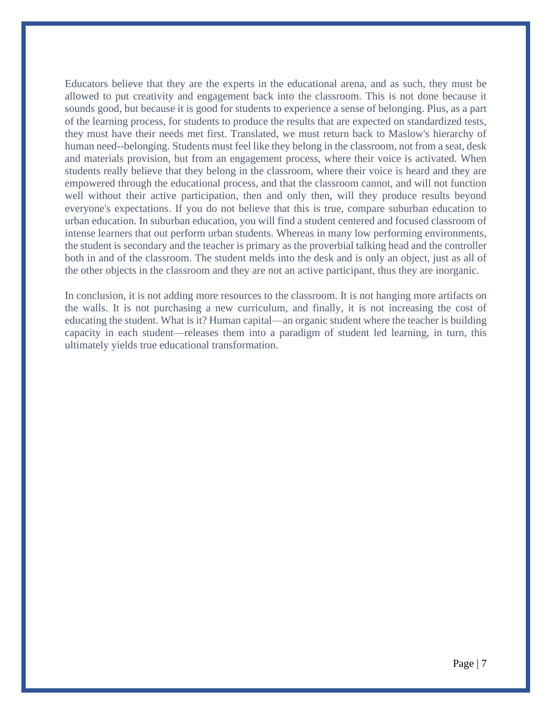Educators believe that they are the experts in the educational arena, and as such, they must be allowed to put creativity and engagement back into the classroom. This is not done because it sounds good, but because it is good for students to experience a sense of belonging. Plus, as a part of the learning process, for students to produce the results that are expected on standardized tests, they must have their needs met first. Translated, we must return back to Maslow's hierarchy of human need--belonging. Students must feel like they belong in the classroom, not from a seat, desk and materials provision, but from an engagement process, where their voice is activated. When students really believe that they belong in the classroom, where their voice is heard and they are empowered through the educational process, and that the classroom cannot, and will not function well without their active participation, then and only then, will they produce results beyond everyone's expectations. If you do not believe that this is true, compare suburban education to urban education. In suburban education, you will find a student centered and focused classroom of intense learners that out perform urban students. Whereas in many low performing environments, the student is secondary and the teacher is primary as the proverbial talking head and the controller both in and of the classroom. The student melds into the desk and is only an object, just as all of the other objects in the classroom and they are not an active participant, thus they are inorganic.

In conclusion, it is not adding more resources to the classroom. It is not hanging more artifacts on the walls. It is not purchasing a new curriculum, and finally, it is not increasing the cost of educating the student. What is it? Human capital—an organic student where the teacher is building capacity in each student—releases them into a paradigm of student led learning, in turn, this ultimately yields true educational transformation.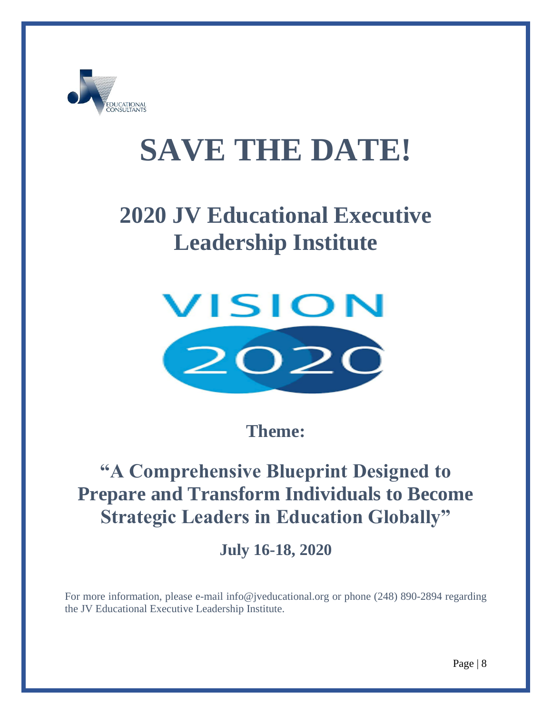

# **SAVE THE DATE!**

# **2020 JV Educational Executive Leadership Institute**



**Theme:**

# **"A Comprehensive Blueprint Designed to Prepare and Transform Individuals to Become Strategic Leaders in Education Globally"**

**July 16-18, 2020**

For more information, please e-mail [info@jveducational.org](mailto:info@jveducational.org) or phone (248) 890-2894 regarding the JV Educational Executive Leadership Institute.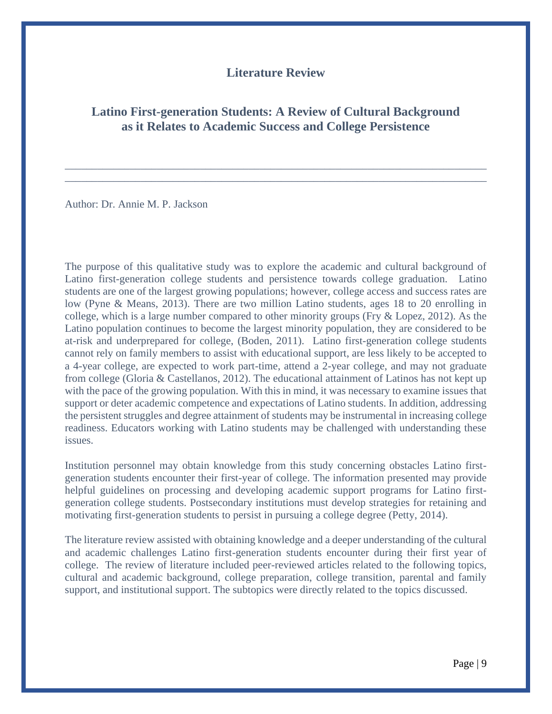#### **Literature Review**

#### **Latino First-generation Students: A Review of Cultural Background as it Relates to Academic Success and College Persistence**

\_\_\_\_\_\_\_\_\_\_\_\_\_\_\_\_\_\_\_\_\_\_\_\_\_\_\_\_\_\_\_\_\_\_\_\_\_\_\_\_\_\_\_\_\_\_\_\_\_\_\_\_\_\_\_\_\_\_\_\_\_\_\_\_\_\_\_\_\_\_\_\_\_\_\_\_\_\_ \_\_\_\_\_\_\_\_\_\_\_\_\_\_\_\_\_\_\_\_\_\_\_\_\_\_\_\_\_\_\_\_\_\_\_\_\_\_\_\_\_\_\_\_\_\_\_\_\_\_\_\_\_\_\_\_\_\_\_\_\_\_\_\_\_\_\_\_\_\_\_\_\_\_\_\_\_\_

Author: Dr. Annie M. P. Jackson

The purpose of this qualitative study was to explore the academic and cultural background of Latino first-generation college students and persistence towards college graduation.Latino students are one of the largest growing populations; however, college access and success rates are low (Pyne & Means, 2013). There are two million Latino students, ages 18 to 20 enrolling in college, which is a large number compared to other minority groups (Fry & Lopez, 2012). As the Latino population continues to become the largest minority population, they are considered to be at-risk and underprepared for college, (Boden, 2011). Latino first-generation college students cannot rely on family members to assist with educational support, are less likely to be accepted to a 4-year college, are expected to work part-time, attend a 2-year college, and may not graduate from college (Gloria & Castellanos, 2012). The educational attainment of Latinos has not kept up with the pace of the growing population. With this in mind, it was necessary to examine issues that support or deter academic competence and expectations of Latino students. In addition, addressing the persistent struggles and degree attainment of students may be instrumental in increasing college readiness. Educators working with Latino students may be challenged with understanding these issues.

Institution personnel may obtain knowledge from this study concerning obstacles Latino firstgeneration students encounter their first-year of college. The information presented may provide helpful guidelines on processing and developing academic support programs for Latino firstgeneration college students. Postsecondary institutions must develop strategies for retaining and motivating first-generation students to persist in pursuing a college degree (Petty, 2014).

The literature review assisted with obtaining knowledge and a deeper understanding of the cultural and academic challenges Latino first-generation students encounter during their first year of college. The review of literature included peer-reviewed articles related to the following topics, cultural and academic background, college preparation, college transition, parental and family support, and institutional support. The subtopics were directly related to the topics discussed.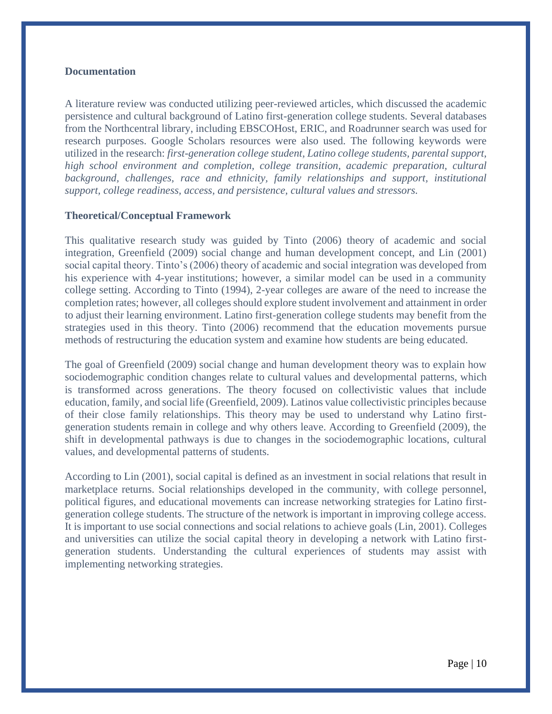#### **Documentation**

A literature review was conducted utilizing peer-reviewed articles, which discussed the academic persistence and cultural background of Latino first-generation college students. Several databases from the Northcentral library, including EBSCOHost, ERIC, and Roadrunner search was used for research purposes. Google Scholars resources were also used. The following keywords were utilized in the research: *first-generation college student, Latino college students, parental support, high school environment and completion, college transition, academic preparation, cultural background, challenges, race and ethnicity, family relationships and support, institutional support, college readiness, access, and persistence, cultural values and stressors.*

#### **Theoretical/Conceptual Framework**

This qualitative research study was guided by Tinto (2006) theory of academic and social integration, Greenfield (2009) social change and human development concept, and Lin (2001) social capital theory. Tinto's (2006) theory of academic and social integration was developed from his experience with 4-year institutions; however, a similar model can be used in a community college setting. According to Tinto (1994), 2-year colleges are aware of the need to increase the completion rates; however, all colleges should explore student involvement and attainment in order to adjust their learning environment. Latino first-generation college students may benefit from the strategies used in this theory. Tinto (2006) recommend that the education movements pursue methods of restructuring the education system and examine how students are being educated.

The goal of Greenfield (2009) social change and human development theory was to explain how sociodemographic condition changes relate to cultural values and developmental patterns, which is transformed across generations. The theory focused on collectivistic values that include education, family, and social life (Greenfield, 2009). Latinos value collectivistic principles because of their close family relationships. This theory may be used to understand why Latino firstgeneration students remain in college and why others leave. According to Greenfield (2009), the shift in developmental pathways is due to changes in the sociodemographic locations, cultural values, and developmental patterns of students.

According to Lin (2001), social capital is defined as an investment in social relations that result in marketplace returns. Social relationships developed in the community, with college personnel, political figures, and educational movements can increase networking strategies for Latino firstgeneration college students. The structure of the network is important in improving college access. It is important to use social connections and social relations to achieve goals (Lin, 2001). Colleges and universities can utilize the social capital theory in developing a network with Latino firstgeneration students. Understanding the cultural experiences of students may assist with implementing networking strategies.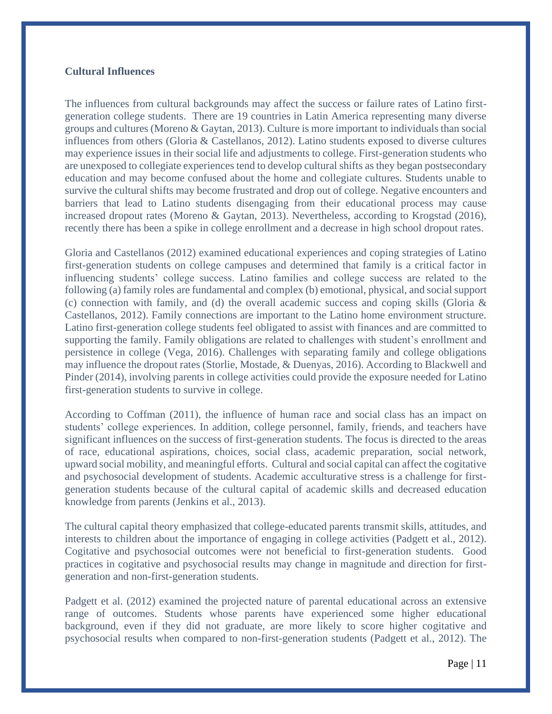#### **Cultural Influences**

The influences from cultural backgrounds may affect the success or failure rates of Latino firstgeneration college students. There are 19 countries in Latin America representing many diverse groups and cultures (Moreno & Gaytan, 2013). Culture is more important to individuals than social influences from others (Gloria & Castellanos, 2012). Latino students exposed to diverse cultures may experience issues in their social life and adjustments to college. First-generation students who are unexposed to collegiate experiences tend to develop cultural shifts as they began postsecondary education and may become confused about the home and collegiate cultures. Students unable to survive the cultural shifts may become frustrated and drop out of college. Negative encounters and barriers that lead to Latino students disengaging from their educational process may cause increased dropout rates (Moreno & Gaytan, 2013). Nevertheless, according to Krogstad (2016), recently there has been a spike in college enrollment and a decrease in high school dropout rates.

Gloria and Castellanos (2012) examined educational experiences and coping strategies of Latino first-generation students on college campuses and determined that family is a critical factor in influencing students' college success. Latino families and college success are related to the following (a) family roles are fundamental and complex (b) emotional, physical, and social support (c) connection with family, and (d) the overall academic success and coping skills (Gloria  $\&$ Castellanos, 2012). Family connections are important to the Latino home environment structure. Latino first-generation college students feel obligated to assist with finances and are committed to supporting the family. Family obligations are related to challenges with student's enrollment and persistence in college (Vega, 2016). Challenges with separating family and college obligations may influence the dropout rates (Storlie, Mostade, & Duenyas, 2016). According to Blackwell and Pinder (2014), involving parents in college activities could provide the exposure needed for Latino first-generation students to survive in college.

According to Coffman (2011), the influence of human race and social class has an impact on students' college experiences. In addition, college personnel, family, friends, and teachers have significant influences on the success of first-generation students. The focus is directed to the areas of race, educational aspirations, choices, social class, academic preparation, social network, upward social mobility, and meaningful efforts. Cultural and social capital can affect the cogitative and psychosocial development of students. Academic acculturative stress is a challenge for firstgeneration students because of the cultural capital of academic skills and decreased education knowledge from parents (Jenkins et al., 2013).

The cultural capital theory emphasized that college-educated parents transmit skills, attitudes, and interests to children about the importance of engaging in college activities (Padgett et al., 2012). Cogitative and psychosocial outcomes were not beneficial to first-generation students. Good practices in cogitative and psychosocial results may change in magnitude and direction for firstgeneration and non-first-generation students.

Padgett et al. (2012) examined the projected nature of parental educational across an extensive range of outcomes. Students whose parents have experienced some higher educational background, even if they did not graduate, are more likely to score higher cogitative and psychosocial results when compared to non-first-generation students (Padgett et al., 2012). The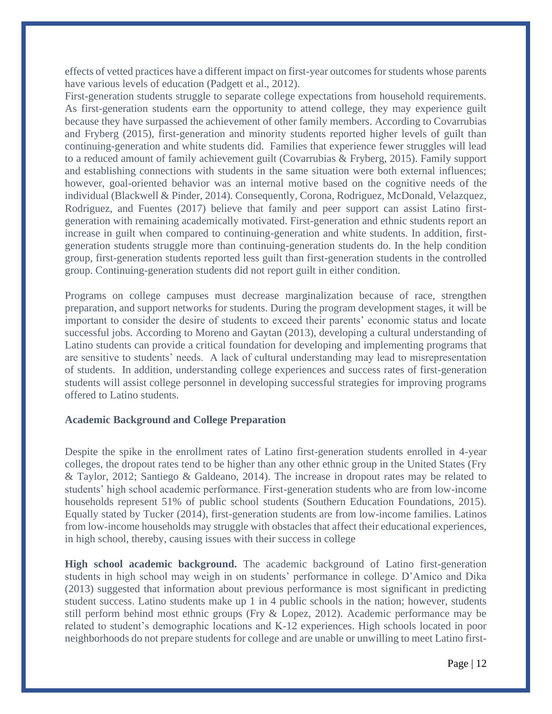effects of vetted practices have a different impact on first-year outcomes for students whose parents have various levels of education (Padgett et al., 2012).

First-generation students struggle to separate college expectations from household requirements. As first-generation students earn the opportunity to attend college, they may experience guilt because they have surpassed the achievement of other family members. According to Covarrubias and Fryberg (2015), first-generation and minority students reported higher levels of guilt than continuing-generation and white students did. Families that experience fewer struggles will lead to a reduced amount of family achievement guilt (Covarrubias & Fryberg, 2015). Family support and establishing connections with students in the same situation were both external influences; however, goal-oriented behavior was an internal motive based on the cognitive needs of the individual (Blackwell & Pinder, 2014). Consequently, Corona, Rodriguez, McDonald, Velazquez, Rodriguez, and Fuentes (2017) believe that family and peer support can assist Latino firstgeneration with remaining academically motivated. First-generation and ethnic students report an increase in guilt when compared to continuing-generation and white students. In addition, firstgeneration students struggle more than continuing-generation students do. In the help condition group, first-generation students reported less guilt than first-generation students in the controlled group. Continuing-generation students did not report guilt in either condition.

Programs on college campuses must decrease marginalization because of race, strengthen preparation, and support networks for students. During the program development stages, it will be important to consider the desire of students to exceed their parents' economic status and locate successful jobs. According to Moreno and Gaytan (2013), developing a cultural understanding of Latino students can provide a critical foundation for developing and implementing programs that are sensitive to students' needs. A lack of cultural understanding may lead to misrepresentation of students. In addition, understanding college experiences and success rates of first-generation students will assist college personnel in developing successful strategies for improving programs offered to Latino students.

#### **Academic Background and College Preparation**

Despite the spike in the enrollment rates of Latino first-generation students enrolled in 4-year colleges, the dropout rates tend to be higher than any other ethnic group in the United States (Fry & Taylor, 2012; Santiego & Galdeano, 2014). The increase in dropout rates may be related to students' high school academic performance. First-generation students who are from low-income households represent 51% of public school students (Southern Education Foundations, 2015). Equally stated by Tucker (2014), first-generation students are from low-income families. Latinos from low-income households may struggle with obstacles that affect their educational experiences, in high school, thereby, causing issues with their success in college

**High school academic background.** The academic background of Latino first-generation students in high school may weigh in on students' performance in college. D'Amico and Dika (2013) suggested that information about previous performance is most significant in predicting student success. Latino students make up 1 in 4 public schools in the nation; however, students still perform behind most ethnic groups (Fry & Lopez, 2012). Academic performance may be related to student's demographic locations and K-12 experiences. High schools located in poor neighborhoods do not prepare students for college and are unable or unwilling to meet Latino first-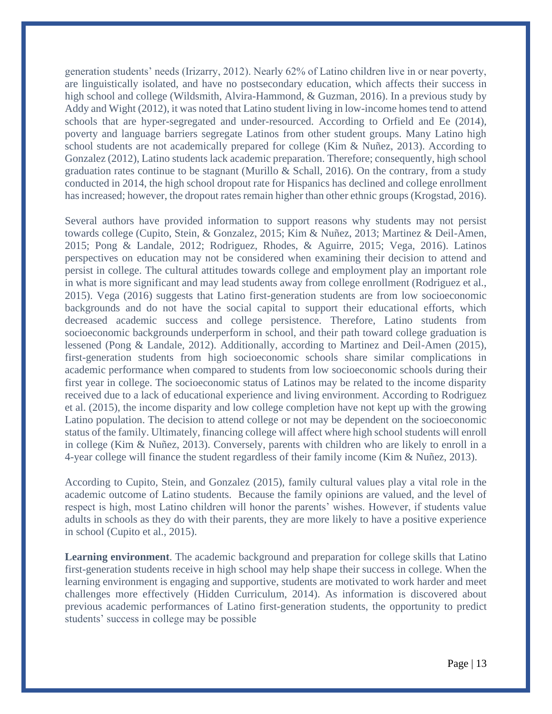generation students' needs (Irizarry, 2012). Nearly 62% of Latino children live in or near poverty, are linguistically isolated, and have no postsecondary education, which affects their success in high school and college (Wildsmith, Alvira-Hammond, & Guzman, 2016). In a previous study by Addy and Wight (2012), it was noted that Latino student living in low-income homes tend to attend schools that are hyper-segregated and under-resourced. According to Orfield and Ee (2014), poverty and language barriers segregate Latinos from other student groups. Many Latino high school students are not academically prepared for college (Kim & Nuñez, 2013). According to Gonzalez (2012), Latino students lack academic preparation. Therefore; consequently, high school graduation rates continue to be stagnant (Murillo & Schall, 2016). On the contrary, from a study conducted in 2014, the high school dropout rate for Hispanics has declined and college enrollment has increased; however, the dropout rates remain higher than other ethnic groups (Krogstad, 2016).

Several authors have provided information to support reasons why students may not persist towards college (Cupito, Stein, & Gonzalez, 2015; Kim & Nuñez, 2013; Martinez & Deil-Amen, 2015; Pong & Landale, 2012; Rodriguez, Rhodes, & Aguirre, 2015; Vega, 2016). Latinos perspectives on education may not be considered when examining their decision to attend and persist in college. The cultural attitudes towards college and employment play an important role in what is more significant and may lead students away from college enrollment (Rodriguez et al., 2015). Vega (2016) suggests that Latino first-generation students are from low socioeconomic backgrounds and do not have the social capital to support their educational efforts, which decreased academic success and college persistence. Therefore, Latino students from socioeconomic backgrounds underperform in school, and their path toward college graduation is lessened (Pong & Landale, 2012). Additionally, according to Martinez and Deil-Amen (2015), first-generation students from high socioeconomic schools share similar complications in academic performance when compared to students from low socioeconomic schools during their first year in college. The socioeconomic status of Latinos may be related to the income disparity received due to a lack of educational experience and living environment. According to Rodriguez et al. (2015), the income disparity and low college completion have not kept up with the growing Latino population. The decision to attend college or not may be dependent on the socioeconomic status of the family. Ultimately, financing college will affect where high school students will enroll in college (Kim & Nuñez, 2013). Conversely, parents with children who are likely to enroll in a 4-year college will finance the student regardless of their family income (Kim & Nuñez, 2013).

According to Cupito, Stein, and Gonzalez (2015), family cultural values play a vital role in the academic outcome of Latino students. Because the family opinions are valued, and the level of respect is high, most Latino children will honor the parents' wishes. However, if students value adults in schools as they do with their parents, they are more likely to have a positive experience in school (Cupito et al., 2015).

**Learning environment**. The academic background and preparation for college skills that Latino first-generation students receive in high school may help shape their success in college. When the learning environment is engaging and supportive, students are motivated to work harder and meet challenges more effectively (Hidden Curriculum, 2014). As information is discovered about previous academic performances of Latino first-generation students, the opportunity to predict students' success in college may be possible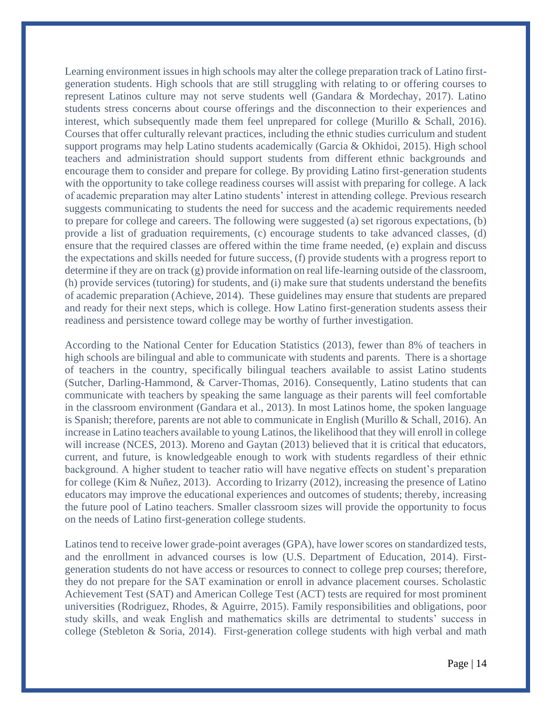Learning environment issues in high schools may alter the college preparation track of Latino firstgeneration students. High schools that are still struggling with relating to or offering courses to represent Latinos culture may not serve students well (Gandara & Mordechay, 2017). Latino students stress concerns about course offerings and the disconnection to their experiences and interest, which subsequently made them feel unprepared for college (Murillo & Schall, 2016). Courses that offer culturally relevant practices, including the ethnic studies curriculum and student support programs may help Latino students academically (Garcia & Okhidoi, 2015). High school teachers and administration should support students from different ethnic backgrounds and encourage them to consider and prepare for college. By providing Latino first-generation students with the opportunity to take college readiness courses will assist with preparing for college. A lack of academic preparation may alter Latino students' interest in attending college. Previous research suggests communicating to students the need for success and the academic requirements needed to prepare for college and careers. The following were suggested (a) set rigorous expectations, (b) provide a list of graduation requirements, (c) encourage students to take advanced classes, (d) ensure that the required classes are offered within the time frame needed, (e) explain and discuss the expectations and skills needed for future success, (f) provide students with a progress report to determine if they are on track (g) provide information on real life-learning outside of the classroom, (h) provide services (tutoring) for students, and (i) make sure that students understand the benefits of academic preparation (Achieve, 2014). These guidelines may ensure that students are prepared and ready for their next steps, which is college. How Latino first-generation students assess their readiness and persistence toward college may be worthy of further investigation.

According to the National Center for Education Statistics (2013), fewer than 8% of teachers in high schools are bilingual and able to communicate with students and parents. There is a shortage of teachers in the country, specifically bilingual teachers available to assist Latino students (Sutcher, Darling-Hammond, & Carver-Thomas, 2016). Consequently, Latino students that can communicate with teachers by speaking the same language as their parents will feel comfortable in the classroom environment (Gandara et al., 2013). In most Latinos home, the spoken language is Spanish; therefore, parents are not able to communicate in English (Murillo & Schall, 2016). An increase in Latino teachers available to young Latinos, the likelihood that they will enroll in college will increase (NCES, 2013). Moreno and Gaytan (2013) believed that it is critical that educators, current, and future, is knowledgeable enough to work with students regardless of their ethnic background. A higher student to teacher ratio will have negative effects on student's preparation for college (Kim & Nuñez, 2013). According to Irizarry (2012), increasing the presence of Latino educators may improve the educational experiences and outcomes of students; thereby, increasing the future pool of Latino teachers. Smaller classroom sizes will provide the opportunity to focus on the needs of Latino first-generation college students.

Latinos tend to receive lower grade-point averages (GPA), have lower scores on standardized tests, and the enrollment in advanced courses is low (U.S. Department of Education, 2014). Firstgeneration students do not have access or resources to connect to college prep courses; therefore, they do not prepare for the SAT examination or enroll in advance placement courses. Scholastic Achievement Test (SAT) and American College Test (ACT) tests are required for most prominent universities (Rodriguez, Rhodes, & Aguirre, 2015). Family responsibilities and obligations, poor study skills, and weak English and mathematics skills are detrimental to students' success in college (Stebleton & Soria, 2014). First-generation college students with high verbal and math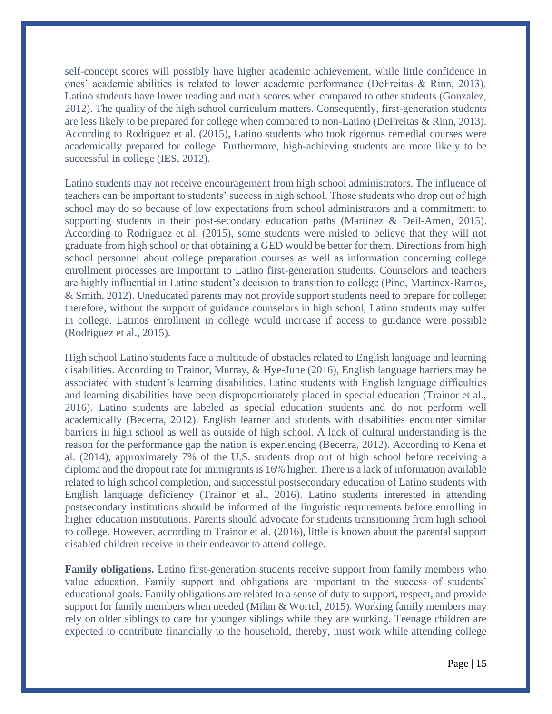self-concept scores will possibly have higher academic achievement, while little confidence in ones' academic abilities is related to lower academic performance (DeFreitas & Rinn, 2013). Latino students have lower reading and math scores when compared to other students (Gonzalez, 2012). The quality of the high school curriculum matters. Consequently, first-generation students are less likely to be prepared for college when compared to non-Latino (DeFreitas & Rinn, 2013). According to Rodriguez et al. (2015), Latino students who took rigorous remedial courses were academically prepared for college. Furthermore, high-achieving students are more likely to be successful in college (IES, 2012).

Latino students may not receive encouragement from high school administrators. The influence of teachers can be important to students' success in high school. Those students who drop out of high school may do so because of low expectations from school administrators and a commitment to supporting students in their post-secondary education paths (Martinez & Deil-Amen, 2015). According to Rodriguez et al. (2015), some students were misled to believe that they will not graduate from high school or that obtaining a GED would be better for them. Directions from high school personnel about college preparation courses as well as information concerning college enrollment processes are important to Latino first-generation students. Counselors and teachers are highly influential in Latino student's decision to transition to college (Pino, Martinex-Ramos, & Smith, 2012). Uneducated parents may not provide support students need to prepare for college; therefore, without the support of guidance counselors in high school, Latino students may suffer in college. Latinos enrollment in college would increase if access to guidance were possible (Rodriguez et al., 2015).

High school Latino students face a multitude of obstacles related to English language and learning disabilities. According to Trainor, Murray, & Hye-June (2016), English language barriers may be associated with student's learning disabilities. Latino students with English language difficulties and learning disabilities have been disproportionately placed in special education (Trainor et al., 2016). Latino students are labeled as special education students and do not perform well academically (Becerra, 2012). English learner and students with disabilities encounter similar barriers in high school as well as outside of high school. A lack of cultural understanding is the reason for the performance gap the nation is experiencing (Becerra, 2012). According to Kena et al. (2014), approximately 7% of the U.S. students drop out of high school before receiving a diploma and the dropout rate for immigrants is 16% higher. There is a lack of information available related to high school completion, and successful postsecondary education of Latino students with English language deficiency (Trainor et al., 2016). Latino students interested in attending postsecondary institutions should be informed of the linguistic requirements before enrolling in higher education institutions. Parents should advocate for students transitioning from high school to college. However, according to Trainor et al. (2016), little is known about the parental support disabled children receive in their endeavor to attend college.

**Family obligations.** Latino first-generation students receive support from family members who value education. Family support and obligations are important to the success of students' educational goals. Family obligations are related to a sense of duty to support, respect, and provide support for family members when needed (Milan & Wortel, 2015). Working family members may rely on older siblings to care for younger siblings while they are working. Teenage children are expected to contribute financially to the household, thereby, must work while attending college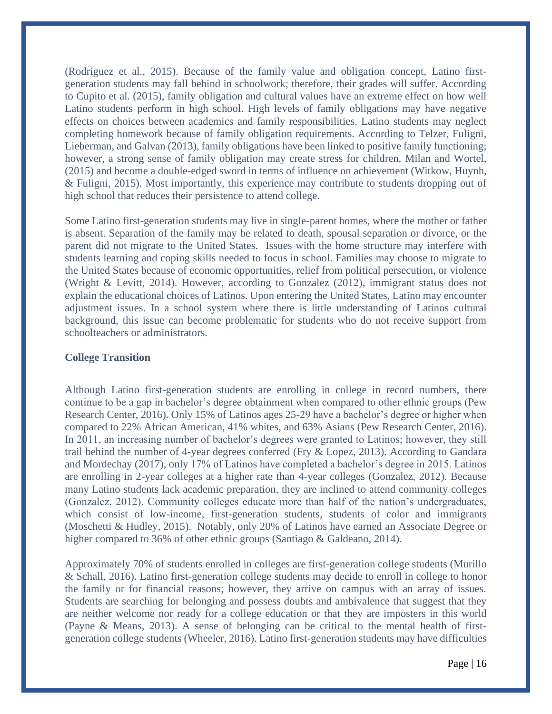(Rodriguez et al., 2015). Because of the family value and obligation concept, Latino firstgeneration students may fall behind in schoolwork; therefore, their grades will suffer. According to Cupito et al. (2015), family obligation and cultural values have an extreme effect on how well Latino students perform in high school. High levels of family obligations may have negative effects on choices between academics and family responsibilities. Latino students may neglect completing homework because of family obligation requirements. According to Telzer, Fuligni, Lieberman, and Galvan (2013), family obligations have been linked to positive family functioning; however, a strong sense of family obligation may create stress for children, Milan and Wortel, (2015) and become a double-edged sword in terms of influence on achievement (Witkow, Huynh, & Fuligni, 2015). Most importantly, this experience may contribute to students dropping out of high school that reduces their persistence to attend college.

Some Latino first-generation students may live in single-parent homes, where the mother or father is absent. Separation of the family may be related to death, spousal separation or divorce, or the parent did not migrate to the United States. Issues with the home structure may interfere with students learning and coping skills needed to focus in school. Families may choose to migrate to the United States because of economic opportunities, relief from political persecution, or violence (Wright & Levitt, 2014). However, according to Gonzalez (2012), immigrant status does not explain the educational choices of Latinos. Upon entering the United States, Latino may encounter adjustment issues. In a school system where there is little understanding of Latinos cultural background, this issue can become problematic for students who do not receive support from schoolteachers or administrators.

#### **College Transition**

Although Latino first-generation students are enrolling in college in record numbers, there continue to be a gap in bachelor's degree obtainment when compared to other ethnic groups (Pew Research Center, 2016). Only 15% of Latinos ages 25-29 have a bachelor's degree or higher when compared to 22% African American, 41% whites, and 63% Asians (Pew Research Center, 2016). In 2011, an increasing number of bachelor's degrees were granted to Latinos; however, they still trail behind the number of 4-year degrees conferred (Fry & Lopez, 2013). According to Gandara and Mordechay (2017), only 17% of Latinos have completed a bachelor's degree in 2015. Latinos are enrolling in 2-year colleges at a higher rate than 4-year colleges (Gonzalez, 2012). Because many Latino students lack academic preparation, they are inclined to attend community colleges (Gonzalez, 2012). Community colleges educate more than half of the nation's undergraduates, which consist of low-income, first-generation students, students of color and immigrants (Moschetti & Hudley, 2015). Notably, only 20% of Latinos have earned an Associate Degree or higher compared to 36% of other ethnic groups (Santiago & Galdeano, 2014).

Approximately 70% of students enrolled in colleges are first-generation college students (Murillo & Schall, 2016). Latino first-generation college students may decide to enroll in college to honor the family or for financial reasons; however, they arrive on campus with an array of issues. Students are searching for belonging and possess doubts and ambivalence that suggest that they are neither welcome nor ready for a college education or that they are imposters in this world (Payne & Means, 2013). A sense of belonging can be critical to the mental health of firstgeneration college students (Wheeler, 2016). Latino first-generation students may have difficulties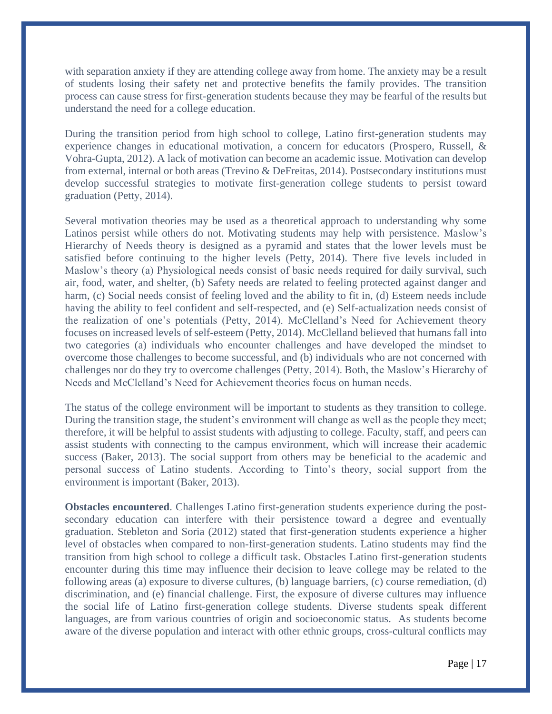with separation anxiety if they are attending college away from home. The anxiety may be a result of students losing their safety net and protective benefits the family provides. The transition process can cause stress for first-generation students because they may be fearful of the results but understand the need for a college education.

During the transition period from high school to college, Latino first-generation students may experience changes in educational motivation, a concern for educators (Prospero, Russell, & Vohra-Gupta, 2012). A lack of motivation can become an academic issue. Motivation can develop from external, internal or both areas (Trevino & DeFreitas, 2014). Postsecondary institutions must develop successful strategies to motivate first-generation college students to persist toward graduation (Petty, 2014).

Several motivation theories may be used as a theoretical approach to understanding why some Latinos persist while others do not. Motivating students may help with persistence. Maslow's Hierarchy of Needs theory is designed as a pyramid and states that the lower levels must be satisfied before continuing to the higher levels (Petty, 2014). There five levels included in Maslow's theory (a) Physiological needs consist of basic needs required for daily survival, such air, food, water, and shelter, (b) Safety needs are related to feeling protected against danger and harm, (c) Social needs consist of feeling loved and the ability to fit in, (d) Esteem needs include having the ability to feel confident and self-respected, and (e) Self-actualization needs consist of the realization of one's potentials (Petty, 2014). McClelland's Need for Achievement theory focuses on increased levels of self-esteem (Petty, 2014). McClelland believed that humans fall into two categories (a) individuals who encounter challenges and have developed the mindset to overcome those challenges to become successful, and (b) individuals who are not concerned with challenges nor do they try to overcome challenges (Petty, 2014). Both, the Maslow's Hierarchy of Needs and McClelland's Need for Achievement theories focus on human needs.

The status of the college environment will be important to students as they transition to college. During the transition stage, the student's environment will change as well as the people they meet; therefore, it will be helpful to assist students with adjusting to college. Faculty, staff, and peers can assist students with connecting to the campus environment, which will increase their academic success (Baker, 2013). The social support from others may be beneficial to the academic and personal success of Latino students. According to Tinto's theory, social support from the environment is important (Baker, 2013).

**Obstacles encountered**. Challenges Latino first-generation students experience during the postsecondary education can interfere with their persistence toward a degree and eventually graduation. Stebleton and Soria (2012) stated that first-generation students experience a higher level of obstacles when compared to non-first-generation students. Latino students may find the transition from high school to college a difficult task. Obstacles Latino first-generation students encounter during this time may influence their decision to leave college may be related to the following areas (a) exposure to diverse cultures, (b) language barriers, (c) course remediation, (d) discrimination, and (e) financial challenge. First, the exposure of diverse cultures may influence the social life of Latino first-generation college students. Diverse students speak different languages, are from various countries of origin and socioeconomic status. As students become aware of the diverse population and interact with other ethnic groups, cross-cultural conflicts may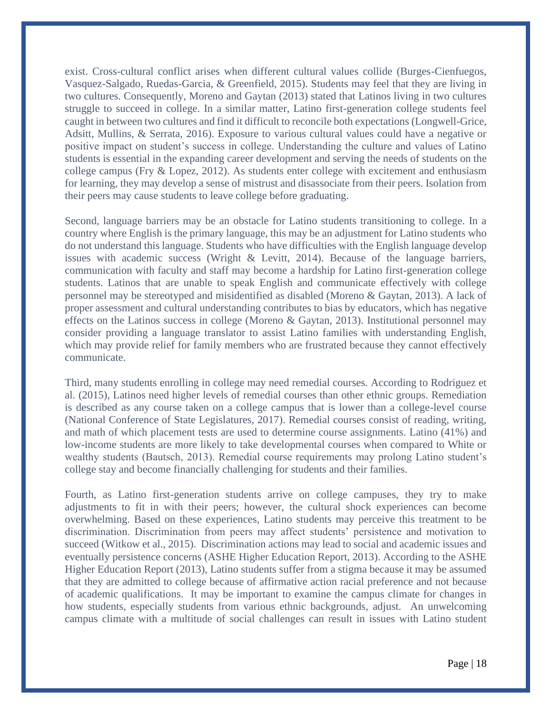exist. Cross-cultural conflict arises when different cultural values collide (Burges-Cienfuegos, Vasquez-Salgado, Ruedas-Garcia, & Greenfield, 2015). Students may feel that they are living in two cultures. Consequently, Moreno and Gaytan (2013) stated that Latinos living in two cultures struggle to succeed in college. In a similar matter, Latino first-generation college students feel caught in between two cultures and find it difficult to reconcile both expectations (Longwell-Grice, Adsitt, Mullins, & Serrata, 2016). Exposure to various cultural values could have a negative or positive impact on student's success in college. Understanding the culture and values of Latino students is essential in the expanding career development and serving the needs of students on the college campus (Fry & Lopez, 2012). As students enter college with excitement and enthusiasm for learning, they may develop a sense of mistrust and disassociate from their peers. Isolation from their peers may cause students to leave college before graduating.

Second, language barriers may be an obstacle for Latino students transitioning to college. In a country where English is the primary language, this may be an adjustment for Latino students who do not understand this language. Students who have difficulties with the English language develop issues with academic success (Wright & Levitt, 2014). Because of the language barriers, communication with faculty and staff may become a hardship for Latino first-generation college students. Latinos that are unable to speak English and communicate effectively with college personnel may be stereotyped and misidentified as disabled (Moreno & Gaytan, 2013). A lack of proper assessment and cultural understanding contributes to bias by educators, which has negative effects on the Latinos success in college (Moreno & Gaytan, 2013). Institutional personnel may consider providing a language translator to assist Latino families with understanding English, which may provide relief for family members who are frustrated because they cannot effectively communicate.

Third, many students enrolling in college may need remedial courses. According to Rodriguez et al. (2015), Latinos need higher levels of remedial courses than other ethnic groups. Remediation is described as any course taken on a college campus that is lower than a college-level course (National Conference of State Legislatures, 2017). Remedial courses consist of reading, writing, and math of which placement tests are used to determine course assignments. Latino (41%) and low-income students are more likely to take developmental courses when compared to White or wealthy students (Bautsch, 2013). Remedial course requirements may prolong Latino student's college stay and become financially challenging for students and their families.

Fourth, as Latino first-generation students arrive on college campuses, they try to make adjustments to fit in with their peers; however, the cultural shock experiences can become overwhelming. Based on these experiences, Latino students may perceive this treatment to be discrimination. Discrimination from peers may affect students' persistence and motivation to succeed (Witkow et al., 2015). Discrimination actions may lead to social and academic issues and eventually persistence concerns (ASHE Higher Education Report, 2013). According to the ASHE Higher Education Report (2013), Latino students suffer from a stigma because it may be assumed that they are admitted to college because of affirmative action racial preference and not because of academic qualifications. It may be important to examine the campus climate for changes in how students, especially students from various ethnic backgrounds, adjust. An unwelcoming campus climate with a multitude of social challenges can result in issues with Latino student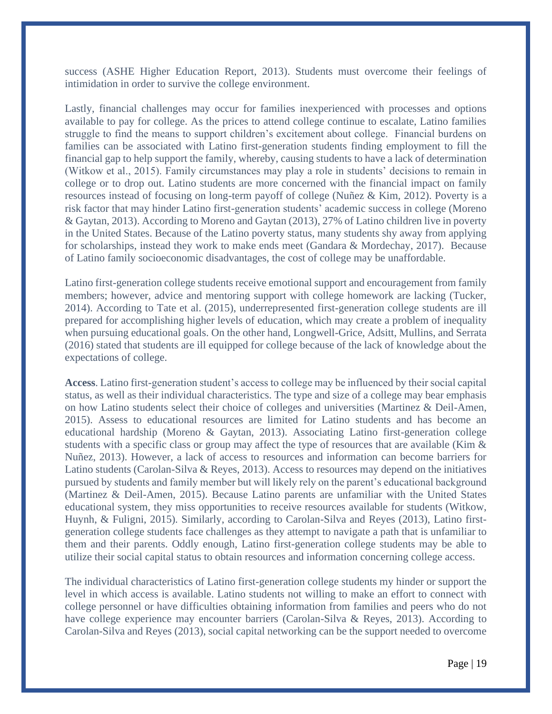success (ASHE Higher Education Report, 2013). Students must overcome their feelings of intimidation in order to survive the college environment.

Lastly, financial challenges may occur for families inexperienced with processes and options available to pay for college. As the prices to attend college continue to escalate, Latino families struggle to find the means to support children's excitement about college. Financial burdens on families can be associated with Latino first-generation students finding employment to fill the financial gap to help support the family, whereby, causing students to have a lack of determination (Witkow et al., 2015). Family circumstances may play a role in students' decisions to remain in college or to drop out. Latino students are more concerned with the financial impact on family resources instead of focusing on long-term payoff of college (Nuñez & Kim, 2012). Poverty is a risk factor that may hinder Latino first-generation students' academic success in college (Moreno & Gaytan, 2013). According to Moreno and Gaytan (2013), 27% of Latino children live in poverty in the United States. Because of the Latino poverty status, many students shy away from applying for scholarships, instead they work to make ends meet (Gandara & Mordechay, 2017). Because of Latino family socioeconomic disadvantages, the cost of college may be unaffordable.

Latino first-generation college students receive emotional support and encouragement from family members; however, advice and mentoring support with college homework are lacking (Tucker, 2014). According to Tate et al. (2015), underrepresented first-generation college students are ill prepared for accomplishing higher levels of education, which may create a problem of inequality when pursuing educational goals. On the other hand, Longwell-Grice, Adsitt, Mullins, and Serrata (2016) stated that students are ill equipped for college because of the lack of knowledge about the expectations of college.

**Access**. Latino first-generation student's access to college may be influenced by their social capital status, as well as their individual characteristics. The type and size of a college may bear emphasis on how Latino students select their choice of colleges and universities (Martinez & Deil-Amen, 2015). Assess to educational resources are limited for Latino students and has become an educational hardship (Moreno & Gaytan, 2013). Associating Latino first-generation college students with a specific class or group may affect the type of resources that are available (Kim  $\&$ Nuñez, 2013). However, a lack of access to resources and information can become barriers for Latino students (Carolan-Silva & Reyes, 2013). Access to resources may depend on the initiatives pursued by students and family member but will likely rely on the parent's educational background (Martinez & Deil-Amen, 2015). Because Latino parents are unfamiliar with the United States educational system, they miss opportunities to receive resources available for students (Witkow, Huynh, & Fuligni, 2015). Similarly, according to Carolan-Silva and Reyes (2013), Latino firstgeneration college students face challenges as they attempt to navigate a path that is unfamiliar to them and their parents. Oddly enough, Latino first-generation college students may be able to utilize their social capital status to obtain resources and information concerning college access.

The individual characteristics of Latino first-generation college students my hinder or support the level in which access is available. Latino students not willing to make an effort to connect with college personnel or have difficulties obtaining information from families and peers who do not have college experience may encounter barriers (Carolan-Silva & Reyes, 2013). According to Carolan-Silva and Reyes (2013), social capital networking can be the support needed to overcome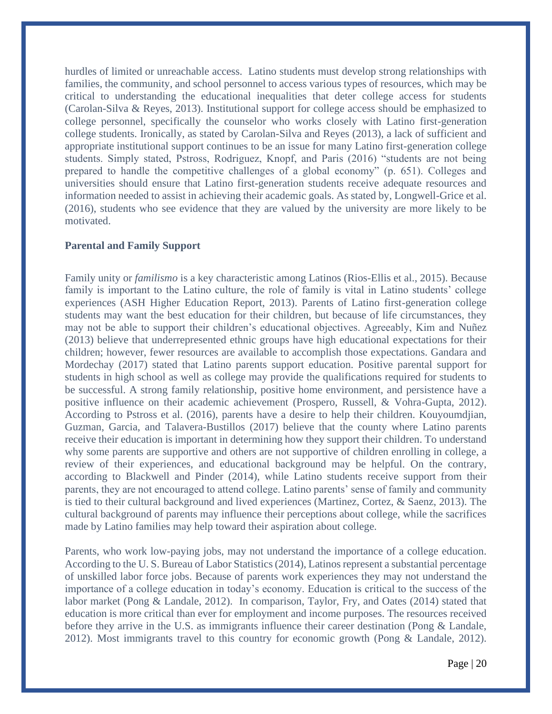hurdles of limited or unreachable access. Latino students must develop strong relationships with families, the community, and school personnel to access various types of resources, which may be critical to understanding the educational inequalities that deter college access for students (Carolan-Silva & Reyes, 2013). Institutional support for college access should be emphasized to college personnel, specifically the counselor who works closely with Latino first-generation college students. Ironically, as stated by Carolan-Silva and Reyes (2013), a lack of sufficient and appropriate institutional support continues to be an issue for many Latino first-generation college students. Simply stated, Pstross, Rodriguez, Knopf, and Paris (2016) "students are not being prepared to handle the competitive challenges of a global economy" (p. 651). Colleges and universities should ensure that Latino first-generation students receive adequate resources and information needed to assist in achieving their academic goals. As stated by, Longwell-Grice et al. (2016), students who see evidence that they are valued by the university are more likely to be motivated.

#### **Parental and Family Support**

Family unity or *familismo* is a key characteristic among Latinos (Rios-Ellis et al., 2015). Because family is important to the Latino culture, the role of family is vital in Latino students' college experiences (ASH Higher Education Report, 2013). Parents of Latino first-generation college students may want the best education for their children, but because of life circumstances, they may not be able to support their children's educational objectives. Agreeably, Kim and Nuñez (2013) believe that underrepresented ethnic groups have high educational expectations for their children; however, fewer resources are available to accomplish those expectations. Gandara and Mordechay (2017) stated that Latino parents support education. Positive parental support for students in high school as well as college may provide the qualifications required for students to be successful. A strong family relationship, positive home environment, and persistence have a positive influence on their academic achievement (Prospero, Russell, & Vohra-Gupta, 2012). According to Pstross et al. (2016), parents have a desire to help their children. Kouyoumdjian, Guzman, Garcia, and Talavera-Bustillos (2017) believe that the county where Latino parents receive their education is important in determining how they support their children. To understand why some parents are supportive and others are not supportive of children enrolling in college, a review of their experiences, and educational background may be helpful. On the contrary, according to Blackwell and Pinder (2014), while Latino students receive support from their parents, they are not encouraged to attend college. Latino parents' sense of family and community is tied to their cultural background and lived experiences (Martinez, Cortez, & Saenz, 2013). The cultural background of parents may influence their perceptions about college, while the sacrifices made by Latino families may help toward their aspiration about college.

Parents, who work low-paying jobs, may not understand the importance of a college education. According to the U. S. Bureau of Labor Statistics (2014), Latinos represent a substantial percentage of unskilled labor force jobs. Because of parents work experiences they may not understand the importance of a college education in today's economy. Education is critical to the success of the labor market (Pong & Landale, 2012). In comparison, Taylor, Fry, and Oates (2014) stated that education is more critical than ever for employment and income purposes. The resources received before they arrive in the U.S. as immigrants influence their career destination (Pong & Landale, 2012). Most immigrants travel to this country for economic growth (Pong & Landale, 2012).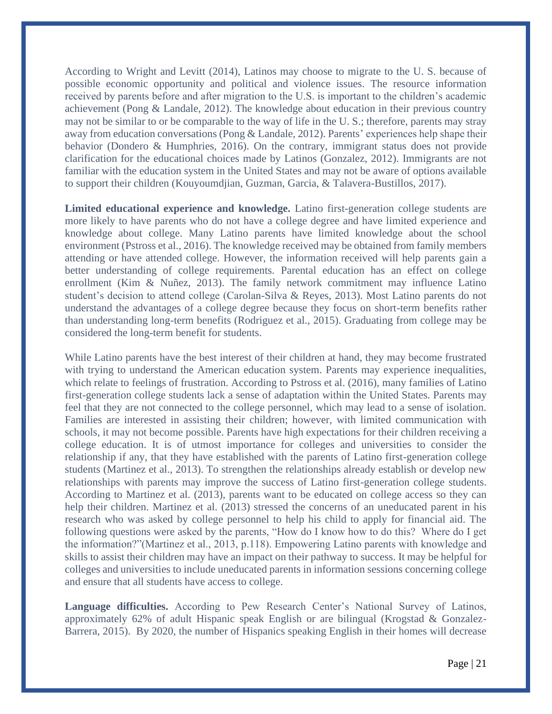According to Wright and Levitt (2014), Latinos may choose to migrate to the U. S. because of possible economic opportunity and political and violence issues. The resource information received by parents before and after migration to the U.S. is important to the children's academic achievement (Pong & Landale, 2012). The knowledge about education in their previous country may not be similar to or be comparable to the way of life in the U. S.; therefore, parents may stray away from education conversations (Pong & Landale, 2012). Parents' experiences help shape their behavior (Dondero & Humphries, 2016). On the contrary, immigrant status does not provide clarification for the educational choices made by Latinos (Gonzalez, 2012). Immigrants are not familiar with the education system in the United States and may not be aware of options available to support their children (Kouyoumdjian, Guzman, Garcia, & Talavera-Bustillos, 2017).

**Limited educational experience and knowledge.** Latino first-generation college students are more likely to have parents who do not have a college degree and have limited experience and knowledge about college. Many Latino parents have limited knowledge about the school environment (Pstross et al., 2016). The knowledge received may be obtained from family members attending or have attended college. However, the information received will help parents gain a better understanding of college requirements. Parental education has an effect on college enrollment (Kim & Nuñez, 2013). The family network commitment may influence Latino student's decision to attend college (Carolan-Silva & Reyes, 2013). Most Latino parents do not understand the advantages of a college degree because they focus on short-term benefits rather than understanding long-term benefits (Rodriguez et al., 2015). Graduating from college may be considered the long-term benefit for students.

While Latino parents have the best interest of their children at hand, they may become frustrated with trying to understand the American education system. Parents may experience inequalities, which relate to feelings of frustration. According to Pstross et al. (2016), many families of Latino first-generation college students lack a sense of adaptation within the United States. Parents may feel that they are not connected to the college personnel, which may lead to a sense of isolation. Families are interested in assisting their children; however, with limited communication with schools, it may not become possible. Parents have high expectations for their children receiving a college education. It is of utmost importance for colleges and universities to consider the relationship if any, that they have established with the parents of Latino first-generation college students (Martinez et al., 2013). To strengthen the relationships already establish or develop new relationships with parents may improve the success of Latino first-generation college students. According to Martinez et al. (2013), parents want to be educated on college access so they can help their children. Martinez et al. (2013) stressed the concerns of an uneducated parent in his research who was asked by college personnel to help his child to apply for financial aid. The following questions were asked by the parents, "How do I know how to do this? Where do I get the information?"(Martinez et al., 2013, p.118). Empowering Latino parents with knowledge and skills to assist their children may have an impact on their pathway to success. It may be helpful for colleges and universities to include uneducated parents in information sessions concerning college and ensure that all students have access to college.

**Language difficulties.** According to Pew Research Center's National Survey of Latinos, approximately 62% of adult Hispanic speak English or are bilingual (Krogstad & Gonzalez-Barrera, 2015). By 2020, the number of Hispanics speaking English in their homes will decrease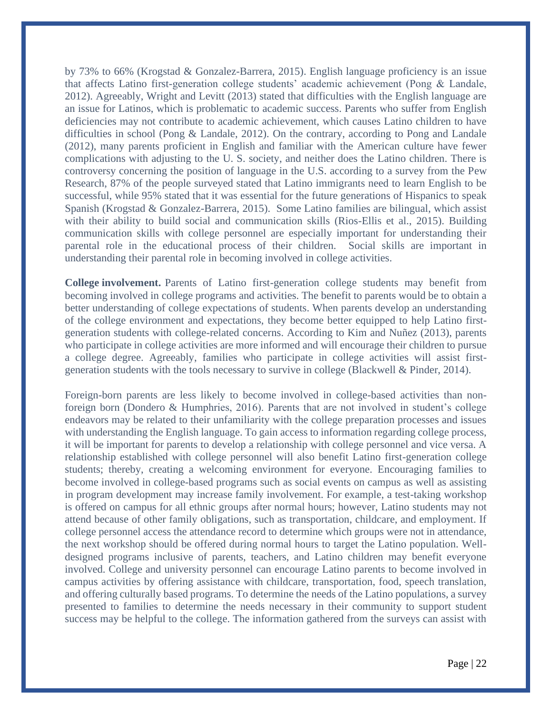by 73% to 66% (Krogstad & Gonzalez-Barrera, 2015). English language proficiency is an issue that affects Latino first-generation college students' academic achievement (Pong & Landale, 2012). Agreeably, Wright and Levitt (2013) stated that difficulties with the English language are an issue for Latinos, which is problematic to academic success. Parents who suffer from English deficiencies may not contribute to academic achievement, which causes Latino children to have difficulties in school (Pong & Landale, 2012). On the contrary, according to Pong and Landale (2012), many parents proficient in English and familiar with the American culture have fewer complications with adjusting to the U. S. society, and neither does the Latino children. There is controversy concerning the position of language in the U.S. according to a survey from the Pew Research, 87% of the people surveyed stated that Latino immigrants need to learn English to be successful, while 95% stated that it was essential for the future generations of Hispanics to speak Spanish (Krogstad & Gonzalez-Barrera, 2015). Some Latino families are bilingual, which assist with their ability to build social and communication skills (Rios-Ellis et al., 2015). Building communication skills with college personnel are especially important for understanding their parental role in the educational process of their children. Social skills are important in understanding their parental role in becoming involved in college activities.

**College involvement.** Parents of Latino first-generation college students may benefit from becoming involved in college programs and activities. The benefit to parents would be to obtain a better understanding of college expectations of students. When parents develop an understanding of the college environment and expectations, they become better equipped to help Latino firstgeneration students with college-related concerns. According to Kim and Nuñez (2013), parents who participate in college activities are more informed and will encourage their children to pursue a college degree. Agreeably, families who participate in college activities will assist firstgeneration students with the tools necessary to survive in college (Blackwell & Pinder, 2014).

Foreign-born parents are less likely to become involved in college-based activities than nonforeign born (Dondero & Humphries, 2016). Parents that are not involved in student's college endeavors may be related to their unfamiliarity with the college preparation processes and issues with understanding the English language. To gain access to information regarding college process, it will be important for parents to develop a relationship with college personnel and vice versa. A relationship established with college personnel will also benefit Latino first-generation college students; thereby, creating a welcoming environment for everyone. Encouraging families to become involved in college-based programs such as social events on campus as well as assisting in program development may increase family involvement. For example, a test-taking workshop is offered on campus for all ethnic groups after normal hours; however, Latino students may not attend because of other family obligations, such as transportation, childcare, and employment. If college personnel access the attendance record to determine which groups were not in attendance, the next workshop should be offered during normal hours to target the Latino population. Welldesigned programs inclusive of parents, teachers, and Latino children may benefit everyone involved. College and university personnel can encourage Latino parents to become involved in campus activities by offering assistance with childcare, transportation, food, speech translation, and offering culturally based programs. To determine the needs of the Latino populations, a survey presented to families to determine the needs necessary in their community to support student success may be helpful to the college. The information gathered from the surveys can assist with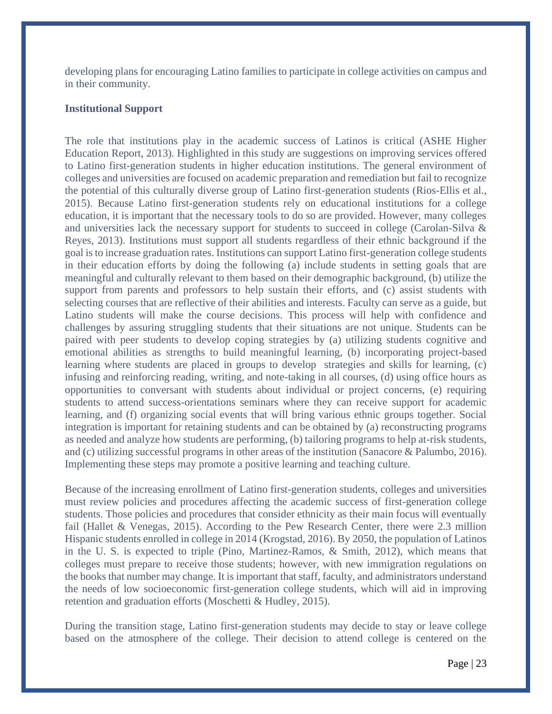developing plans for encouraging Latino families to participate in college activities on campus and in their community.

#### **Institutional Support**

The role that institutions play in the academic success of Latinos is critical (ASHE Higher Education Report, 2013). Highlighted in this study are suggestions on improving services offered to Latino first-generation students in higher education institutions. The general environment of colleges and universities are focused on academic preparation and remediation but fail to recognize the potential of this culturally diverse group of Latino first-generation students (Rios-Ellis et al., 2015). Because Latino first-generation students rely on educational institutions for a college education, it is important that the necessary tools to do so are provided. However, many colleges and universities lack the necessary support for students to succeed in college (Carolan-Silva & Reyes, 2013). Institutions must support all students regardless of their ethnic background if the goal is to increase graduation rates. Institutions can support Latino first-generation college students in their education efforts by doing the following (a) include students in setting goals that are meaningful and culturally relevant to them based on their demographic background, (b) utilize the support from parents and professors to help sustain their efforts, and (c) assist students with selecting courses that are reflective of their abilities and interests. Faculty can serve as a guide, but Latino students will make the course decisions. This process will help with confidence and challenges by assuring struggling students that their situations are not unique. Students can be paired with peer students to develop coping strategies by (a) utilizing students cognitive and emotional abilities as strengths to build meaningful learning, (b) incorporating project-based learning where students are placed in groups to develop strategies and skills for learning, (c) infusing and reinforcing reading, writing, and note-taking in all courses, (d) using office hours as opportunities to conversant with students about individual or project concerns, (e) requiring students to attend success-orientations seminars where they can receive support for academic learning, and (f) organizing social events that will bring various ethnic groups together. Social integration is important for retaining students and can be obtained by (a) reconstructing programs as needed and analyze how students are performing, (b) tailoring programs to help at-risk students, and (c) utilizing successful programs in other areas of the institution (Sanacore & Palumbo, 2016). Implementing these steps may promote a positive learning and teaching culture.

Because of the increasing enrollment of Latino first-generation students, colleges and universities must review policies and procedures affecting the academic success of first-generation college students. Those policies and procedures that consider ethnicity as their main focus will eventually fail (Hallet & Venegas, 2015). According to the Pew Research Center, there were 2.3 million Hispanic students enrolled in college in 2014 (Krogstad, 2016). By 2050, the population of Latinos in the U. S. is expected to triple (Pino, Martinez-Ramos, & Smith, 2012), which means that colleges must prepare to receive those students; however, with new immigration regulations on the books that number may change. It is important that staff, faculty, and administrators understand the needs of low socioeconomic first-generation college students, which will aid in improving retention and graduation efforts (Moschetti & Hudley, 2015).

During the transition stage, Latino first-generation students may decide to stay or leave college based on the atmosphere of the college. Their decision to attend college is centered on the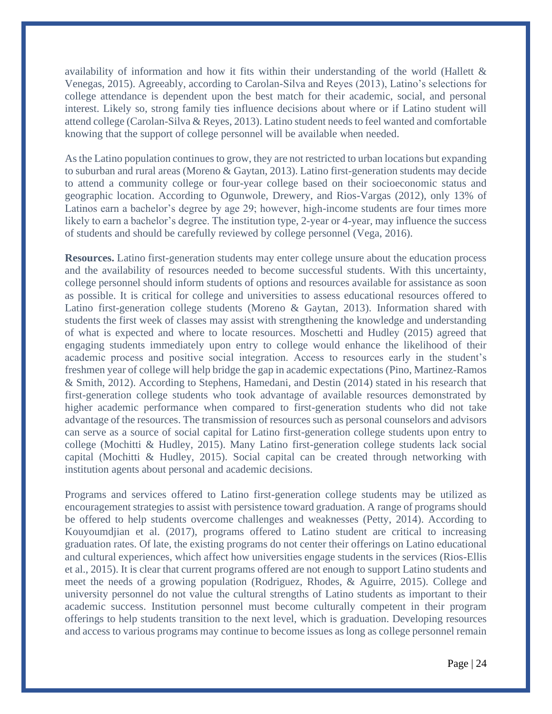availability of information and how it fits within their understanding of the world (Hallett  $\&$ Venegas, 2015). Agreeably, according to Carolan-Silva and Reyes (2013), Latino's selections for college attendance is dependent upon the best match for their academic, social, and personal interest. Likely so, strong family ties influence decisions about where or if Latino student will attend college (Carolan-Silva & Reyes, 2013). Latino student needs to feel wanted and comfortable knowing that the support of college personnel will be available when needed.

As the Latino population continues to grow, they are not restricted to urban locations but expanding to suburban and rural areas (Moreno & Gaytan, 2013). Latino first-generation students may decide to attend a community college or four-year college based on their socioeconomic status and geographic location. According to Ogunwole, Drewery, and Rios-Vargas (2012), only 13% of Latinos earn a bachelor's degree by age 29; however, high-income students are four times more likely to earn a bachelor's degree. The institution type, 2-year or 4-year, may influence the success of students and should be carefully reviewed by college personnel (Vega, 2016).

**Resources.** Latino first-generation students may enter college unsure about the education process and the availability of resources needed to become successful students. With this uncertainty, college personnel should inform students of options and resources available for assistance as soon as possible. It is critical for college and universities to assess educational resources offered to Latino first-generation college students (Moreno & Gaytan, 2013). Information shared with students the first week of classes may assist with strengthening the knowledge and understanding of what is expected and where to locate resources. Moschetti and Hudley (2015) agreed that engaging students immediately upon entry to college would enhance the likelihood of their academic process and positive social integration. Access to resources early in the student's freshmen year of college will help bridge the gap in academic expectations (Pino, Martinez-Ramos & Smith, 2012). According to Stephens, Hamedani, and Destin (2014) stated in his research that first-generation college students who took advantage of available resources demonstrated by higher academic performance when compared to first-generation students who did not take advantage of the resources. The transmission of resources such as personal counselors and advisors can serve as a source of social capital for Latino first-generation college students upon entry to college (Mochitti & Hudley, 2015). Many Latino first-generation college students lack social capital (Mochitti & Hudley, 2015). Social capital can be created through networking with institution agents about personal and academic decisions.

Programs and services offered to Latino first-generation college students may be utilized as encouragement strategies to assist with persistence toward graduation. A range of programs should be offered to help students overcome challenges and weaknesses (Petty, 2014). According to Kouyoumdjian et al. (2017), programs offered to Latino student are critical to increasing graduation rates. Of late, the existing programs do not center their offerings on Latino educational and cultural experiences, which affect how universities engage students in the services (Rios-Ellis et al., 2015). It is clear that current programs offered are not enough to support Latino students and meet the needs of a growing population (Rodriguez, Rhodes, & Aguirre, 2015). College and university personnel do not value the cultural strengths of Latino students as important to their academic success. Institution personnel must become culturally competent in their program offerings to help students transition to the next level, which is graduation. Developing resources and access to various programs may continue to become issues as long as college personnel remain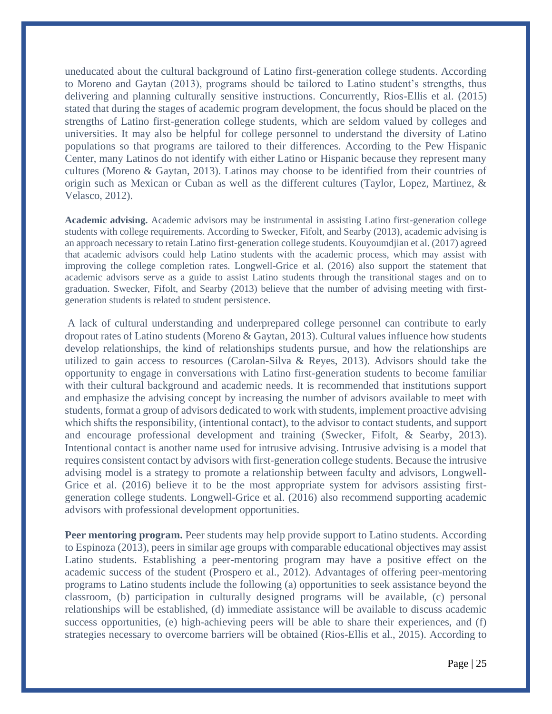uneducated about the cultural background of Latino first-generation college students. According to Moreno and Gaytan (2013), programs should be tailored to Latino student's strengths, thus delivering and planning culturally sensitive instructions. Concurrently, Rios-Ellis et al. (2015) stated that during the stages of academic program development, the focus should be placed on the strengths of Latino first-generation college students, which are seldom valued by colleges and universities. It may also be helpful for college personnel to understand the diversity of Latino populations so that programs are tailored to their differences. According to the Pew Hispanic Center, many Latinos do not identify with either Latino or Hispanic because they represent many cultures (Moreno & Gaytan, 2013). Latinos may choose to be identified from their countries of origin such as Mexican or Cuban as well as the different cultures (Taylor, Lopez, Martinez, & Velasco, 2012).

**Academic advising.** Academic advisors may be instrumental in assisting Latino first-generation college students with college requirements. According to Swecker, Fifolt, and Searby (2013), academic advising is an approach necessary to retain Latino first-generation college students. Kouyoumdjian et al. (2017) agreed that academic advisors could help Latino students with the academic process, which may assist with improving the college completion rates. Longwell-Grice et al. (2016) also support the statement that academic advisors serve as a guide to assist Latino students through the transitional stages and on to graduation. Swecker, Fifolt, and Searby (2013) believe that the number of advising meeting with firstgeneration students is related to student persistence.

A lack of cultural understanding and underprepared college personnel can contribute to early dropout rates of Latino students (Moreno & Gaytan, 2013). Cultural values influence how students develop relationships, the kind of relationships students pursue, and how the relationships are utilized to gain access to resources (Carolan-Silva & Reyes, 2013). Advisors should take the opportunity to engage in conversations with Latino first-generation students to become familiar with their cultural background and academic needs. It is recommended that institutions support and emphasize the advising concept by increasing the number of advisors available to meet with students, format a group of advisors dedicated to work with students, implement proactive advising which shifts the responsibility, (intentional contact), to the advisor to contact students, and support and encourage professional development and training (Swecker, Fifolt, & Searby, 2013). Intentional contact is another name used for intrusive advising. Intrusive advising is a model that requires consistent contact by advisors with first-generation college students. Because the intrusive advising model is a strategy to promote a relationship between faculty and advisors, Longwell-Grice et al. (2016) believe it to be the most appropriate system for advisors assisting firstgeneration college students. Longwell-Grice et al. (2016) also recommend supporting academic advisors with professional development opportunities.

**Peer mentoring program.** Peer students may help provide support to Latino students. According to Espinoza (2013), peers in similar age groups with comparable educational objectives may assist Latino students. Establishing a peer-mentoring program may have a positive effect on the academic success of the student (Prospero et al., 2012). Advantages of offering peer-mentoring programs to Latino students include the following (a) opportunities to seek assistance beyond the classroom, (b) participation in culturally designed programs will be available, (c) personal relationships will be established, (d) immediate assistance will be available to discuss academic success opportunities, (e) high-achieving peers will be able to share their experiences, and (f) strategies necessary to overcome barriers will be obtained (Rios-Ellis et al., 2015). According to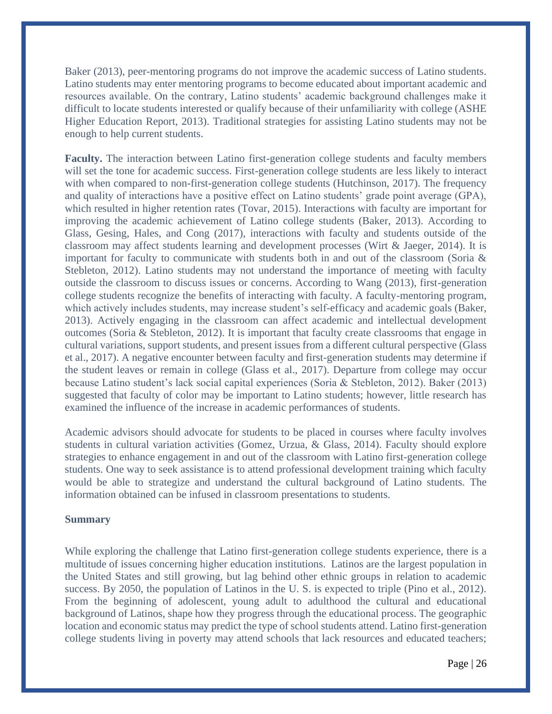Baker (2013), peer-mentoring programs do not improve the academic success of Latino students. Latino students may enter mentoring programs to become educated about important academic and resources available. On the contrary, Latino students' academic background challenges make it difficult to locate students interested or qualify because of their unfamiliarity with college (ASHE Higher Education Report, 2013). Traditional strategies for assisting Latino students may not be enough to help current students.

**Faculty.** The interaction between Latino first-generation college students and faculty members will set the tone for academic success. First-generation college students are less likely to interact with when compared to non-first-generation college students (Hutchinson, 2017). The frequency and quality of interactions have a positive effect on Latino students' grade point average (GPA), which resulted in higher retention rates (Tovar, 2015). Interactions with faculty are important for improving the academic achievement of Latino college students (Baker, 2013). According to Glass, Gesing, Hales, and Cong (2017), interactions with faculty and students outside of the classroom may affect students learning and development processes (Wirt & Jaeger, 2014). It is important for faculty to communicate with students both in and out of the classroom (Soria & Stebleton, 2012). Latino students may not understand the importance of meeting with faculty outside the classroom to discuss issues or concerns. According to Wang (2013), first-generation college students recognize the benefits of interacting with faculty. A faculty-mentoring program, which actively includes students, may increase student's self-efficacy and academic goals (Baker, 2013). Actively engaging in the classroom can affect academic and intellectual development outcomes (Soria & Stebleton, 2012). It is important that faculty create classrooms that engage in cultural variations, support students, and present issues from a different cultural perspective (Glass et al., 2017). A negative encounter between faculty and first-generation students may determine if the student leaves or remain in college (Glass et al., 2017). Departure from college may occur because Latino student's lack social capital experiences (Soria & Stebleton, 2012). Baker (2013) suggested that faculty of color may be important to Latino students; however, little research has examined the influence of the increase in academic performances of students.

Academic advisors should advocate for students to be placed in courses where faculty involves students in cultural variation activities (Gomez, Urzua, & Glass, 2014). Faculty should explore strategies to enhance engagement in and out of the classroom with Latino first-generation college students. One way to seek assistance is to attend professional development training which faculty would be able to strategize and understand the cultural background of Latino students. The information obtained can be infused in classroom presentations to students.

#### **Summary**

While exploring the challenge that Latino first-generation college students experience, there is a multitude of issues concerning higher education institutions. Latinos are the largest population in the United States and still growing, but lag behind other ethnic groups in relation to academic success. By 2050, the population of Latinos in the U. S. is expected to triple (Pino et al., 2012). From the beginning of adolescent, young adult to adulthood the cultural and educational background of Latinos, shape how they progress through the educational process. The geographic location and economic status may predict the type of school students attend. Latino first-generation college students living in poverty may attend schools that lack resources and educated teachers;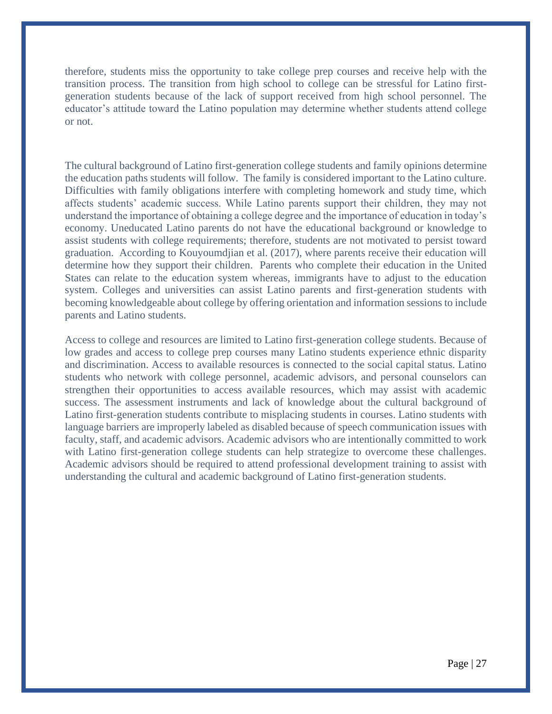therefore, students miss the opportunity to take college prep courses and receive help with the transition process. The transition from high school to college can be stressful for Latino firstgeneration students because of the lack of support received from high school personnel. The educator's attitude toward the Latino population may determine whether students attend college or not.

The cultural background of Latino first-generation college students and family opinions determine the education paths students will follow. The family is considered important to the Latino culture. Difficulties with family obligations interfere with completing homework and study time, which affects students' academic success. While Latino parents support their children, they may not understand the importance of obtaining a college degree and the importance of education in today's economy. Uneducated Latino parents do not have the educational background or knowledge to assist students with college requirements; therefore, students are not motivated to persist toward graduation. According to Kouyoumdjian et al. (2017), where parents receive their education will determine how they support their children. Parents who complete their education in the United States can relate to the education system whereas, immigrants have to adjust to the education system. Colleges and universities can assist Latino parents and first-generation students with becoming knowledgeable about college by offering orientation and information sessions to include parents and Latino students.

Access to college and resources are limited to Latino first-generation college students. Because of low grades and access to college prep courses many Latino students experience ethnic disparity and discrimination. Access to available resources is connected to the social capital status. Latino students who network with college personnel, academic advisors, and personal counselors can strengthen their opportunities to access available resources, which may assist with academic success. The assessment instruments and lack of knowledge about the cultural background of Latino first-generation students contribute to misplacing students in courses. Latino students with language barriers are improperly labeled as disabled because of speech communication issues with faculty, staff, and academic advisors. Academic advisors who are intentionally committed to work with Latino first-generation college students can help strategize to overcome these challenges. Academic advisors should be required to attend professional development training to assist with understanding the cultural and academic background of Latino first-generation students.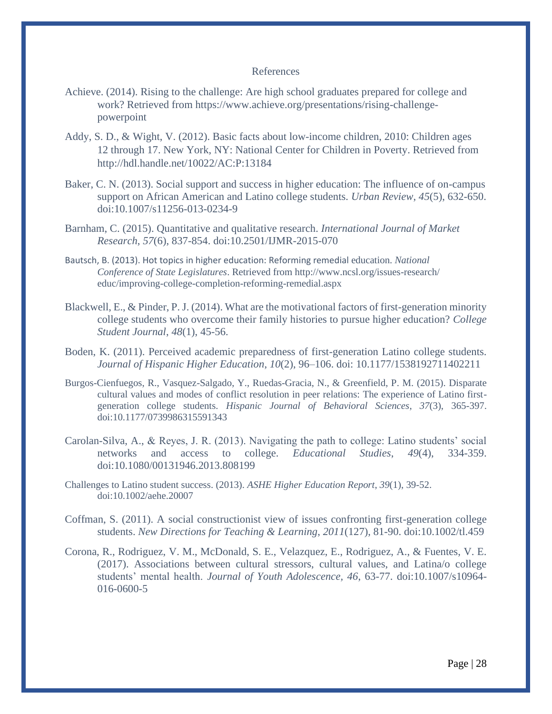#### References

- Achieve. (2014). Rising to the challenge: Are high school graduates prepared for college and work? Retrieved from https://www.achieve.org/presentations/rising-challengepowerpoint
- Addy, S. D., & Wight, V. (2012). Basic facts about low-income children, 2010: Children ages 12 through 17. New York, NY: National Center for Children in Poverty. Retrieved from http://hdl.handle.net/10022/AC:P:13184
- Baker, C. N. (2013). Social support and success in higher education: The influence of on-campus support on African American and Latino college students. *Urban Review*, *45*(5), 632-650. doi:10.1007/s11256-013-0234-9
- Barnham, C. (2015). Quantitative and qualitative research. *International Journal of Market Research*, *57*(6), 837-854. doi:10.2501/IJMR-2015-070
- Bautsch, B. (2013). Hot topics in higher education: Reforming remedial education. *National Conference of State Legislatures*. Retrieved from http://www.ncsl.org/issues-research/ educ/improving-college-completion-reforming-remedial.aspx
- Blackwell, E., & Pinder, P. J. (2014). What are the motivational factors of first-generation minority college students who overcome their family histories to pursue higher education? *College Student Journal*, *48*(1), 45-56.
- Boden, K. (2011). Perceived academic preparedness of first-generation Latino college students. *Journal of Hispanic Higher Education*, *10*(2), 96–106. doi: 10.1177/1538192711402211
- Burgos-Cienfuegos, R., Vasquez-Salgado, Y., Ruedas-Gracia, N., & Greenfield, P. M. (2015). Disparate cultural values and modes of conflict resolution in peer relations: The experience of Latino firstgeneration college students. *Hispanic Journal of Behavioral Sciences*, *37*(3), 365-397. doi:10.1177/0739986315591343
- Carolan-Silva, A., & Reyes, J. R. (2013). Navigating the path to college: Latino students' social networks and access to college. *Educational Studies*, *49*(4), 334-359. doi:10.1080/00131946.2013.808199
- Challenges to Latino student success. (2013). *ASHE Higher Education Report*, *39*(1), 39-52. doi:10.1002/aehe.20007
- Coffman, S. (2011). A social constructionist view of issues confronting first-generation college students. *New Directions for Teaching & Learning*, *2011*(127), 81-90. doi:10.1002/tl.459
- Corona, R., Rodriguez, V. M., McDonald, S. E., Velazquez, E., Rodriguez, A., & Fuentes, V. E. (2017). Associations between cultural stressors, cultural values, and Latina/o college students' mental health. *Journal of Youth Adolescence, 46*, 63-77. doi:10.1007/s10964- 016-0600-5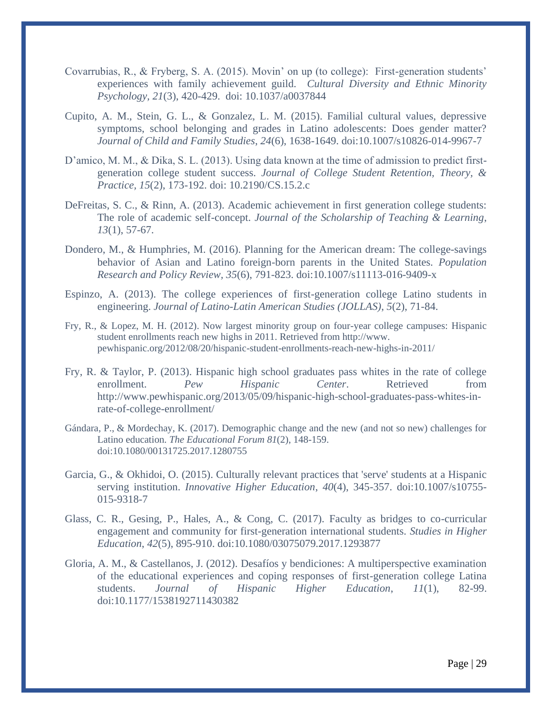- Covarrubias, R., & Fryberg, S. A. (2015). Movin' on up (to college): First-generation students' experiences with family achievement guild. *Cultural Diversity and Ethnic Minority Psychology, 21*(3), 420-429. doi: 10.1037/a0037844
- Cupito, A. M., Stein, G. L., & Gonzalez, L. M. (2015). Familial cultural values, depressive symptoms, school belonging and grades in Latino adolescents: Does gender matter? *Journal of Child and Family Studies*, *24*(6), 1638-1649. doi:10.1007/s10826-014-9967-7
- D'amico, M. M., & Dika, S. L. (2013). Using data known at the time of admission to predict firstgeneration college student success. *Journal of College Student Retention, Theory, & Practice, 15*(2), 173-192. doi: 10.2190/CS.15.2.c
- DeFreitas, S. C., & Rinn, A. (2013). Academic achievement in first generation college students: The role of academic self-concept. *Journal of the Scholarship of Teaching & Learning*, *13*(1), 57-67.
- Dondero, M., & Humphries, M. (2016). Planning for the American dream: The college-savings behavior of Asian and Latino foreign-born parents in the United States. *Population Research and Policy Review, 35*(6), 791-823. doi:10.1007/s11113-016-9409-x
- Espinzo, A. (2013). The college experiences of first-generation college Latino students in engineering. *Journal of Latino-Latin American Studies (JOLLAS)*, *5*(2), 71-84.
- Fry, R., & Lopez, M. H. (2012). Now largest minority group on four-year college campuses: Hispanic student enrollments reach new highs in 2011. Retrieved from http://www. pewhispanic.org/2012/08/20/hispanic-student-enrollments-reach-new-highs-in-2011/
- Fry, R. & Taylor, P. (2013). Hispanic high school graduates pass whites in the rate of college enrollment. *Pew Hispanic Center*. Retrieved from http://www.pewhispanic.org/2013/05/09/hispanic-high-school-graduates-pass-whites-inrate-of-college-enrollment/
- Gándara, P., & Mordechay, K. (2017). Demographic change and the new (and not so new) challenges for Latino education. *The Educational Forum 81*(2), 148-159. doi:10.1080/00131725.2017.1280755
- Garcia, G., & Okhidoi, O. (2015). Culturally relevant practices that 'serve' students at a Hispanic serving institution. *Innovative Higher Education*, *40*(4), 345-357. doi:10.1007/s10755- 015-9318-7
- Glass, C. R., Gesing, P., Hales, A., & Cong, C. (2017). Faculty as bridges to co-curricular engagement and community for first-generation international students. *Studies in Higher Education*, *42*(5), 895-910. doi:10.1080/03075079.2017.1293877
- Gloria, A. M., & Castellanos, J. (2012). Desafíos y bendiciones: A multiperspective examination of the educational experiences and coping responses of first-generation college Latina students. *Journal of Hispanic Higher Education*, *11*(1), 82-99. doi:10.1177/1538192711430382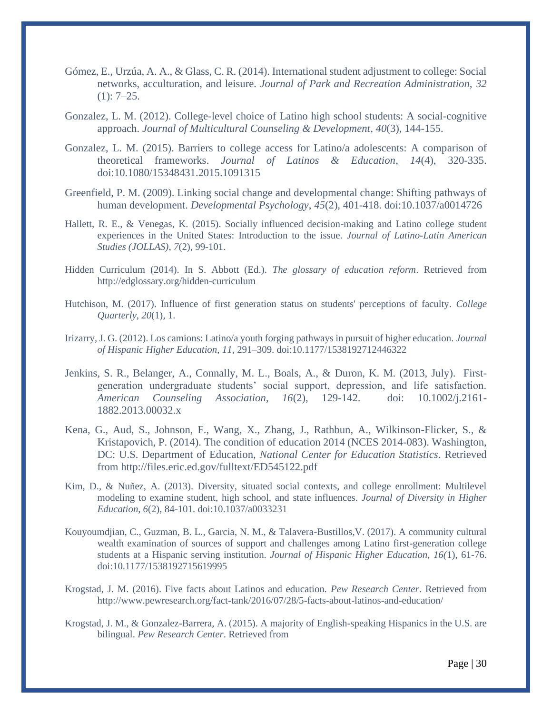- Gómez, E., Urzúa, A. A., & Glass, C. R. (2014). International student adjustment to college: Social networks, acculturation, and leisure. *Journal of Park and Recreation Administration, 32* (1): 7–25.
- Gonzalez, L. M. (2012). College-level choice of Latino high school students: A social-cognitive approach. *Journal of Multicultural Counseling & Development*, *40*(3), 144-155.
- Gonzalez, L. M. (2015). Barriers to college access for Latino/a adolescents: A comparison of theoretical frameworks. *Journal of Latinos & Education*, *14*(4), 320-335. doi:10.1080/15348431.2015.1091315
- Greenfield, P. M. (2009). Linking social change and developmental change: Shifting pathways of human development. *Developmental Psychology*, *45*(2), 401-418. doi:10.1037/a0014726
- Hallett, R. E., & Venegas, K. (2015). Socially influenced decision-making and Latino college student experiences in the United States: Introduction to the issue. *Journal of Latino-Latin American Studies (JOLLAS)*, *7*(2), 99-101.
- Hidden Curriculum (2014). In S. Abbott (Ed.). *The glossary of education reform*. Retrieved from http://edglossary.org/hidden-curriculum
- Hutchison, M. (2017). Influence of first generation status on students' perceptions of faculty. *College Quarterly*, *20*(1), 1.
- Irizarry, J. G. (2012). Los camions: Latino/a youth forging pathways in pursuit of higher education. *Journal of Hispanic Higher Education, 11*, 291–309. doi:10.1177/1538192712446322
- Jenkins, S. R., Belanger, A., Connally, M. L., Boals, A., & Duron, K. M. (2013, July). Firstgeneration undergraduate students' social support, depression, and life satisfaction. *American Counseling Association, 16*(2), 129-142. doi: 10.1002/j.2161- 1882.2013.00032.x
- Kena, G., Aud, S., Johnson, F., Wang, X., Zhang, J., Rathbun, A., Wilkinson-Flicker, S., & Kristapovich, P. (2014). The condition of education 2014 (NCES 2014-083). Washington, DC: U.S. Department of Education, *National Center for Education Statistics*. Retrieved from http://files.eric.ed.gov/fulltext/ED545122.pdf
- Kim, D., & Nuñez, A. (2013). Diversity, situated social contexts, and college enrollment: Multilevel modeling to examine student, high school, and state influences. *Journal of Diversity in Higher Education*, *6*(2), 84-101. doi:10.1037/a0033231
- Kouyoumdjian, C., Guzman, B. L., Garcia, N. M., & Talavera-Bustillos,V. (2017). A community cultural wealth examination of sources of support and challenges among Latino first-generation college students at a Hispanic serving institution. *Journal of Hispanic Higher Education, 16(*1), 61-76. doi:10.1177/1538192715619995
- Krogstad, J. M. (2016). Five facts about Latinos and education. *Pew Research Center*. Retrieved from http://www.pewresearch.org/fact-tank/2016/07/28/5-facts-about-latinos-and-education/
- Krogstad, J. M., & Gonzalez-Barrera, A. (2015). A majority of English-speaking Hispanics in the U.S. are bilingual. *Pew Research Center*. Retrieved from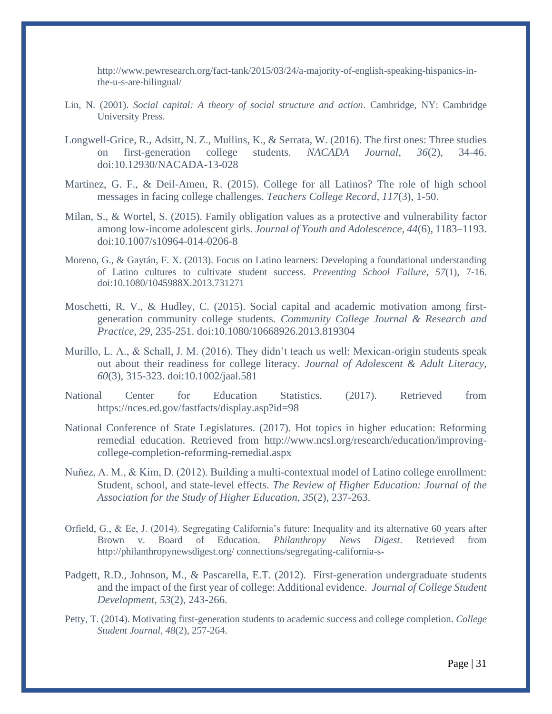http://www.pewresearch.org/fact-tank/2015/03/24/a-majority-of-english-speaking-hispanics-inthe-u-s-are-bilingual/

- Lin, N. (2001). *Social capital: A theory of social structure and action*. Cambridge, NY: Cambridge University Press.
- Longwell-Grice, R., Adsitt, N. Z., Mullins, K., & Serrata, W. (2016). The first ones: Three studies on first-generation college students. *NACADA Journal*, *36*(2), 34-46. doi:10.12930/NACADA-13-028
- Martinez, G. F., & Deil-Amen, R. (2015). College for all Latinos? The role of high school messages in facing college challenges. *Teachers College Record*, *117*(3), 1-50.
- Milan, S., & Wortel, S. (2015). Family obligation values as a protective and vulnerability factor among low-income adolescent girls. *Journal of Youth and Adolescence, 44*(6), 1183–1193. doi:10.1007/s10964-014-0206-8
- Moreno, G., & Gaytán, F. X. (2013). Focus on Latino learners: Developing a foundational understanding of Latino cultures to cultivate student success. *Preventing School Failure*, *57*(1), 7-16. doi:10.1080/1045988X.2013.731271
- Moschetti, R. V., & Hudley, C. (2015). Social capital and academic motivation among firstgeneration community college students. *Community College Journal & Research and Practice*, *29*, 235-251. doi:10.1080/10668926.2013.819304
- Murillo, L. A., & Schall, J. M. (2016). They didn't teach us well: Mexican-origin students speak out about their readiness for college literacy. *Journal of Adolescent & Adult Literacy, 60*(3), 315-323. doi:10.1002/jaal.581
- National Center for Education Statistics. (2017). Retrieved from <https://nces.ed.gov/fastfacts/display.asp?id=98>
- National Conference of State Legislatures. (2017). Hot topics in higher education: Reforming remedial education. Retrieved from http://www.ncsl.org/research/education/improvingcollege-completion-reforming-remedial.aspx
- Nuňez, A. M., & Kim, D. (2012). Building a multi-contextual model of Latino college enrollment: Student, school, and state-level effects. *The Review of Higher Education: Journal of the Association for the Study of Higher Education*, *35*(2), 237-263.
- Orfield, G., & Ee, J. (2014). Segregating California's future: Inequality and its alternative 60 years after Brown v. Board of Education. *Philanthropy News Digest*. Retrieved from http://philanthropynewsdigest.org/ connections/segregating-california-s-
- Padgett, R.D., Johnson, M., & Pascarella, E.T. (2012). First-generation undergraduate students and the impact of the first year of college: Additional evidence. *Journal of College Student Development, 53*(2), 243-266.
- Petty, T. (2014). Motivating first-generation students to academic success and college completion. *College Student Journal, 48*(2), 257-264.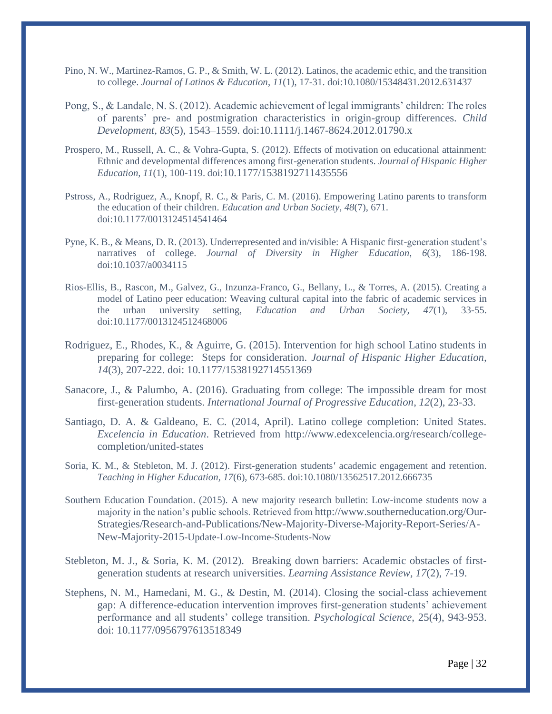- Pino, N. W., Martinez-Ramos, G. P., & Smith, W. L. (2012). Latinos, the academic ethic, and the transition to college. *Journal of Latinos & Education*, *11*(1), 17-31. doi:10.1080/15348431.2012.631437
- Pong, S., & Landale, N. S. (2012). Academic achievement of legal immigrants' children: The roles of parents' pre- and postmigration characteristics in origin-group differences. *Child Development, 83*(5), 1543–1559. doi:10.1111/j.1467-8624.2012.01790.x
- Prospero, M., Russell, A. C., & Vohra-Gupta, S. (2012). Effects of motivation on educational attainment: Ethnic and developmental differences among first-generation students. *Journal of Hispanic Higher Education, 11*(1), 100-119. doi:[10.1177/1538192711435556](https://doi-org.proxy1.ncu.edu/10.1177%2F1538192711435556)
- Pstross, A., Rodriguez, A., Knopf, R. C., & Paris, C. M. (2016). Empowering Latino parents to transform the education of their children. *Education and Urban Society, 48*(7), 671. doi:10.1177/0013124514541464
- Pyne, K. B., & Means, D. R. (2013). Underrepresented and in/visible: A Hispanic first-generation student's narratives of college. *Journal of Diversity in Higher Education*, *6*(3), 186-198. doi:10.1037/a0034115
- Rios-Ellis, B., Rascon, M., Galvez, G., Inzunza-Franco, G., Bellany, L., & Torres, A. (2015). Creating a model of Latino peer education: Weaving cultural capital into the fabric of academic services in the urban university setting, *Education and Urban Society, 47*(1), 33-55. doi:10.1177/0013124512468006
- Rodriguez, E., Rhodes, K., & Aguirre, G. (2015). Intervention for high school Latino students in preparing for college: Steps for consideration. *Journal of Hispanic Higher Education, 14*(3), 207-222. doi: 10.1177/1538192714551369
- Sanacore, J., & Palumbo, A. (2016). Graduating from college: The impossible dream for most first-generation students. *International Journal of Progressive Education*, *12*(2), 23-33.
- Santiago, D. A. & Galdeano, E. C. (2014, April). Latino college completion: United States. *Excelencia in Education*. Retrieved from http://www.edexcelencia.org/research/collegecompletion/united-states
- Soria, K. M., & Stebleton, M. J. (2012). First*-*generation students*'* academic engagement and retention. *Teaching in Higher Education, 17*(6), 673-685. doi:10.1080/13562517.2012.666735
- Southern Education Foundation. (2015). A new majority research bulletin: Low-income students now a majority in the nation's public schools. Retrieved from [http://www.southerneducation.org/Our-](http://www.southerneducation.org/Our-Strategies/Research-and-Publications/New-Majority-Diverse-Majority-Report-Series/A-New-Majority-2015)[Strategies/Research-and-Publications/New-Majority-Diverse-Majority-Report-Series/A-](http://www.southerneducation.org/Our-Strategies/Research-and-Publications/New-Majority-Diverse-Majority-Report-Series/A-New-Majority-2015)[New-Majority-2015](http://www.southerneducation.org/Our-Strategies/Research-and-Publications/New-Majority-Diverse-Majority-Report-Series/A-New-Majority-2015)-Update-Low-Income-Students-Now
- Stebleton, M. J., & Soria, K. M. (2012). Breaking down barriers: Academic obstacles of firstgeneration students at research universities. *Learning Assistance Review, 17*(2), 7-19.
- Stephens, N. M., Hamedani, M. G., & Destin, M. (2014). Closing the social-class achievement gap: A difference-education intervention improves first-generation students' achievement performance and all students' college transition. *Psychological Science*, 25(4), 943-953. doi: 10.1177/0956797613518349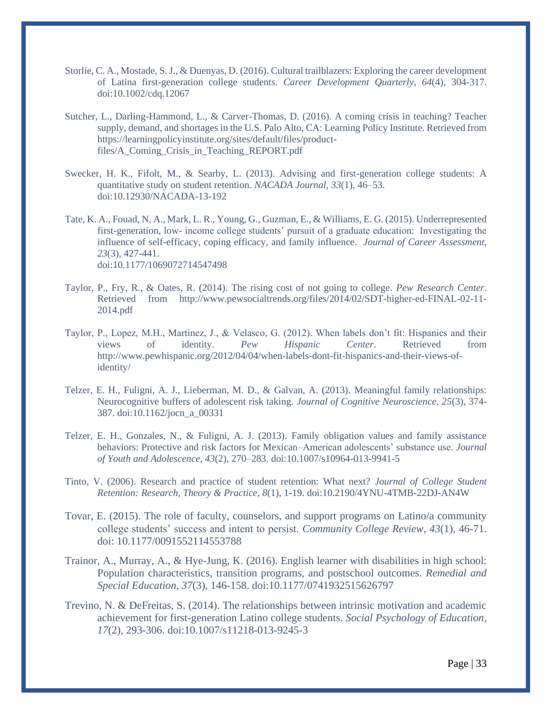- Storlie, C. A., Mostade, S. J., & Duenyas, D. (2016). Cultural trailblazers: Exploring the career development of Latina first-generation college students. *Career Development Quarterly*, *64*(4), 304-317. doi:10.1002/cdq.12067
- Sutcher, L., Darling-Hammond, L., & Carver-Thomas, D. (2016). A coming crisis in teaching? Teacher supply, demand, and shortages in the U.S. Palo Alto, CA: Learning Policy Institute. Retrieved from https://learningpolicyinstitute.org/sites/default/files/productfiles/A\_Coming\_Crisis\_in\_Teaching\_REPORT.pdf
- Swecker, H. K., Fifolt, M., & Searby, L. (2013). Advising and first-generation college students: A quantitative study on student retention. *NACADA Journal, 33*(1), 46–53. doi:10.12930/NACADA-13-192
- Tate, K. A., Fouad, N. A., Mark, L. R., Young, G., Guzman, E., & Williams, E. G. (2015). Underrepresented first-generation, low- income college students' pursuit of a graduate education: Investigating the influence of self-efficacy, coping efficacy, and family influence. *Journal of Career Assessment, 23*(3), 427-441. doi:10.1177/1069072714547498
- Taylor, P., Fry, R., & Oates, R. (2014). The rising cost of not going to college. *Pew Research Center*. Retrieved from http://www.pewsocialtrends.org/files/2014/02/SDT-higher-ed-FINAL-02-11- 2014.pdf
- Taylor, P., Lopez, M.H., Martinez, J., & Velasco, G. (2012). When labels don't fit: Hispanics and their views of identity. *Pew Hispanic Center*. Retrieved from http://www.pewhispanic.org/2012/04/04/when-labels-dont-fit-hispanics-and-their-views-ofidentity/
- Telzer, E. H., Fuligni, A. J., Lieberman, M. D., & Galvan, A. (2013). Meaningful family relationships: Neurocognitive buffers of adolescent risk taking. *Journal of Cognitive Neuroscience, 25*(3), 374- 387. doi:10.1162/jocn\_a\_00331
- Telzer, E. H., Gonzales, N., & Fuligni, A. J. (2013). Family obligation values and family assistance behaviors: Protective and risk factors for Mexican–American adolescents' substance use. *Journal of Youth and Adolescence, 43*(2), 270–283. doi:10.1007/s10964-013-9941-5
- Tinto, V. (2006). Research and practice of student retention: What next? *Journal of College Student Retention: Research, Theory & Practice*, *8*(1), 1-19. doi:10.2190/4YNU-4TMB-22DJ-AN4W
- Tovar, E. (2015). The role of faculty, counselors, and support programs on Latino/a community college students' success and intent to persist. *Community College Review*, *43*(1), 46-71. doi: 10.1177/0091552114553788
- Trainor, A., Murray, A., & Hye-Jung, K. (2016). English learner with disabilities in high school: Population characteristics, transition programs, and postschool outcomes. *Remedial and Special Education, 37*(3), 146-158. doi[:10.1177/0741932515626797](https://doi-org.proxy1.ncu.edu/10.1177%2F0741932515626797)
- Trevino, N. & DeFreitas, S. (2014). The relationships between intrinsic motivation and academic achievement for first-generation Latino college students. *Social Psychology of Education*, *17*(2), 293-306. doi:10.1007/s11218-013-9245-3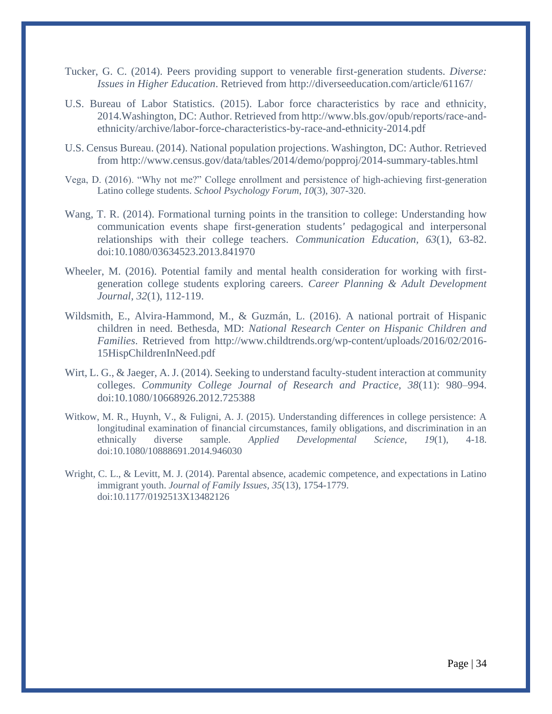- Tucker, G. C. (2014). Peers providing support to venerable first-generation students. *Diverse: Issues in Higher Education*. Retrieved from http://diverseeducation.com/article/61167/
- U.S. Bureau of Labor Statistics. (2015). Labor force characteristics by race and ethnicity, 2014.Washington, DC: Author. Retrieved fro[m http://www.bls.gov/opub/reports/race-and](http://www.bls.gov/opub/reports/race-and-)ethnicity/archive/labor-force-characteristics-by-race-and-ethnicity-2014.pdf
- U.S. Census Bureau. (2014). National population projections. Washington, DC: Author. Retrieved from http://www.census.gov/data/tables/2014/demo/popproj/2014-summary-tables.html
- Vega, D. (2016). "Why not me?" College enrollment and persistence of high-achieving first-generation Latino college students. *School Psychology Forum*, *10*(3), 307-320.
- Wang, T. R. (2014). Formational turning points in the transition to college: Understanding how communication events shape first*-*generation students*'* pedagogical and interpersonal relationships with their college teachers. *Communication Education, 63*(1), 63-82. doi:10.1080/03634523.2013.841970
- Wheeler, M. (2016). Potential family and mental health consideration for working with firstgeneration college students exploring careers. *Career Planning & Adult Development Journal*, *32*(1), 112-119.
- Wildsmith, E., Alvira-Hammond, M., & Guzmán, L. (2016). A national portrait of Hispanic children in need. Bethesda, MD: *National Research Center on Hispanic Children and Families*. Retrieved from http://www.childtrends.org/wp-content/uploads/2016/02/2016- 15HispChildrenInNeed.pdf
- Wirt, L. G., & Jaeger, A. J. (2014). Seeking to understand faculty-student interaction at community colleges. *Community College Journal of Research and Practice, 38*(11): 980–994. doi:10.1080/10668926.2012.725388
- Witkow, M. R., Huynh, V., & Fuligni, A. J. (2015). Understanding differences in college persistence: A longitudinal examination of financial circumstances, family obligations, and discrimination in an ethnically diverse sample. *Applied Developmental Science*, *19*(1), 4-18. doi:10.1080/10888691.2014.946030
- Wright, C. L., & Levitt, M. J. (2014). Parental absence, academic competence, and expectations in Latino immigrant youth. *Journal of Family Issues, 35*(13), 1754-1779. doi:10.1177/0192513X13482126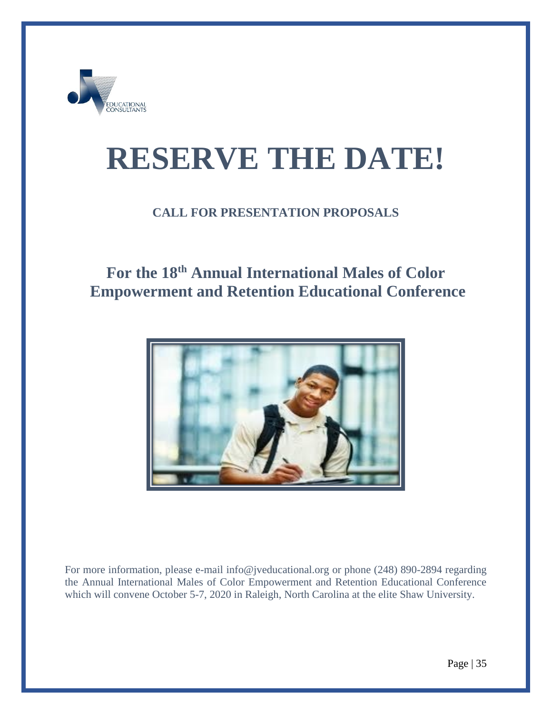

# **RESERVE THE DATE!**

### **CALL FOR PRESENTATION PROPOSALS**

# **For the 18th Annual International Males of Color Empowerment and Retention Educational Conference**



For more information, please e-mail [info@jveducational.org](mailto:info@jveducational.org) or phone (248) 890-2894 regarding the Annual International Males of Color Empowerment and Retention Educational Conference which will convene October 5-7, 2020 in Raleigh, North Carolina at the elite Shaw University.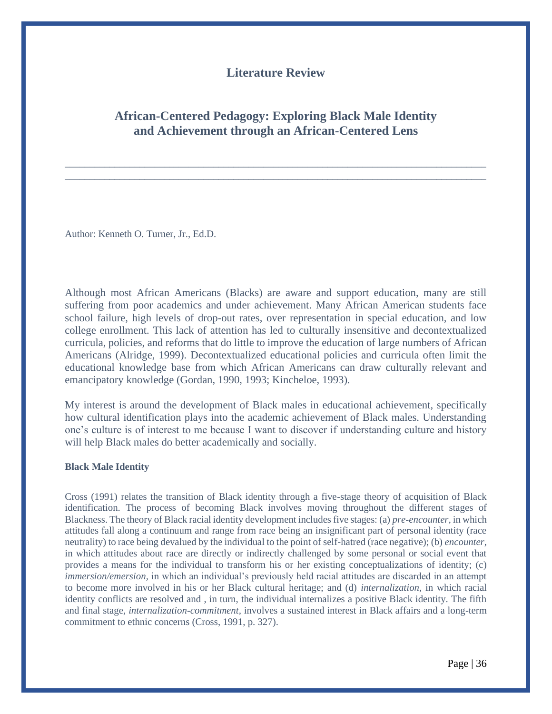#### **Literature Review**

#### **African-Centered Pedagogy: Exploring Black Male Identity and Achievement through an African-Centered Lens**

\_\_\_\_\_\_\_\_\_\_\_\_\_\_\_\_\_\_\_\_\_\_\_\_\_\_\_\_\_\_\_\_\_\_\_\_\_\_\_\_\_\_\_\_\_\_\_\_\_\_\_\_\_\_\_\_\_\_\_\_\_\_\_\_\_\_\_\_\_\_\_\_\_\_\_\_\_\_\_\_\_\_\_\_\_ \_\_\_\_\_\_\_\_\_\_\_\_\_\_\_\_\_\_\_\_\_\_\_\_\_\_\_\_\_\_\_\_\_\_\_\_\_\_\_\_\_\_\_\_\_\_\_\_\_\_\_\_\_\_\_\_\_\_\_\_\_\_\_\_\_\_\_\_\_\_\_\_\_\_\_\_\_\_\_\_\_\_\_\_\_

Author: Kenneth O. Turner, Jr., Ed.D.

Although most African Americans (Blacks) are aware and support education, many are still suffering from poor academics and under achievement. Many African American students face school failure, high levels of drop-out rates, over representation in special education, and low college enrollment. This lack of attention has led to culturally insensitive and decontextualized curricula, policies, and reforms that do little to improve the education of large numbers of African Americans (Alridge, 1999). Decontextualized educational policies and curricula often limit the educational knowledge base from which African Americans can draw culturally relevant and emancipatory knowledge (Gordan, 1990, 1993; Kincheloe, 1993).

My interest is around the development of Black males in educational achievement, specifically how cultural identification plays into the academic achievement of Black males. Understanding one's culture is of interest to me because I want to discover if understanding culture and history will help Black males do better academically and socially.

#### **Black Male Identity**

Cross (1991) relates the transition of Black identity through a five-stage theory of acquisition of Black identification. The process of becoming Black involves moving throughout the different stages of Blackness. The theory of Black racial identity development includes five stages: (a) *pre-encounter,* in which attitudes fall along a continuum and range from race being an insignificant part of personal identity (race neutrality) to race being devalued by the individual to the point of self-hatred (race negative); (b) *encounter*, in which attitudes about race are directly or indirectly challenged by some personal or social event that provides a means for the individual to transform his or her existing conceptualizations of identity; (c) *immersion/emersion,* in which an individual's previously held racial attitudes are discarded in an attempt to become more involved in his or her Black cultural heritage; and (d) *internalization,* in which racial identity conflicts are resolved and , in turn, the individual internalizes a positive Black identity. The fifth and final stage, *internalization-commitment,* involves a sustained interest in Black affairs and a long-term commitment to ethnic concerns (Cross, 1991, p. 327).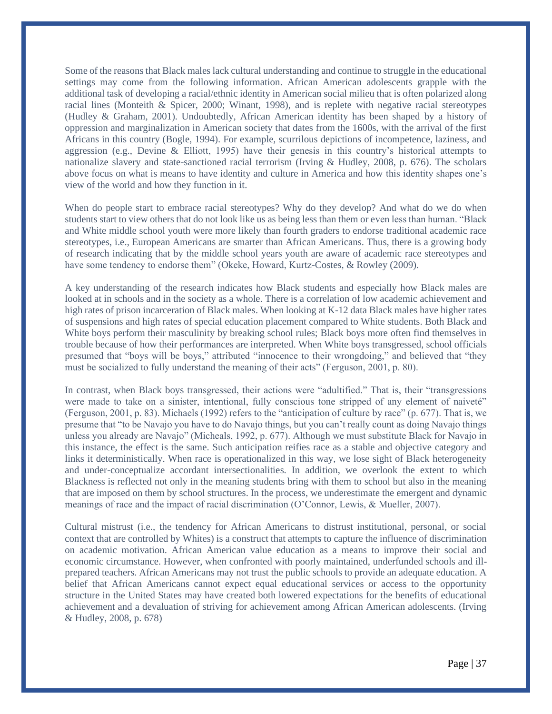Some of the reasons that Black males lack cultural understanding and continue to struggle in the educational settings may come from the following information. African American adolescents grapple with the additional task of developing a racial/ethnic identity in American social milieu that is often polarized along racial lines (Monteith & Spicer, 2000; Winant, 1998), and is replete with negative racial stereotypes (Hudley & Graham, 2001). Undoubtedly, African American identity has been shaped by a history of oppression and marginalization in American society that dates from the 1600s, with the arrival of the first Africans in this country (Bogle, 1994). For example, scurrilous depictions of incompetence, laziness, and aggression (e.g., Devine & Elliott, 1995) have their genesis in this country's historical attempts to nationalize slavery and state-sanctioned racial terrorism (Irving & Hudley, 2008, p. 676). The scholars above focus on what is means to have identity and culture in America and how this identity shapes one's view of the world and how they function in it.

When do people start to embrace racial stereotypes? Why do they develop? And what do we do when students start to view others that do not look like us as being less than them or even less than human. "Black and White middle school youth were more likely than fourth graders to endorse traditional academic race stereotypes, i.e., European Americans are smarter than African Americans. Thus, there is a growing body of research indicating that by the middle school years youth are aware of academic race stereotypes and have some tendency to endorse them" (Okeke, Howard, Kurtz-Costes, & Rowley (2009).

A key understanding of the research indicates how Black students and especially how Black males are looked at in schools and in the society as a whole. There is a correlation of low academic achievement and high rates of prison incarceration of Black males. When looking at K-12 data Black males have higher rates of suspensions and high rates of special education placement compared to White students. Both Black and White boys perform their masculinity by breaking school rules; Black boys more often find themselves in trouble because of how their performances are interpreted. When White boys transgressed, school officials presumed that "boys will be boys," attributed "innocence to their wrongdoing," and believed that "they must be socialized to fully understand the meaning of their acts" (Ferguson, 2001, p. 80).

In contrast, when Black boys transgressed, their actions were "adultified." That is, their "transgressions were made to take on a sinister, intentional, fully conscious tone stripped of any element of naiveté" (Ferguson, 2001, p. 83). Michaels (1992) refers to the "anticipation of culture by race" (p. 677). That is, we presume that "to be Navajo you have to do Navajo things, but you can't really count as doing Navajo things unless you already are Navajo" (Micheals, 1992, p. 677). Although we must substitute Black for Navajo in this instance, the effect is the same. Such anticipation reifies race as a stable and objective category and links it deterministically. When race is operationalized in this way, we lose sight of Black heterogeneity and under-conceptualize accordant intersectionalities. In addition, we overlook the extent to which Blackness is reflected not only in the meaning students bring with them to school but also in the meaning that are imposed on them by school structures. In the process, we underestimate the emergent and dynamic meanings of race and the impact of racial discrimination (O'Connor, Lewis, & Mueller, 2007).

Cultural mistrust (i.e., the tendency for African Americans to distrust institutional, personal, or social context that are controlled by Whites) is a construct that attempts to capture the influence of discrimination on academic motivation. African American value education as a means to improve their social and economic circumstance. However, when confronted with poorly maintained, underfunded schools and illprepared teachers. African Americans may not trust the public schools to provide an adequate education. A belief that African Americans cannot expect equal educational services or access to the opportunity structure in the United States may have created both lowered expectations for the benefits of educational achievement and a devaluation of striving for achievement among African American adolescents. (Irving & Hudley, 2008, p. 678)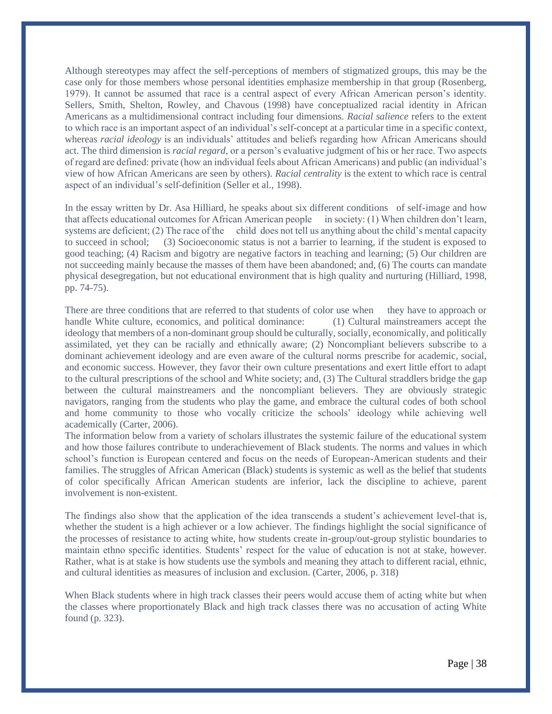Although stereotypes may affect the self-perceptions of members of stigmatized groups, this may be the case only for those members whose personal identities emphasize membership in that group (Rosenberg, 1979). It cannot be assumed that race is a central aspect of every African American person's identity. Sellers, Smith, Shelton, Rowley, and Chavous (1998) have conceptualized racial identity in African Americans as a multidimensional contract including four dimensions. *Racial salience* refers to the extent to which race is an important aspect of an individual's self-concept at a particular time in a specific context, whereas *racial ideology* is an individuals' attitudes and beliefs regarding how African Americans should act. The third dimension is *racial regard*, or a person's evaluative judgment of his or her race. Two aspects of regard are defined: private (how an individual feels about African Americans) and public (an individual's view of how African Americans are seen by others). *Racial centrality* is the extent to which race is central aspect of an individual's self-definition (Seller et al., 1998).

In the essay written by Dr. Asa Hilliard, he speaks about six different conditions of self-image and how that affects educational outcomes for African American people in society: (1) When children don't learn, systems are deficient; (2) The race of the child does not tell us anything about the child's mental capacity to succeed in school; (3) Socioeconomic status is not a barrier to learning, if the student is exposed to good teaching; (4) Racism and bigotry are negative factors in teaching and learning; (5) Our children are not succeeding mainly because the masses of them have been abandoned; and, (6) The courts can mandate physical desegregation, but not educational environment that is high quality and nurturing (Hilliard, 1998, pp. 74-75).

There are three conditions that are referred to that students of color use when they have to approach or handle White culture, economics, and political dominance: (1) Cultural mainstreamers accept the ideology that members of a non-dominant group should be culturally, socially, economically, and politically assimilated, yet they can be racially and ethnically aware; (2) Noncompliant believers subscribe to a dominant achievement ideology and are even aware of the cultural norms prescribe for academic, social, and economic success. However, they favor their own culture presentations and exert little effort to adapt to the cultural prescriptions of the school and White society; and, (3) The Cultural straddlers bridge the gap between the cultural mainstreamers and the noncompliant believers. They are obviously strategic navigators, ranging from the students who play the game, and embrace the cultural codes of both school and home community to those who vocally criticize the schools' ideology while achieving well academically (Carter, 2006).

The information below from a variety of scholars illustrates the systemic failure of the educational system and how those failures contribute to underachievement of Black students. The norms and values in which school's function is European centered and focus on the needs of European-American students and their families. The struggles of African American (Black) students is systemic as well as the belief that students of color specifically African American students are inferior, lack the discipline to achieve, parent involvement is non-existent.

The findings also show that the application of the idea transcends a student's achievement level-that is, whether the student is a high achiever or a low achiever. The findings highlight the social significance of the processes of resistance to acting white, how students create in-group/out-group stylistic boundaries to maintain ethno specific identities. Students' respect for the value of education is not at stake, however. Rather, what is at stake is how students use the symbols and meaning they attach to different racial, ethnic, and cultural identities as measures of inclusion and exclusion. (Carter, 2006, p. 318)

When Black students where in high track classes their peers would accuse them of acting white but when the classes where proportionately Black and high track classes there was no accusation of acting White found (p. 323).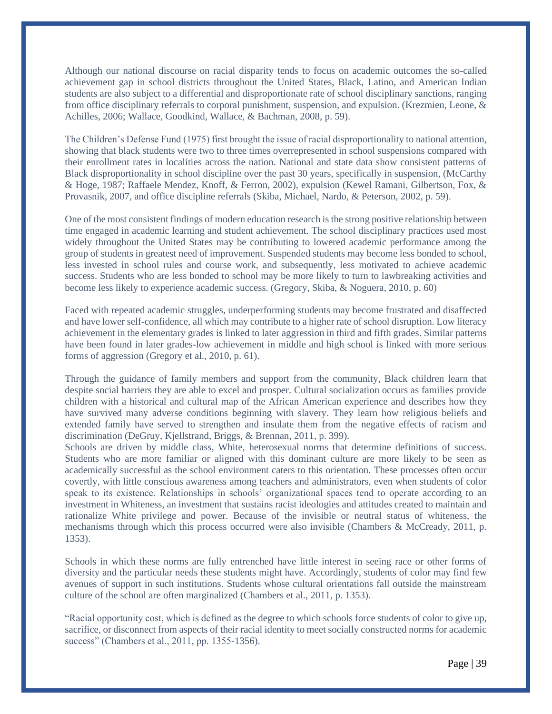Although our national discourse on racial disparity tends to focus on academic outcomes the so-called achievement gap in school districts throughout the United States, Black, Latino, and American Indian students are also subject to a differential and disproportionate rate of school disciplinary sanctions, ranging from office disciplinary referrals to corporal punishment, suspension, and expulsion. (Krezmien, Leone, & Achilles, 2006; Wallace, Goodkind, Wallace, & Bachman, 2008, p. 59).

The Children's Defense Fund (1975) first brought the issue of racial disproportionality to national attention, showing that black students were two to three times overrepresented in school suspensions compared with their enrollment rates in localities across the nation. National and state data show consistent patterns of Black disproportionality in school discipline over the past 30 years, specifically in suspension, (McCarthy & Hoge, 1987; Raffaele Mendez, Knoff, & Ferron, 2002), expulsion (Kewel Ramani, Gilbertson, Fox, & Provasnik, 2007, and office discipline referrals (Skiba, Michael, Nardo, & Peterson, 2002, p. 59).

One of the most consistent findings of modern education research is the strong positive relationship between time engaged in academic learning and student achievement. The school disciplinary practices used most widely throughout the United States may be contributing to lowered academic performance among the group of students in greatest need of improvement. Suspended students may become less bonded to school, less invested in school rules and course work, and subsequently, less motivated to achieve academic success. Students who are less bonded to school may be more likely to turn to lawbreaking activities and become less likely to experience academic success. (Gregory, Skiba, & Noguera, 2010, p. 60)

Faced with repeated academic struggles, underperforming students may become frustrated and disaffected and have lower self-confidence, all which may contribute to a higher rate of school disruption. Low literacy achievement in the elementary grades is linked to later aggression in third and fifth grades. Similar patterns have been found in later grades-low achievement in middle and high school is linked with more serious forms of aggression (Gregory et al., 2010, p. 61).

Through the guidance of family members and support from the community, Black children learn that despite social barriers they are able to excel and prosper. Cultural socialization occurs as families provide children with a historical and cultural map of the African American experience and describes how they have survived many adverse conditions beginning with slavery. They learn how religious beliefs and extended family have served to strengthen and insulate them from the negative effects of racism and discrimination (DeGruy, Kjellstrand, Briggs, & Brennan, 2011, p. 399).

Schools are driven by middle class, White, heterosexual norms that determine definitions of success. Students who are more familiar or aligned with this dominant culture are more likely to be seen as academically successful as the school environment caters to this orientation. These processes often occur covertly, with little conscious awareness among teachers and administrators, even when students of color speak to its existence. Relationships in schools' organizational spaces tend to operate according to an investment in Whiteness, an investment that sustains racist ideologies and attitudes created to maintain and rationalize White privilege and power. Because of the invisible or neutral status of whiteness, the mechanisms through which this process occurred were also invisible (Chambers & McCready, 2011, p. 1353).

Schools in which these norms are fully entrenched have little interest in seeing race or other forms of diversity and the particular needs these students might have. Accordingly, students of color may find few avenues of support in such institutions. Students whose cultural orientations fall outside the mainstream culture of the school are often marginalized (Chambers et al., 2011, p. 1353).

"Racial opportunity cost, which is defined as the degree to which schools force students of color to give up, sacrifice, or disconnect from aspects of their racial identity to meet socially constructed norms for academic success" (Chambers et al., 2011, pp. 1355-1356).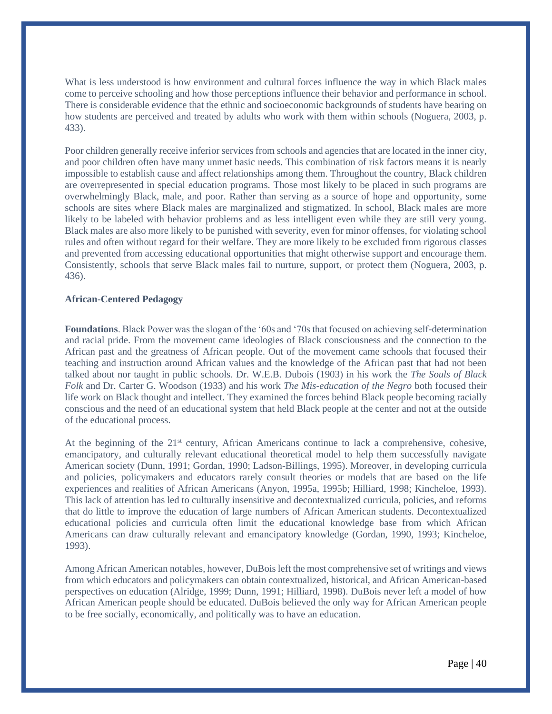What is less understood is how environment and cultural forces influence the way in which Black males come to perceive schooling and how those perceptions influence their behavior and performance in school. There is considerable evidence that the ethnic and socioeconomic backgrounds of students have bearing on how students are perceived and treated by adults who work with them within schools (Noguera, 2003, p. 433).

Poor children generally receive inferior services from schools and agencies that are located in the inner city, and poor children often have many unmet basic needs. This combination of risk factors means it is nearly impossible to establish cause and affect relationships among them. Throughout the country, Black children are overrepresented in special education programs. Those most likely to be placed in such programs are overwhelmingly Black, male, and poor. Rather than serving as a source of hope and opportunity, some schools are sites where Black males are marginalized and stigmatized. In school, Black males are more likely to be labeled with behavior problems and as less intelligent even while they are still very young. Black males are also more likely to be punished with severity, even for minor offenses, for violating school rules and often without regard for their welfare. They are more likely to be excluded from rigorous classes and prevented from accessing educational opportunities that might otherwise support and encourage them. Consistently, schools that serve Black males fail to nurture, support, or protect them (Noguera, 2003, p. 436).

#### **African-Centered Pedagogy**

**Foundations**. Black Power was the slogan of the '60s and '70s that focused on achieving self-determination and racial pride. From the movement came ideologies of Black consciousness and the connection to the African past and the greatness of African people. Out of the movement came schools that focused their teaching and instruction around African values and the knowledge of the African past that had not been talked about nor taught in public schools. Dr. W.E.B. Dubois (1903) in his work the *The Souls of Black Folk* and Dr. Carter G. Woodson (1933) and his work *The Mis-education of the Negro* both focused their life work on Black thought and intellect. They examined the forces behind Black people becoming racially conscious and the need of an educational system that held Black people at the center and not at the outside of the educational process.

At the beginning of the 21<sup>st</sup> century, African Americans continue to lack a comprehensive, cohesive, emancipatory, and culturally relevant educational theoretical model to help them successfully navigate American society (Dunn, 1991; Gordan, 1990; Ladson-Billings, 1995). Moreover, in developing curricula and policies, policymakers and educators rarely consult theories or models that are based on the life experiences and realities of African Americans (Anyon, 1995a, 1995b; Hilliard, 1998; Kincheloe, 1993). This lack of attention has led to culturally insensitive and decontextualized curricula, policies, and reforms that do little to improve the education of large numbers of African American students. Decontextualized educational policies and curricula often limit the educational knowledge base from which African Americans can draw culturally relevant and emancipatory knowledge (Gordan, 1990, 1993; Kincheloe, 1993).

Among African American notables, however, DuBois left the most comprehensive set of writings and views from which educators and policymakers can obtain contextualized, historical, and African American-based perspectives on education (Alridge, 1999; Dunn, 1991; Hilliard, 1998). DuBois never left a model of how African American people should be educated. DuBois believed the only way for African American people to be free socially, economically, and politically was to have an education.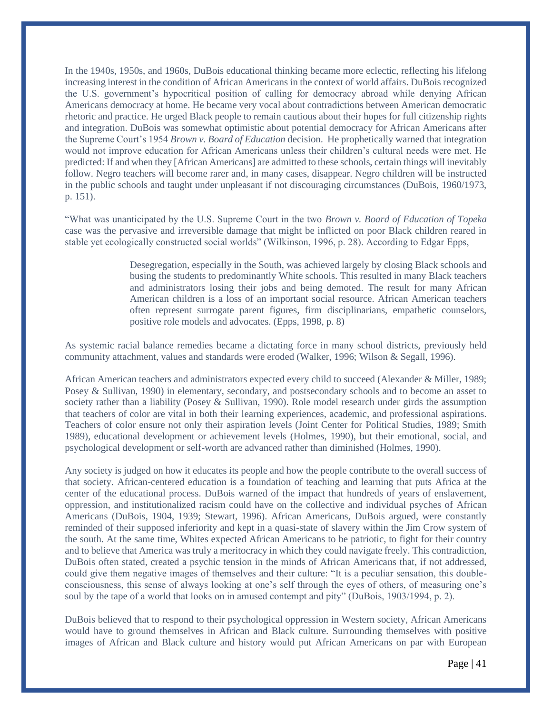In the 1940s, 1950s, and 1960s, DuBois educational thinking became more eclectic, reflecting his lifelong increasing interest in the condition of African Americans in the context of world affairs. DuBois recognized the U.S. government's hypocritical position of calling for democracy abroad while denying African Americans democracy at home. He became very vocal about contradictions between American democratic rhetoric and practice. He urged Black people to remain cautious about their hopes for full citizenship rights and integration. DuBois was somewhat optimistic about potential democracy for African Americans after the Supreme Court's 1954 *Brown v. Board of Education* decision. He prophetically warned that integration would not improve education for African Americans unless their children's cultural needs were met. He predicted: If and when they [African Americans] are admitted to these schools, certain things will inevitably follow. Negro teachers will become rarer and, in many cases, disappear. Negro children will be instructed in the public schools and taught under unpleasant if not discouraging circumstances (DuBois, 1960/1973, p. 151).

"What was unanticipated by the U.S. Supreme Court in the two *Brown v. Board of Education of Topeka* case was the pervasive and irreversible damage that might be inflicted on poor Black children reared in stable yet ecologically constructed social worlds" (Wilkinson, 1996, p. 28). According to Edgar Epps,

> Desegregation, especially in the South, was achieved largely by closing Black schools and busing the students to predominantly White schools. This resulted in many Black teachers and administrators losing their jobs and being demoted. The result for many African American children is a loss of an important social resource. African American teachers often represent surrogate parent figures, firm disciplinarians, empathetic counselors, positive role models and advocates. (Epps, 1998, p. 8)

As systemic racial balance remedies became a dictating force in many school districts, previously held community attachment, values and standards were eroded (Walker, 1996; Wilson & Segall, 1996).

African American teachers and administrators expected every child to succeed (Alexander & Miller, 1989; Posey & Sullivan, 1990) in elementary, secondary, and postsecondary schools and to become an asset to society rather than a liability (Posey & Sullivan, 1990). Role model research under girds the assumption that teachers of color are vital in both their learning experiences, academic, and professional aspirations. Teachers of color ensure not only their aspiration levels (Joint Center for Political Studies, 1989; Smith 1989), educational development or achievement levels (Holmes, 1990), but their emotional, social, and psychological development or self-worth are advanced rather than diminished (Holmes, 1990).

Any society is judged on how it educates its people and how the people contribute to the overall success of that society. African-centered education is a foundation of teaching and learning that puts Africa at the center of the educational process. DuBois warned of the impact that hundreds of years of enslavement, oppression, and institutionalized racism could have on the collective and individual psyches of African Americans (DuBois, 1904, 1939; Stewart, 1996). African Americans, DuBois argued, were constantly reminded of their supposed inferiority and kept in a quasi-state of slavery within the Jim Crow system of the south. At the same time, Whites expected African Americans to be patriotic, to fight for their country and to believe that America was truly a meritocracy in which they could navigate freely. This contradiction, DuBois often stated, created a psychic tension in the minds of African Americans that, if not addressed, could give them negative images of themselves and their culture: "It is a peculiar sensation, this doubleconsciousness, this sense of always looking at one's self through the eyes of others, of measuring one's soul by the tape of a world that looks on in amused contempt and pity" (DuBois, 1903/1994, p. 2).

DuBois believed that to respond to their psychological oppression in Western society, African Americans would have to ground themselves in African and Black culture. Surrounding themselves with positive images of African and Black culture and history would put African Americans on par with European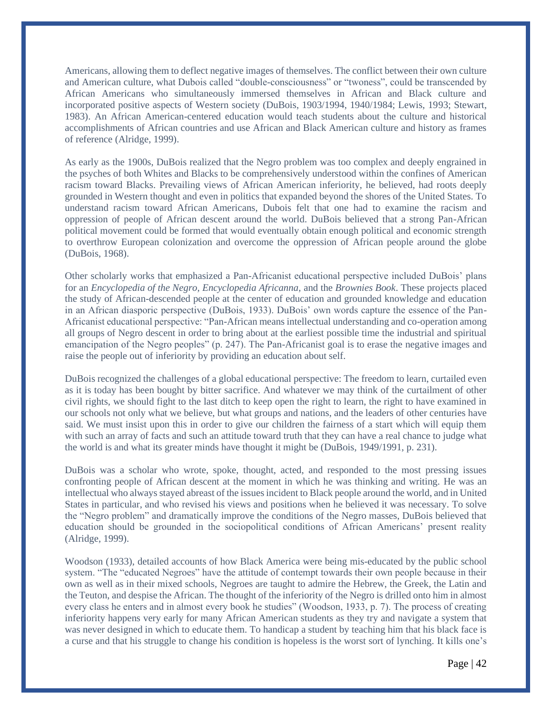Americans, allowing them to deflect negative images of themselves. The conflict between their own culture and American culture, what Dubois called "double-consciousness" or "twoness", could be transcended by African Americans who simultaneously immersed themselves in African and Black culture and incorporated positive aspects of Western society (DuBois, 1903/1994, 1940/1984; Lewis, 1993; Stewart, 1983). An African American-centered education would teach students about the culture and historical accomplishments of African countries and use African and Black American culture and history as frames of reference (Alridge, 1999).

As early as the 1900s, DuBois realized that the Negro problem was too complex and deeply engrained in the psyches of both Whites and Blacks to be comprehensively understood within the confines of American racism toward Blacks. Prevailing views of African American inferiority, he believed, had roots deeply grounded in Western thought and even in politics that expanded beyond the shores of the United States. To understand racism toward African Americans, Dubois felt that one had to examine the racism and oppression of people of African descent around the world. DuBois believed that a strong Pan-African political movement could be formed that would eventually obtain enough political and economic strength to overthrow European colonization and overcome the oppression of African people around the globe (DuBois, 1968).

Other scholarly works that emphasized a Pan-Africanist educational perspective included DuBois' plans for an *Encyclopedia of the Negro, Encyclopedia Africanna,* and the *Brownies Book*. These projects placed the study of African-descended people at the center of education and grounded knowledge and education in an African diasporic perspective (DuBois, 1933). DuBois' own words capture the essence of the Pan-Africanist educational perspective: "Pan-African means intellectual understanding and co-operation among all groups of Negro descent in order to bring about at the earliest possible time the industrial and spiritual emancipation of the Negro peoples" (p. 247). The Pan-Africanist goal is to erase the negative images and raise the people out of inferiority by providing an education about self.

DuBois recognized the challenges of a global educational perspective: The freedom to learn, curtailed even as it is today has been bought by bitter sacrifice. And whatever we may think of the curtailment of other civil rights, we should fight to the last ditch to keep open the right to learn, the right to have examined in our schools not only what we believe, but what groups and nations, and the leaders of other centuries have said. We must insist upon this in order to give our children the fairness of a start which will equip them with such an array of facts and such an attitude toward truth that they can have a real chance to judge what the world is and what its greater minds have thought it might be (DuBois, 1949/1991, p. 231).

DuBois was a scholar who wrote, spoke, thought, acted, and responded to the most pressing issues confronting people of African descent at the moment in which he was thinking and writing. He was an intellectual who always stayed abreast of the issues incident to Black people around the world, and in United States in particular, and who revised his views and positions when he believed it was necessary. To solve the "Negro problem" and dramatically improve the conditions of the Negro masses, DuBois believed that education should be grounded in the sociopolitical conditions of African Americans' present reality (Alridge, 1999).

Woodson (1933), detailed accounts of how Black America were being mis-educated by the public school system. "The "educated Negroes" have the attitude of contempt towards their own people because in their own as well as in their mixed schools, Negroes are taught to admire the Hebrew, the Greek, the Latin and the Teuton, and despise the African. The thought of the inferiority of the Negro is drilled onto him in almost every class he enters and in almost every book he studies" (Woodson, 1933, p. 7). The process of creating inferiority happens very early for many African American students as they try and navigate a system that was never designed in which to educate them. To handicap a student by teaching him that his black face is a curse and that his struggle to change his condition is hopeless is the worst sort of lynching. It kills one's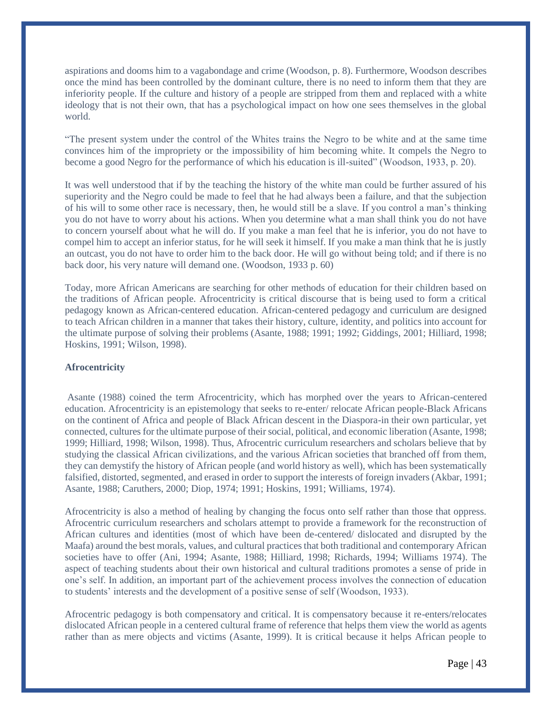aspirations and dooms him to a vagabondage and crime (Woodson, p. 8). Furthermore, Woodson describes once the mind has been controlled by the dominant culture, there is no need to inform them that they are inferiority people. If the culture and history of a people are stripped from them and replaced with a white ideology that is not their own, that has a psychological impact on how one sees themselves in the global world.

"The present system under the control of the Whites trains the Negro to be white and at the same time convinces him of the impropriety or the impossibility of him becoming white. It compels the Negro to become a good Negro for the performance of which his education is ill-suited" (Woodson, 1933, p. 20).

It was well understood that if by the teaching the history of the white man could be further assured of his superiority and the Negro could be made to feel that he had always been a failure, and that the subjection of his will to some other race is necessary, then, he would still be a slave. If you control a man's thinking you do not have to worry about his actions. When you determine what a man shall think you do not have to concern yourself about what he will do. If you make a man feel that he is inferior, you do not have to compel him to accept an inferior status, for he will seek it himself. If you make a man think that he is justly an outcast, you do not have to order him to the back door. He will go without being told; and if there is no back door, his very nature will demand one. (Woodson, 1933 p. 60)

Today, more African Americans are searching for other methods of education for their children based on the traditions of African people. Afrocentricity is critical discourse that is being used to form a critical pedagogy known as African-centered education. African-centered pedagogy and curriculum are designed to teach African children in a manner that takes their history, culture, identity, and politics into account for the ultimate purpose of solving their problems (Asante, 1988; 1991; 1992; Giddings, 2001; Hilliard, 1998; Hoskins, 1991; Wilson, 1998).

#### **Afrocentricity**

Asante (1988) coined the term Afrocentricity, which has morphed over the years to African-centered education. Afrocentricity is an epistemology that seeks to re-enter/ relocate African people-Black Africans on the continent of Africa and people of Black African descent in the Diaspora-in their own particular, yet connected, cultures for the ultimate purpose of their social, political, and economic liberation (Asante, 1998; 1999; Hilliard, 1998; Wilson, 1998). Thus, Afrocentric curriculum researchers and scholars believe that by studying the classical African civilizations, and the various African societies that branched off from them, they can demystify the history of African people (and world history as well), which has been systematically falsified, distorted, segmented, and erased in order to support the interests of foreign invaders (Akbar, 1991; Asante, 1988; Caruthers, 2000; Diop, 1974; 1991; Hoskins, 1991; Williams, 1974).

Afrocentricity is also a method of healing by changing the focus onto self rather than those that oppress. Afrocentric curriculum researchers and scholars attempt to provide a framework for the reconstruction of African cultures and identities (most of which have been de-centered/ dislocated and disrupted by the Maafa) around the best morals, values, and cultural practices that both traditional and contemporary African societies have to offer (Ani, 1994; Asante, 1988; Hilliard, 1998; Richards, 1994; Williams 1974). The aspect of teaching students about their own historical and cultural traditions promotes a sense of pride in one's self. In addition, an important part of the achievement process involves the connection of education to students' interests and the development of a positive sense of self (Woodson, 1933).

Afrocentric pedagogy is both compensatory and critical. It is compensatory because it re-enters/relocates dislocated African people in a centered cultural frame of reference that helps them view the world as agents rather than as mere objects and victims (Asante, 1999). It is critical because it helps African people to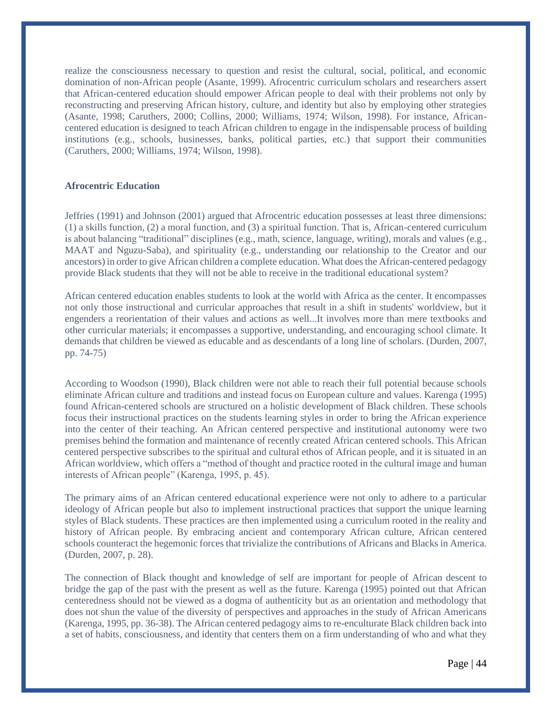realize the consciousness necessary to question and resist the cultural, social, political, and economic domination of non-African people (Asante, 1999). Afrocentric curriculum scholars and researchers assert that African-centered education should empower African people to deal with their problems not only by reconstructing and preserving African history, culture, and identity but also by employing other strategies (Asante, 1998; Caruthers, 2000; Collins, 2000; Williams, 1974; Wilson, 1998). For instance, Africancentered education is designed to teach African children to engage in the indispensable process of building institutions (e.g., schools, businesses, banks, political parties, etc.) that support their communities (Caruthers, 2000; Williams, 1974; Wilson, 1998).

#### **Afrocentric Education**

Jeffries (1991) and Johnson (2001) argued that Afrocentric education possesses at least three dimensions: (1) a skills function, (2) a moral function, and (3) a spiritual function. That is, African-centered curriculum is about balancing "traditional" disciplines (e.g., math, science, language, writing), morals and values (e.g., MAAT and Nguzu-Saba), and spirituality (e.g., understanding our relationship to the Creator and our ancestors) in order to give African children a complete education. What does the African-centered pedagogy provide Black students that they will not be able to receive in the traditional educational system?

African centered education enables students to look at the world with Africa as the center. It encompasses not only those instructional and curricular approaches that result in a shift in students' worldview, but it engenders a reorientation of their values and actions as well...It involves more than mere textbooks and other curricular materials; it encompasses a supportive, understanding, and encouraging school climate. It demands that children be viewed as educable and as descendants of a long line of scholars. (Durden, 2007, pp. 74-75)

According to Woodson (1990), Black children were not able to reach their full potential because schools eliminate African culture and traditions and instead focus on European culture and values. Karenga (1995) found African-centered schools are structured on a holistic development of Black children. These schools focus their instructional practices on the students learning styles in order to bring the African experience into the center of their teaching. An African centered perspective and institutional autonomy were two premises behind the formation and maintenance of recently created African centered schools. This African centered perspective subscribes to the spiritual and cultural ethos of African people, and it is situated in an African worldview, which offers a "method of thought and practice rooted in the cultural image and human interests of African people" (Karenga, 1995, p. 45).

The primary aims of an African centered educational experience were not only to adhere to a particular ideology of African people but also to implement instructional practices that support the unique learning styles of Black students. These practices are then implemented using a curriculum rooted in the reality and history of African people. By embracing ancient and contemporary African culture, African centered schools counteract the hegemonic forces that trivialize the contributions of Africans and Blacks in America. (Durden, 2007, p. 28).

The connection of Black thought and knowledge of self are important for people of African descent to bridge the gap of the past with the present as well as the future. Karenga (1995) pointed out that African centeredness should not be viewed as a dogma of authenticity but as an orientation and methodology that does not shun the value of the diversity of perspectives and approaches in the study of African Americans (Karenga, 1995, pp. 36-38). The African centered pedagogy aims to re-enculturate Black children back into a set of habits, consciousness, and identity that centers them on a firm understanding of who and what they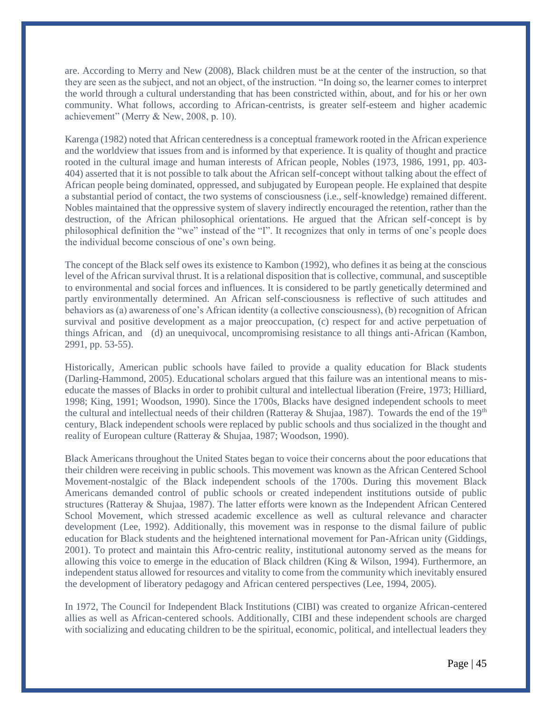are. According to Merry and New (2008), Black children must be at the center of the instruction, so that they are seen as the subject, and not an object, of the instruction. "In doing so, the learner comes to interpret the world through a cultural understanding that has been constricted within, about, and for his or her own community. What follows, according to African-centrists, is greater self-esteem and higher academic achievement" (Merry & New, 2008, p. 10).

Karenga (1982) noted that African centeredness is a conceptual framework rooted in the African experience and the worldview that issues from and is informed by that experience. It is quality of thought and practice rooted in the cultural image and human interests of African people, Nobles (1973, 1986, 1991, pp. 403- 404) asserted that it is not possible to talk about the African self-concept without talking about the effect of African people being dominated, oppressed, and subjugated by European people. He explained that despite a substantial period of contact, the two systems of consciousness (i.e., self-knowledge) remained different. Nobles maintained that the oppressive system of slavery indirectly encouraged the retention, rather than the destruction, of the African philosophical orientations. He argued that the African self-concept is by philosophical definition the "we" instead of the "I". It recognizes that only in terms of one's people does the individual become conscious of one's own being.

The concept of the Black self owes its existence to Kambon (1992), who defines it as being at the conscious level of the African survival thrust. It is a relational disposition that is collective, communal, and susceptible to environmental and social forces and influences. It is considered to be partly genetically determined and partly environmentally determined. An African self-consciousness is reflective of such attitudes and behaviors as (a) awareness of one's African identity (a collective consciousness), (b) recognition of African survival and positive development as a major preoccupation, (c) respect for and active perpetuation of things African, and (d) an unequivocal, uncompromising resistance to all things anti-African (Kambon, 2991, pp. 53-55).

Historically, American public schools have failed to provide a quality education for Black students (Darling-Hammond, 2005). Educational scholars argued that this failure was an intentional means to miseducate the masses of Blacks in order to prohibit cultural and intellectual liberation (Freire, 1973; Hilliard, 1998; King, 1991; Woodson, 1990). Since the 1700s, Blacks have designed independent schools to meet the cultural and intellectual needs of their children (Ratteray & Shujaa, 1987). Towards the end of the 19th century, Black independent schools were replaced by public schools and thus socialized in the thought and reality of European culture (Ratteray & Shujaa, 1987; Woodson, 1990).

Black Americans throughout the United States began to voice their concerns about the poor educations that their children were receiving in public schools. This movement was known as the African Centered School Movement-nostalgic of the Black independent schools of the 1700s. During this movement Black Americans demanded control of public schools or created independent institutions outside of public structures (Ratteray & Shujaa, 1987). The latter efforts were known as the Independent African Centered School Movement, which stressed academic excellence as well as cultural relevance and character development (Lee, 1992). Additionally, this movement was in response to the dismal failure of public education for Black students and the heightened international movement for Pan-African unity (Giddings, 2001). To protect and maintain this Afro-centric reality, institutional autonomy served as the means for allowing this voice to emerge in the education of Black children (King & Wilson, 1994). Furthermore, an independent status allowed for resources and vitality to come from the community which inevitably ensured the development of liberatory pedagogy and African centered perspectives (Lee, 1994, 2005).

In 1972, The Council for Independent Black Institutions (CIBI) was created to organize African-centered allies as well as African-centered schools. Additionally, CIBI and these independent schools are charged with socializing and educating children to be the spiritual, economic, political, and intellectual leaders they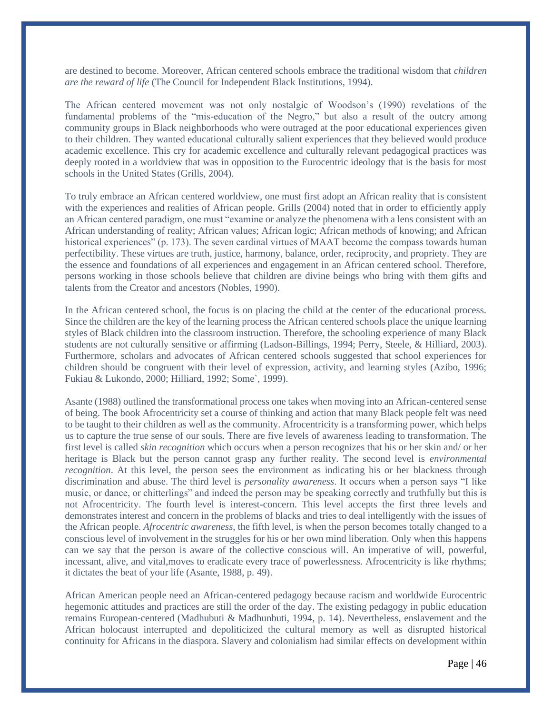are destined to become. Moreover, African centered schools embrace the traditional wisdom that *children are the reward of life* (The Council for Independent Black Institutions, 1994).

The African centered movement was not only nostalgic of Woodson's (1990) revelations of the fundamental problems of the "mis-education of the Negro," but also a result of the outcry among community groups in Black neighborhoods who were outraged at the poor educational experiences given to their children. They wanted educational culturally salient experiences that they believed would produce academic excellence. This cry for academic excellence and culturally relevant pedagogical practices was deeply rooted in a worldview that was in opposition to the Eurocentric ideology that is the basis for most schools in the United States (Grills, 2004).

To truly embrace an African centered worldview, one must first adopt an African reality that is consistent with the experiences and realities of African people. Grills (2004) noted that in order to efficiently apply an African centered paradigm, one must "examine or analyze the phenomena with a lens consistent with an African understanding of reality; African values; African logic; African methods of knowing; and African historical experiences" (p. 173). The seven cardinal virtues of MAAT become the compass towards human perfectibility. These virtues are truth, justice, harmony, balance, order, reciprocity, and propriety. They are the essence and foundations of all experiences and engagement in an African centered school. Therefore, persons working in those schools believe that children are divine beings who bring with them gifts and talents from the Creator and ancestors (Nobles, 1990).

In the African centered school, the focus is on placing the child at the center of the educational process. Since the children are the key of the learning process the African centered schools place the unique learning styles of Black children into the classroom instruction. Therefore, the schooling experience of many Black students are not culturally sensitive or affirming (Ladson-Billings, 1994; Perry, Steele, & Hilliard, 2003). Furthermore, scholars and advocates of African centered schools suggested that school experiences for children should be congruent with their level of expression, activity, and learning styles (Azibo, 1996; Fukiau & Lukondo, 2000; Hilliard, 1992; Some`, 1999).

Asante (1988) outlined the transformational process one takes when moving into an African-centered sense of being. The book Afrocentricity set a course of thinking and action that many Black people felt was need to be taught to their children as well as the community. Afrocentricity is a transforming power, which helps us to capture the true sense of our souls. There are five levels of awareness leading to transformation. The first level is called *skin recognition* which occurs when a person recognizes that his or her skin and/ or her heritage is Black but the person cannot grasp any further reality. The second level is *environmental recognition*. At this level, the person sees the environment as indicating his or her blackness through discrimination and abuse. The third level is *personality awareness*. It occurs when a person says "I like music, or dance, or chitterlings" and indeed the person may be speaking correctly and truthfully but this is not Afrocentricity. The fourth level is interest-concern. This level accepts the first three levels and demonstrates interest and concern in the problems of blacks and tries to deal intelligently with the issues of the African people. *Afrocentric awareness*, the fifth level, is when the person becomes totally changed to a conscious level of involvement in the struggles for his or her own mind liberation. Only when this happens can we say that the person is aware of the collective conscious will. An imperative of will, powerful, incessant, alive, and vital,moves to eradicate every trace of powerlessness. Afrocentricity is like rhythms; it dictates the beat of your life (Asante, 1988, p. 49).

African American people need an African-centered pedagogy because racism and worldwide Eurocentric hegemonic attitudes and practices are still the order of the day. The existing pedagogy in public education remains European-centered (Madhubuti & Madhunbuti, 1994, p. 14). Nevertheless, enslavement and the African holocaust interrupted and depoliticized the cultural memory as well as disrupted historical continuity for Africans in the diaspora. Slavery and colonialism had similar effects on development within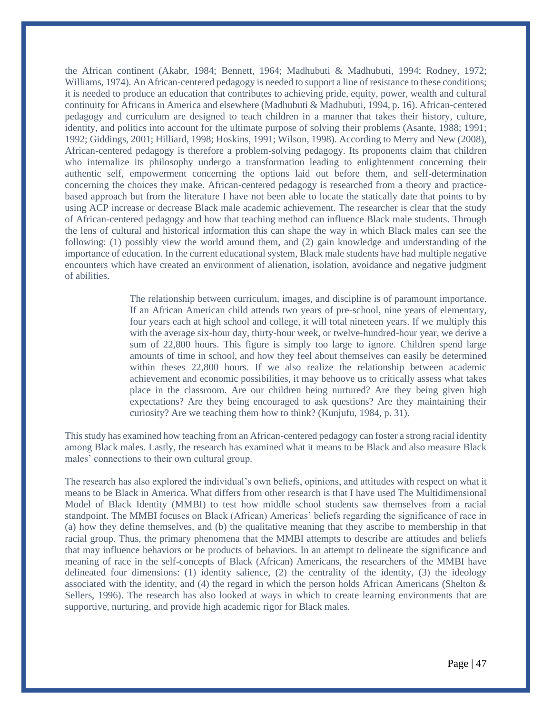the African continent (Akabr, 1984; Bennett, 1964; Madhubuti & Madhubuti, 1994; Rodney, 1972; Williams, 1974). An African-centered pedagogy is needed to support a line of resistance to these conditions; it is needed to produce an education that contributes to achieving pride, equity, power, wealth and cultural continuity for Africans in America and elsewhere (Madhubuti & Madhubuti, 1994, p. 16). African-centered pedagogy and curriculum are designed to teach children in a manner that takes their history, culture, identity, and politics into account for the ultimate purpose of solving their problems (Asante, 1988; 1991; 1992; Giddings, 2001; Hilliard, 1998; Hoskins, 1991; Wilson, 1998). According to Merry and New (2008), African-centered pedagogy is therefore a problem-solving pedagogy. Its proponents claim that children who internalize its philosophy undergo a transformation leading to enlightenment concerning their authentic self, empowerment concerning the options laid out before them, and self-determination concerning the choices they make. African-centered pedagogy is researched from a theory and practicebased approach but from the literature I have not been able to locate the statically date that points to by using ACP increase or decrease Black male academic achievement. The researcher is clear that the study of African-centered pedagogy and how that teaching method can influence Black male students. Through the lens of cultural and historical information this can shape the way in which Black males can see the following: (1) possibly view the world around them, and (2) gain knowledge and understanding of the importance of education. In the current educational system, Black male students have had multiple negative encounters which have created an environment of alienation, isolation, avoidance and negative judgment of abilities.

> The relationship between curriculum, images, and discipline is of paramount importance. If an African American child attends two years of pre-school, nine years of elementary, four years each at high school and college, it will total nineteen years. If we multiply this with the average six-hour day, thirty-hour week, or twelve-hundred-hour year, we derive a sum of 22,800 hours. This figure is simply too large to ignore. Children spend large amounts of time in school, and how they feel about themselves can easily be determined within theses 22,800 hours. If we also realize the relationship between academic achievement and economic possibilities, it may behoove us to critically assess what takes place in the classroom. Are our children being nurtured? Are they being given high expectations? Are they being encouraged to ask questions? Are they maintaining their curiosity? Are we teaching them how to think? (Kunjufu, 1984, p. 31).

This study has examined how teaching from an African-centered pedagogy can foster a strong racial identity among Black males. Lastly, the research has examined what it means to be Black and also measure Black males' connections to their own cultural group.

The research has also explored the individual's own beliefs, opinions, and attitudes with respect on what it means to be Black in America. What differs from other research is that I have used The Multidimensional Model of Black Identity (MMBI) to test how middle school students saw themselves from a racial standpoint. The MMBI focuses on Black (African) Americas' beliefs regarding the significance of race in (a) how they define themselves, and (b) the qualitative meaning that they ascribe to membership in that racial group. Thus, the primary phenomena that the MMBI attempts to describe are attitudes and beliefs that may influence behaviors or be products of behaviors. In an attempt to delineate the significance and meaning of race in the self-concepts of Black (African) Americans, the researchers of the MMBI have delineated four dimensions: (1) identity salience, (2) the centrality of the identity, (3) the ideology associated with the identity, and (4) the regard in which the person holds African Americans (Shelton  $\&$ Sellers, 1996). The research has also looked at ways in which to create learning environments that are supportive, nurturing, and provide high academic rigor for Black males.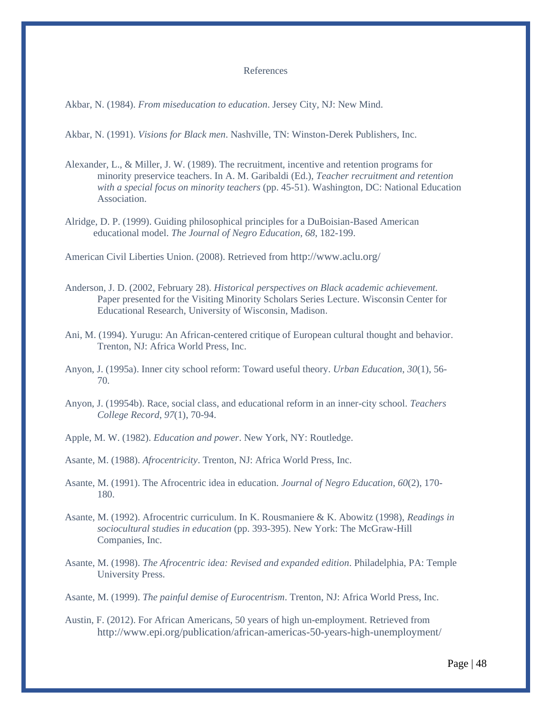#### References

Akbar, N. (1984). *From miseducation to education*. Jersey City, NJ: New Mind.

Akbar, N. (1991). *Visions for Black men*. Nashville, TN: Winston-Derek Publishers, Inc.

- Alexander, L., & Miller, J. W. (1989). The recruitment, incentive and retention programs for minority preservice teachers. In A. M. Garibaldi (Ed.), *Teacher recruitment and retention with a special focus on minority teachers* (pp. 45-51). Washington, DC: National Education Association.
- Alridge, D. P. (1999). Guiding philosophical principles for a DuBoisian-Based American educational model. *The Journal of Negro Education, 68*, 182-199.

American Civil Liberties Union. (2008). Retrieved from <http://www.aclu.org/>

- Anderson, J. D. (2002, February 28). *Historical perspectives on Black academic achievement.*  Paper presented for the Visiting Minority Scholars Series Lecture. Wisconsin Center for Educational Research, University of Wisconsin, Madison.
- Ani, M. (1994). Yurugu: An African-centered critique of European cultural thought and behavior. Trenton, NJ: Africa World Press, Inc.
- Anyon, J. (1995a). Inner city school reform: Toward useful theory. *Urban Education*, *30*(1), 56- 70.
- Anyon, J. (19954b). Race, social class, and educational reform in an inner-city school. *Teachers College Record*, *97*(1), 70-94.
- Apple, M. W. (1982). *Education and power*. New York, NY: Routledge.

Asante, M. (1988). *Afrocentricity*. Trenton, NJ: Africa World Press, Inc.

- Asante, M. (1991). The Afrocentric idea in education. *Journal of Negro Education*, *60*(2), 170- 180.
- Asante, M. (1992). Afrocentric curriculum. In K. Rousmaniere & K. Abowitz (1998), *Readings in sociocultural studies in education* (pp. 393-395). New York: The McGraw-Hill Companies, Inc.
- Asante, M. (1998). *The Afrocentric idea: Revised and expanded edition*. Philadelphia, PA: Temple University Press.
- Asante, M. (1999). *The painful demise of Eurocentrism*. Trenton, NJ: Africa World Press, Inc.
- Austin, F. (2012). For African Americans, 50 years of high un-employment. Retrieved from <http://www.epi.org/publication/african-americas-50-years-high-unemployment/>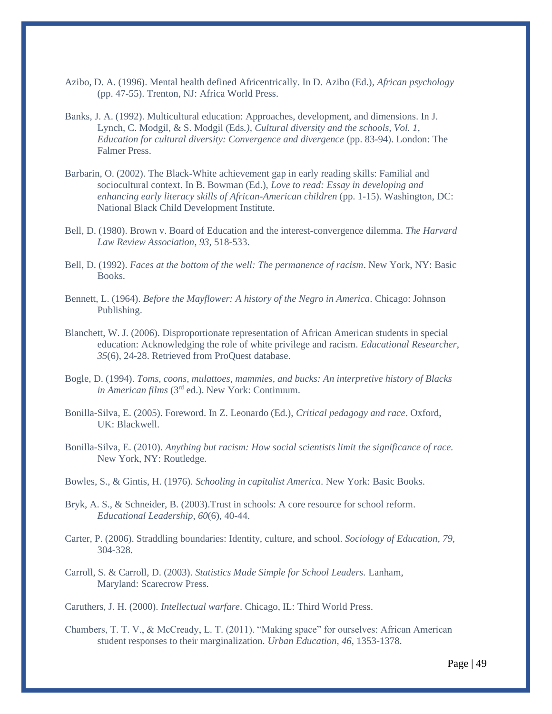- Azibo, D. A. (1996). Mental health defined Africentrically. In D. Azibo (Ed.), *African psychology*  (pp. 47-55). Trenton, NJ: Africa World Press.
- Banks, J. A. (1992). Multicultural education: Approaches, development, and dimensions. In J. Lynch, C. Modgil, & S. Modgil (Eds*.), Cultural diversity and the schools, Vol. 1, Education for cultural diversity: Convergence and divergence* (pp. 83-94). London: The Falmer Press.
- Barbarin, O. (2002). The Black-White achievement gap in early reading skills: Familial and sociocultural context. In B. Bowman (Ed.), *Love to read: Essay in developing and enhancing early literacy skills of African-American children* (pp. 1-15). Washington, DC: National Black Child Development Institute.
- Bell, D. (1980). Brown v. Board of Education and the interest-convergence dilemma. *The Harvard Law Review Association*, *93*, 518-533.
- Bell, D. (1992). *Faces at the bottom of the well: The permanence of racism*. New York, NY: Basic Books.
- Bennett, L. (1964). *Before the Mayflower: A history of the Negro in America*. Chicago: Johnson Publishing.
- Blanchett, W. J. (2006). Disproportionate representation of African American students in special education: Acknowledging the role of white privilege and racism. *Educational Researcher*, *35*(6), 24-28. Retrieved from ProQuest database.
- Bogle, D. (1994). *Toms, coons, mulattoes, mammies, and bucks: An interpretive history of Blacks in American films* (3rd ed.). New York: Continuum.
- Bonilla-Silva, E. (2005). Foreword. In Z. Leonardo (Ed.), *Critical pedagogy and race*. Oxford, UK: Blackwell.
- Bonilla-Silva, E. (2010). *Anything but racism: How social scientists limit the significance of race.*  New York, NY: Routledge.
- Bowles, S., & Gintis, H. (1976). *Schooling in capitalist America*. New York: Basic Books.
- Bryk, A. S., & Schneider, B. (2003).Trust in schools: A core resource for school reform. *Educational Leadership*, *60*(6), 40-44.
- Carter, P. (2006). Straddling boundaries: Identity, culture, and school. *Sociology of Education, 79*, 304-328.
- Carroll, S. & Carroll, D. (2003). *Statistics Made Simple for School Leaders.* Lanham, Maryland: Scarecrow Press.

Caruthers, J. H. (2000). *Intellectual warfare*. Chicago, IL: Third World Press.

Chambers, T. T. V., & McCready, L. T. (2011). "Making space" for ourselves: African American student responses to their marginalization. *Urban Education, 46*, 1353-1378.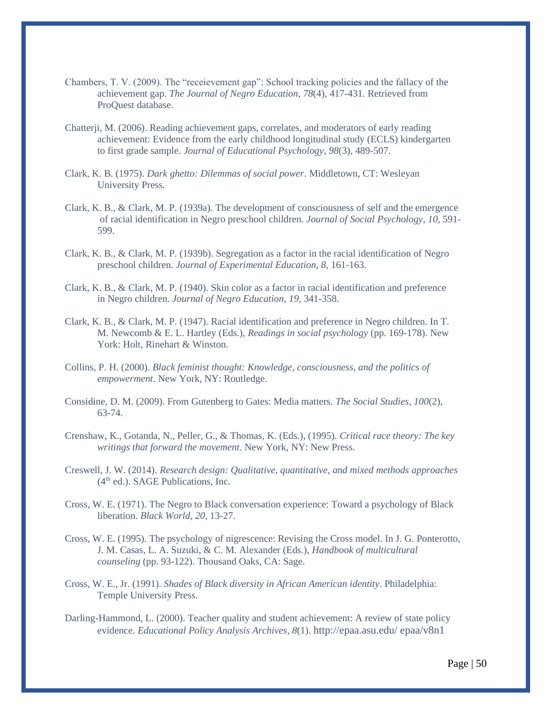- Chambers, T. V. (2009). The "receievement gap": School tracking policies and the fallacy of the achievement gap. *The Journal of Negro Education*, *78*(4), 417-431. Retrieved from ProQuest database.
- Chatterji, M. (2006). Reading achievement gaps, correlates, and moderators of early reading achievement: Evidence from the early childhood longitudinal study (ECLS) kindergarten to first grade sample. *Journal of Educational Psychology*, *98*(3), 489-507.
- Clark, K. B. (1975). *Dark ghetto: Dilemmas of social power*. Middletown, CT: Wesleyan University Press.
- Clark, K. B., & Clark, M. P. (1939a). The development of consciousness of self and the emergence of racial identification in Negro preschool children. *Journal of Social Psychology*, *10*, 591- 599.
- Clark, K. B., & Clark, M. P. (1939b). Segregation as a factor in the racial identification of Negro preschool children. *Journal of Experimental Education*, *8*, 161-163.
- Clark, K. B., & Clark, M. P. (1940). Skin color as a factor in racial identification and preference in Negro children. *Journal of Negro Education*, *19*, 341-358.
- Clark, K. B., & Clark, M. P. (1947). Racial identification and preference in Negro children. In T. M. Newcomb & E. L. Hartley (Eds.), *Readings in social psychology* (pp. 169-178). New York: Holt, Rinehart & Winston.
- Collins, P. H. (2000). *Black feminist thought: Knowledge, consciousness, and the politics of empowerment*. New York, NY: Routledge.
- Considine, D. M. (2009). From Gutenberg to Gates: Media matters. *The Social Studies, 100*(2), 63-74.
- Crenshaw, K., Gotanda, N., Peller, G., & Thomas, K. (Eds.), (1995). *Critical race theory: The key writings that forward the movement*. New York, NY: New Press.
- Creswell, J. W. (2014). *Research design: Qualitative, quantitative, and mixed methods approaches*  $(4<sup>th</sup>$  ed.). SAGE Publications, Inc.
- Cross, W. E. (1971). The Negro to Black conversation experience: Toward a psychology of Black liberation. *Black World*, *20*, 13-27.
- Cross, W. E. (1995). The psychology of nigrescence: Revising the Cross model. In J. G. Ponterotto, J. M. Casas, L. A. Suzuki, & C. M. Alexander (Eds.), *Handbook of multicultural counseling* (pp. 93-122). Thousand Oaks, CA: Sage.
- Cross, W. E., Jr. (1991). *Shades of Black diversity in African American identity*. Philadelphia: Temple University Press.
- Darling-Hammond, L. (2000). Teacher quality and student achievement: A review of state policy evidence. *Educational Policy Analysis Archives*, *8*(1). [http://epaa.asu.edu/ epaa/v8n1](http://epaa.asu.edu/%20epaa/v8n1)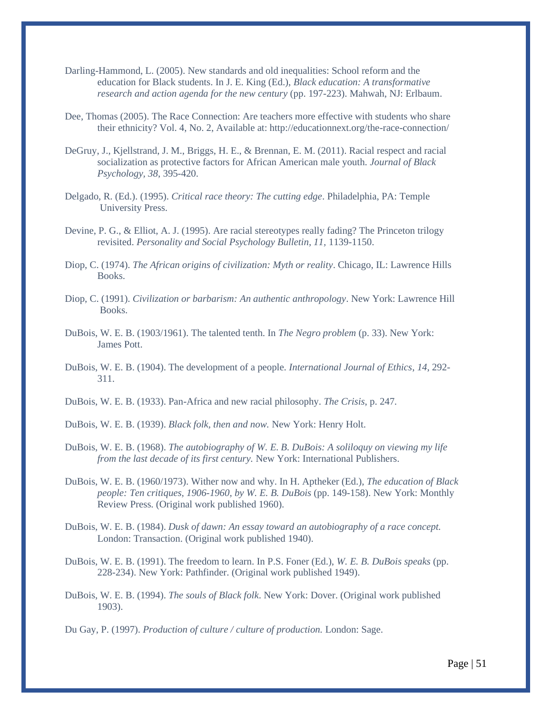- Darling-Hammond, L. (2005). New standards and old inequalities: School reform and the education for Black students. In J. E. King (Ed.), *Black education: A transformative research and action agenda for the new century* (pp. 197-223). Mahwah, NJ: Erlbaum.
- Dee, Thomas (2005). The Race Connection: Are teachers more effective with students who share their ethnicity? Vol. 4, No. 2, Available at: http://educationnext.org/the-race-connection/
- DeGruy, J., Kjellstrand, J. M., Briggs, H. E., & Brennan, E. M. (2011). Racial respect and racial socialization as protective factors for African American male youth. *Journal of Black Psychology, 38*, 395-420.
- Delgado, R. (Ed.). (1995). *Critical race theory: The cutting edge*. Philadelphia, PA: Temple University Press.
- Devine, P. G., & Elliot, A. J. (1995). Are racial stereotypes really fading? The Princeton trilogy revisited. *Personality and Social Psychology Bulletin, 11,* 1139-1150.
- Diop, C. (1974). *The African origins of civilization: Myth or reality*. Chicago, IL: Lawrence Hills Books.
- Diop, C. (1991). *Civilization or barbarism: An authentic anthropology*. New York: Lawrence Hill Books.
- DuBois, W. E. B. (1903/1961). The talented tenth. In *The Negro problem* (p. 33). New York: James Pott.
- DuBois, W. E. B. (1904). The development of a people. *International Journal of Ethics*, *14*, 292- 311.
- DuBois, W. E. B. (1933). Pan-Africa and new racial philosophy. *The Crisis*, p. 247.
- DuBois, W. E. B. (1939). *Black folk, then and now.* New York: Henry Holt.
- DuBois, W. E. B. (1968). *The autobiography of W. E. B. DuBois: A soliloquy on viewing my life from the last decade of its first century.* New York: International Publishers.
- DuBois, W. E. B. (1960/1973). Wither now and why. In H. Aptheker (Ed.), *The education of Black people: Ten critiques, 1906-1960, by W. E. B. DuBois* (pp. 149-158). New York: Monthly Review Press. (Original work published 1960).
- DuBois, W. E. B. (1984). *Dusk of dawn: An essay toward an autobiography of a race concept.* London: Transaction. (Original work published 1940).
- DuBois, W. E. B. (1991). The freedom to learn. In P.S. Foner (Ed.), *W. E. B. DuBois speaks* (pp. 228-234). New York: Pathfinder. (Original work published 1949).
- DuBois, W. E. B. (1994). *The souls of Black folk*. New York: Dover. (Original work published 1903).

Du Gay, P. (1997). *Production of culture / culture of production.* London: Sage.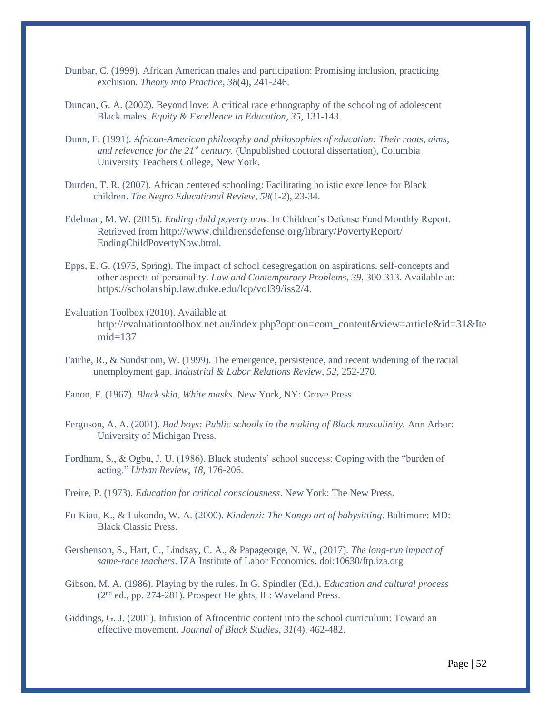- Dunbar, C. (1999). African American males and participation: Promising inclusion, practicing exclusion. *Theory into Practice*, *38*(4), 241-246.
- Duncan, G. A. (2002). Beyond love: A critical race ethnography of the schooling of adolescent Black males. *Equity & Excellence in Education*, *35*, 131-143.
- Dunn, F. (1991). *African-American philosophy and philosophies of education: Their roots, aims, and relevance for the 21st century.* (Unpublished doctoral dissertation), Columbia University Teachers College, New York.
- Durden, T. R. (2007). African centered schooling: Facilitating holistic excellence for Black children. *The Negro Educational Review*, *58*(1-2), 23-34.
- Edelman, M. W. (2015). *Ending child poverty now*. In Children's Defense Fund Monthly Report. Retrieved from <http://www.childrensdefense.org/library/PovertyReport/> EndingChildPovertyNow.html.
- Epps, E. G. (1975, Spring). The impact of school desegregation on aspirations, self-concepts and other aspects of personality. *Law and Contemporary Problems, 39,* 300-313. Available at: <https://scholarship.law.duke.edu/lcp/vol39/iss2/4>.
- Evaluation Toolbox (2010). Available at [http://evaluationtoolbox.net.au/index.php?option=com\\_content&view=article&id=31&Ite](http://evaluationtoolbox.net.au/index.php?option=com_content&view=article&id=31&Itemid=137)  $mid=137$
- Fairlie, R., & Sundstrom, W. (1999). The emergence, persistence, and recent widening of the racial unemployment gap. *Industrial & Labor Relations Review*, *52*, 252-270.
- Fanon, F. (1967). *Black skin, White masks*. New York, NY: Grove Press.
- Ferguson, A. A. (2001). *Bad boys: Public schools in the making of Black masculinity.* Ann Arbor: University of Michigan Press.
- Fordham, S., & Ogbu, J. U. (1986). Black students' school success: Coping with the "burden of acting." *Urban Review*, *18*, 176-206.
- Freire, P. (1973). *Education for critical consciousness*. New York: The New Press.
- Fu-Kiau, K., & Lukondo, W. A. (2000). *Kindenzi: The Kongo art of babysitting*. Baltimore: MD: Black Classic Press.
- Gershenson, S., Hart, C., Lindsay, C. A., & Papageorge, N. W., (2017). *The long-run impact of same-race teachers*. IZA Institute of Labor Economics. doi:10630/ftp.iza.org
- Gibson, M. A. (1986). Playing by the rules. In G. Spindler (Ed.), *Education and cultural process* (2nd ed., pp. 274-281). Prospect Heights, IL: Waveland Press.
- Giddings, G. J. (2001). Infusion of Afrocentric content into the school curriculum: Toward an effective movement. *Journal of Black Studies*, *31*(4), 462-482.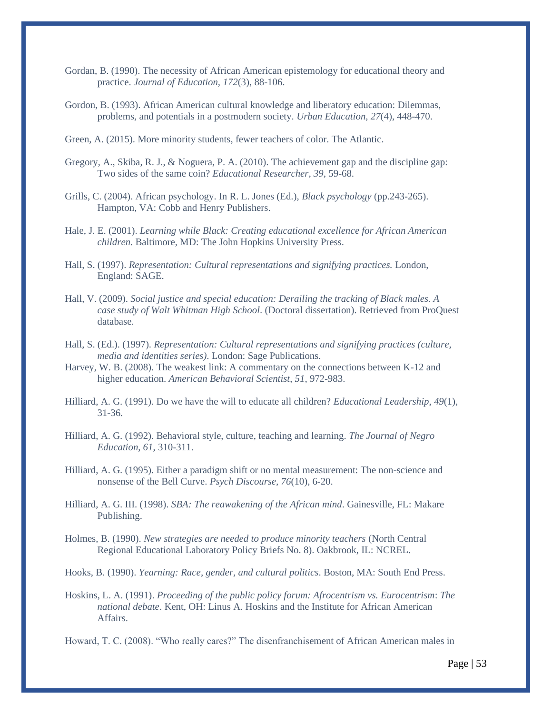- Gordan, B. (1990). The necessity of African American epistemology for educational theory and practice. *Journal of Education, 172*(3), 88-106.
- Gordon, B. (1993). African American cultural knowledge and liberatory education: Dilemmas, problems, and potentials in a postmodern society. *Urban Education*, *27*(4), 448-470.

Green, A. (2015). More minority students, fewer teachers of color. The Atlantic.

- Gregory, A., Skiba, R. J., & Noguera, P. A. (2010). The achievement gap and the discipline gap: Two sides of the same coin? *Educational Researcher, 39*, 59-68.
- Grills, C. (2004). African psychology. In R. L. Jones (Ed.), *Black psychology* (pp.243-265). Hampton, VA: Cobb and Henry Publishers.
- Hale, J. E. (2001). *Learning while Black: Creating educational excellence for African American children*. Baltimore, MD: The John Hopkins University Press.
- Hall, S. (1997). *Representation: Cultural representations and signifying practices.* London, England: SAGE.
- Hall, V. (2009). *Social justice and special education: Derailing the tracking of Black males. A case study of Walt Whitman High School*. (Doctoral dissertation). Retrieved from ProQuest database.
- Hall, S. (Ed.). (1997). *Representation: Cultural representations and signifying practices (culture, media and identities series)*. London: Sage Publications.
- Harvey, W. B. (2008). The weakest link: A commentary on the connections between K-12 and higher education. *American Behavioral Scientist*, *51*, 972-983.
- Hilliard, A. G. (1991). Do we have the will to educate all children? *Educational Leadership*, *49*(1), 31-36.
- Hilliard, A. G. (1992). Behavioral style, culture, teaching and learning. *The Journal of Negro Education*, *61*, 310-311.
- Hilliard, A. G. (1995). Either a paradigm shift or no mental measurement: The non-science and nonsense of the Bell Curve. *Psych Discourse, 76*(10), 6-20.
- Hilliard, A. G. III. (1998). *SBA: The reawakening of the African mind*. Gainesville, FL: Makare Publishing.
- Holmes, B. (1990). *New strategies are needed to produce minority teachers* (North Central Regional Educational Laboratory Policy Briefs No. 8). Oakbrook, IL: NCREL.
- Hooks, B. (1990). *Yearning: Race, gender, and cultural politics*. Boston, MA: South End Press.
- Hoskins, L. A. (1991). *Proceeding of the public policy forum: Afrocentrism vs. Eurocentrism*: *The national debate*. Kent, OH: Linus A. Hoskins and the Institute for African American Affairs.

Howard, T. C. (2008). "Who really cares?" The disenfranchisement of African American males in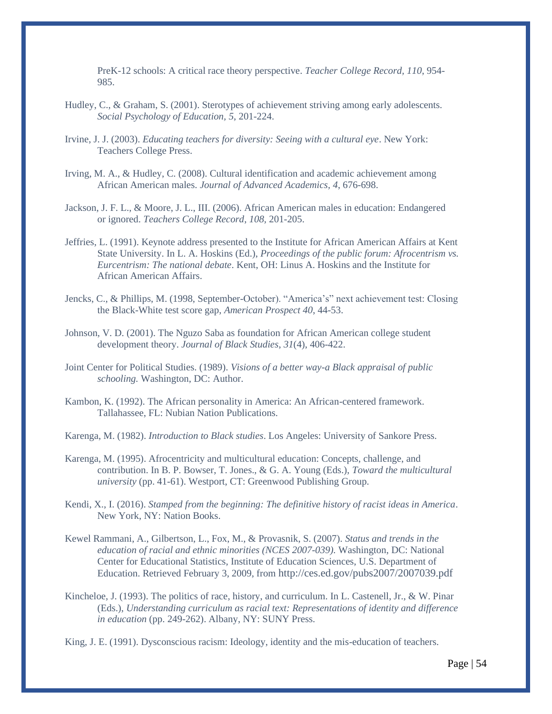PreK-12 schools: A critical race theory perspective. *Teacher College Record, 110*, 954- 985.

- Hudley, C., & Graham, S. (2001). Sterotypes of achievement striving among early adolescents. *Social Psychology of Education, 5*, 201-224.
- Irvine, J. J. (2003). *Educating teachers for diversity: Seeing with a cultural eye*. New York: Teachers College Press.
- Irving, M. A., & Hudley, C. (2008). Cultural identification and academic achievement among African American males. *Journal of Advanced Academics, 4*, 676-698.
- Jackson, J. F. L., & Moore, J. L., III. (2006). African American males in education: Endangered or ignored. *Teachers College Record*, *108,* 201-205.
- Jeffries, L. (1991). Keynote address presented to the Institute for African American Affairs at Kent State University. In L. A. Hoskins (Ed.), *Proceedings of the public forum: Afrocentrism vs. Eurcentrism: The national debate*. Kent, OH: Linus A. Hoskins and the Institute for African American Affairs.
- Jencks, C., & Phillips, M. (1998, September-October). "America's" next achievement test: Closing the Black-White test score gap, *American Prospect 40*, 44-53.
- Johnson, V. D. (2001). The Nguzo Saba as foundation for African American college student development theory. *Journal of Black Studies*, *31*(4), 406-422.
- Joint Center for Political Studies. (1989). *Visions of a better way-a Black appraisal of public schooling.* Washington, DC: Author.
- Kambon, K. (1992). The African personality in America: An African-centered framework. Tallahassee, FL: Nubian Nation Publications.
- Karenga, M. (1982). *Introduction to Black studies*. Los Angeles: University of Sankore Press.
- Karenga, M. (1995). Afrocentricity and multicultural education: Concepts, challenge, and contribution. In B. P. Bowser, T. Jones., & G. A. Young (Eds.), *Toward the multicultural university* (pp. 41-61). Westport, CT: Greenwood Publishing Group.
- Kendi, X., I. (2016). *Stamped from the beginning: The definitive history of racist ideas in America*. New York, NY: Nation Books.
- Kewel Rammani, A., Gilbertson, L., Fox, M., & Provasnik, S. (2007). *Status and trends in the education of racial and ethnic minorities (NCES 2007-039).* Washington, DC: National Center for Educational Statistics, Institute of Education Sciences, U.S. Department of Education. Retrieved February 3, 2009, from <http://ces.ed.gov/pubs2007/2007039.pdf>
- Kincheloe, J. (1993). The politics of race, history, and curriculum. In L. Castenell, Jr., & W. Pinar (Eds.), *Understanding curriculum as racial text: Representations of identity and difference in education* (pp. 249-262). Albany, NY: SUNY Press.
- King, J. E. (1991). Dysconscious racism: Ideology, identity and the mis-education of teachers.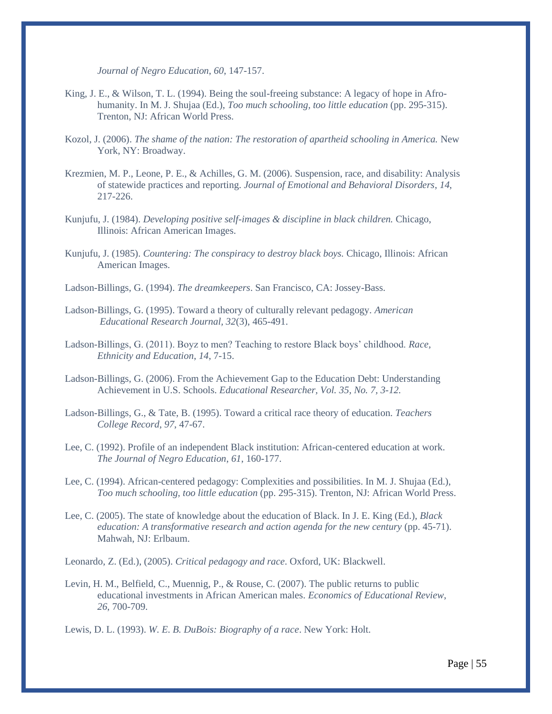*Journal of Negro Education*, *60*, 147-157.

- King, J. E., & Wilson, T. L. (1994). Being the soul-freeing substance: A legacy of hope in Afrohumanity. In M. J. Shujaa (Ed.), *Too much schooling, too little education* (pp. 295-315). Trenton, NJ: African World Press.
- Kozol, J. (2006). *The shame of the nation: The restoration of apartheid schooling in America.* New York, NY: Broadway.
- Krezmien, M. P., Leone, P. E., & Achilles, G. M. (2006). Suspension, race, and disability: Analysis of statewide practices and reporting. *Journal of Emotional and Behavioral Disorders*, *14*, 217-226.
- Kunjufu, J. (1984). *Developing positive self-images & discipline in black children.* Chicago, Illinois: African American Images.
- Kunjufu, J. (1985). *Countering: The conspiracy to destroy black boys.* Chicago, Illinois: African American Images.

Ladson-Billings, G. (1994). *The dreamkeepers*. San Francisco, CA: Jossey-Bass.

- Ladson-Billings, G. (1995). Toward a theory of culturally relevant pedagogy. *American Educational Research Journal, 32*(3), 465-491.
- Ladson-Billings, G. (2011). Boyz to men? Teaching to restore Black boys' childhood. *Race, Ethnicity and Education*, *14*, 7-15.
- Ladson-Billings, G. (2006). From the Achievement Gap to the Education Debt: Understanding Achievement in U.S. Schools. *Educational Researcher, Vol. 35, No. 7, 3-12.*
- Ladson-Billings, G., & Tate, B. (1995). Toward a critical race theory of education. *Teachers College Record*, *97*, 47-67.
- Lee, C. (1992). Profile of an independent Black institution: African-centered education at work. *The Journal of Negro Education*, *61*, 160-177.
- Lee, C. (1994). African-centered pedagogy: Complexities and possibilities. In M. J. Shujaa (Ed.), *Too much schooling, too little education* (pp. 295-315). Trenton, NJ: African World Press.
- Lee, C. (2005). The state of knowledge about the education of Black. In J. E. King (Ed.), *Black education: A transformative research and action agenda for the new century* (pp. 45-71). Mahwah, NJ: Erlbaum.

Leonardo, Z. (Ed.), (2005). *Critical pedagogy and race*. Oxford, UK: Blackwell.

Levin, H. M., Belfield, C., Muennig, P., & Rouse, C. (2007). The public returns to public educational investments in African American males. *Economics of Educational Review*, *26*, 700-709.

Lewis, D. L. (1993). *W. E. B. DuBois: Biography of a race*. New York: Holt.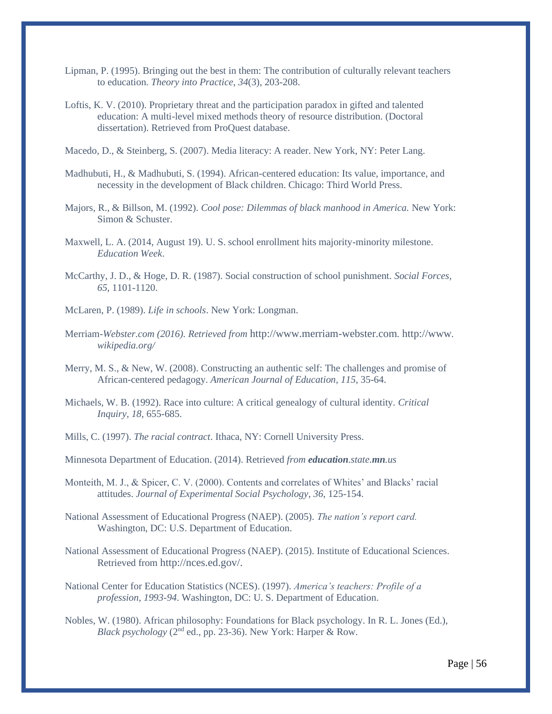- Lipman, P. (1995). Bringing out the best in them: The contribution of culturally relevant teachers to education. *Theory into Practice*, *34*(3), 203-208.
- Loftis, K. V. (2010). Proprietary threat and the participation paradox in gifted and talented education: A multi-level mixed methods theory of resource distribution. (Doctoral dissertation). Retrieved from ProQuest database.

Macedo, D., & Steinberg, S. (2007). Media literacy: A reader. New York, NY: Peter Lang.

- Madhubuti, H., & Madhubuti, S. (1994). African-centered education: Its value, importance, and necessity in the development of Black children. Chicago: Third World Press.
- Majors, R., & Billson, M. (1992). *Cool pose: Dilemmas of black manhood in America.* New York: Simon & Schuster.
- Maxwell, L. A. (2014, August 19). U. S. school enrollment hits majority-minority milestone. *Education Week*.
- McCarthy, J. D., & Hoge, D. R. (1987). Social construction of school punishment. *Social Forces, 65*, 1101-1120.
- McLaren, P. (1989). *Life in schools*. New York: Longman.
- Merriam-*Webster.com (2016). Retrieved from* [http://www.merriam-webster.com](http://www.merriam-webster.com/)*.* [http://www](http://www/)*. wikipedia.org/*
- Merry, M. S., & New, W. (2008). Constructing an authentic self: The challenges and promise of African-centered pedagogy. *American Journal of Education*, *115*, 35-64.
- Michaels, W. B. (1992). Race into culture: A critical genealogy of cultural identity. *Critical Inquiry, 18*, 655-685.
- Mills, C. (1997). *The racial contract*. Ithaca, NY: Cornell University Press.

Minnesota Department of Education. (2014). Retrieved *from education.state.mn.us*

- Monteith, M. J., & Spicer, C. V. (2000). Contents and correlates of Whites' and Blacks' racial attitudes. *Journal of Experimental Social Psychology*, *36*, 125-154.
- National Assessment of Educational Progress (NAEP). (2005). *The nation's report card.* Washington, DC: U.S. Department of Education.
- National Assessment of Educational Progress (NAEP). (2015). Institute of Educational Sciences. Retrieved from [http://nces.ed.gov/.](http://nces.ed.gov/)
- National Center for Education Statistics (NCES). (1997). *America's teachers: Profile of a profession, 1993-94*. Washington, DC: U. S. Department of Education.
- Nobles, W. (1980). African philosophy: Foundations for Black psychology. In R. L. Jones (Ed.), *Black psychology* (2nd ed., pp. 23-36). New York: Harper & Row.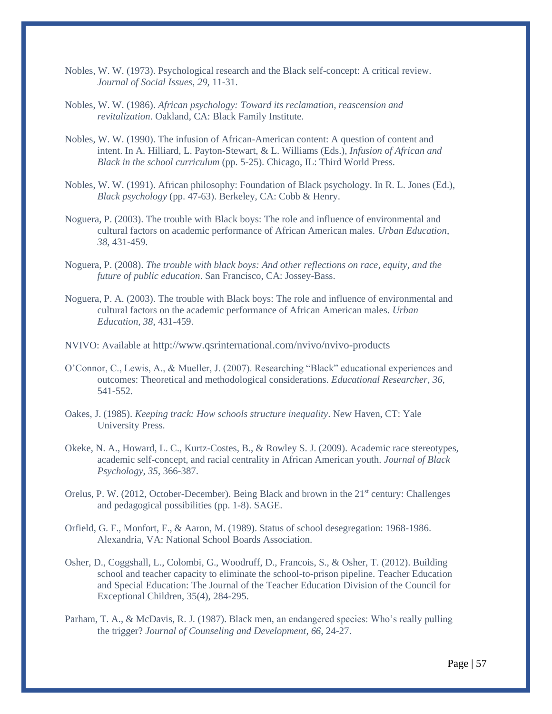- Nobles, W. W. (1973). Psychological research and the Black self-concept: A critical review. *Journal of Social Issues*, *29*, 11-31.
- Nobles, W. W. (1986). *African psychology: Toward its reclamation, reascension and revitalization*. Oakland, CA: Black Family Institute.
- Nobles, W. W. (1990). The infusion of African-American content: A question of content and intent. In A. Hilliard, L. Payton-Stewart, & L. Williams (Eds.), *Infusion of African and Black in the school curriculum* (pp. 5-25). Chicago, IL: Third World Press.
- Nobles, W. W. (1991). African philosophy: Foundation of Black psychology. In R. L. Jones (Ed.), *Black psychology* (pp. 47-63). Berkeley, CA: Cobb & Henry.
- Noguera, P. (2003). The trouble with Black boys: The role and influence of environmental and cultural factors on academic performance of African American males. *Urban Education*, *38*, 431-459.
- Noguera, P. (2008). *The trouble with black boys: And other reflections on race, equity, and the future of public education*. San Francisco, CA: Jossey-Bass.
- Noguera, P. A. (2003). The trouble with Black boys: The role and influence of environmental and cultural factors on the academic performance of African American males. *Urban Education, 38*, 431-459.
- NVIVO: Available at <http://www.qsrinternational.com/nvivo/nvivo-products>
- O'Connor, C., Lewis, A., & Mueller, J. (2007). Researching "Black" educational experiences and outcomes: Theoretical and methodological considerations. *Educational Researcher, 36*, 541-552.
- Oakes, J. (1985). *Keeping track: How schools structure inequality*. New Haven, CT: Yale University Press.
- Okeke, N. A., Howard, L. C., Kurtz-Costes, B., & Rowley S. J. (2009). Academic race stereotypes, academic self-concept, and racial centrality in African American youth. *Journal of Black Psychology, 35*, 366-387.
- Orelus, P. W. (2012, October-December). Being Black and brown in the 21<sup>st</sup> century: Challenges and pedagogical possibilities (pp. 1-8). SAGE.
- Orfield, G. F., Monfort, F., & Aaron, M. (1989). Status of school desegregation: 1968-1986. Alexandria, VA: National School Boards Association.
- Osher, D., Coggshall, L., Colombi, G., Woodruff, D., Francois, S., & Osher, T. (2012). Building school and teacher capacity to eliminate the school-to-prison pipeline. Teacher Education and Special Education: The Journal of the Teacher Education Division of the Council for Exceptional Children, 35(4), 284-295.
- Parham, T. A., & McDavis, R. J. (1987). Black men, an endangered species: Who's really pulling the trigger? *Journal of Counseling and Development*, *66*, 24-27.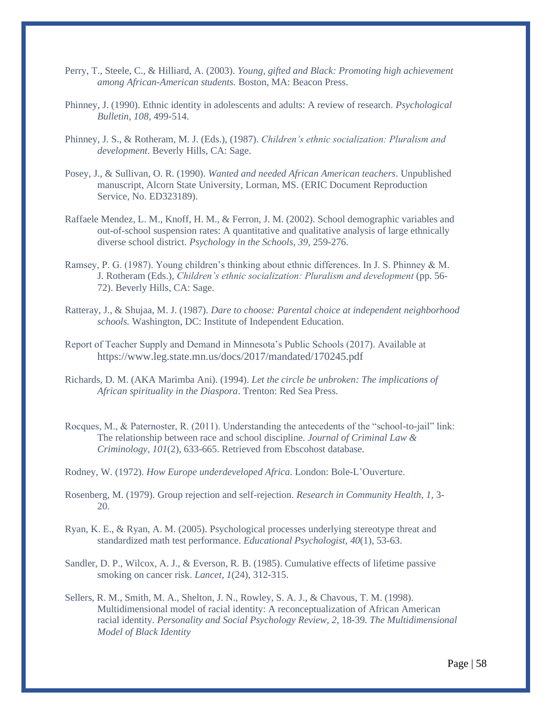- Perry, T., Steele, C., & Hilliard, A. (2003). *Young, gifted and Black: Promoting high achievement among African-American students.* Boston, MA: Beacon Press.
- Phinney, J. (1990). Ethnic identity in adolescents and adults: A review of research. *Psychological Bulletin*, *108*, 499-514.
- Phinney, J. S., & Rotheram, M. J. (Eds.), (1987). *Children's ethnic socialization: Pluralism and development*. Beverly Hills, CA: Sage.
- Posey, J., & Sullivan, O. R. (1990). *Wanted and needed African American teachers*. Unpublished manuscript, Alcorn State University, Lorman, MS. (ERIC Document Reproduction Service, No. ED323189).
- Raffaele Mendez, L. M., Knoff, H. M., & Ferron, J. M. (2002). School demographic variables and out-of-school suspension rates: A quantitative and qualitative analysis of large ethnically diverse school district. *Psychology in the Schools, 39*, 259-276.
- Ramsey, P. G. (1987). Young children's thinking about ethnic differences. In J. S. Phinney & M. J. Rotheram (Eds.), *Children's ethnic socialization: Pluralism and development* (pp. 56- 72). Beverly Hills, CA: Sage.
- Ratteray, J., & Shujaa, M. J. (1987). *Dare to choose: Parental choice at independent neighborhood schools.* Washington, DC: Institute of Independent Education.
- Report of Teacher Supply and Demand in Minnesota's Public Schools (2017). Available at <https://www.leg.state.mn.us/docs/2017/mandated/170245.pdf>
- Richards, D. M. (AKA Marimba Ani). (1994). *Let the circle be unbroken: The implications of African spirituality in the Diaspora*. Trenton: Red Sea Press.
- Rocques, M., & Paternoster, R. (2011). Understanding the antecedents of the "school-to-jail" link: The relationship between race and school discipline. *Journal of Criminal Law & Criminology*, *101*(2), 633-665. Retrieved from Ebscohost database.
- Rodney, W. (1972). *How Europe underdeveloped Africa*. London: Bole-L'Ouverture.
- Rosenberg, M. (1979). Group rejection and self-rejection. *Research in Community Health*, *1*, 3- 20.
- Ryan, K. E., & Ryan, A. M. (2005). Psychological processes underlying stereotype threat and standardized math test performance. *Educational Psychologist, 40*(1), 53-63.
- Sandler, D. P., Wilcox, A. J., & Everson, R. B. (1985). Cumulative effects of lifetime passive smoking on cancer risk. *Lancet*, *1*(24), 312-315.
- Sellers, R. M., Smith, M. A., Shelton, J. N., Rowley, S. A. J., & Chavous, T. M. (1998). Multidimensional model of racial identity: A reconceptualization of African American racial identity. *Personality and Social Psychology Review, 2*, 18-39. *The Multidimensional Model of Black Identity*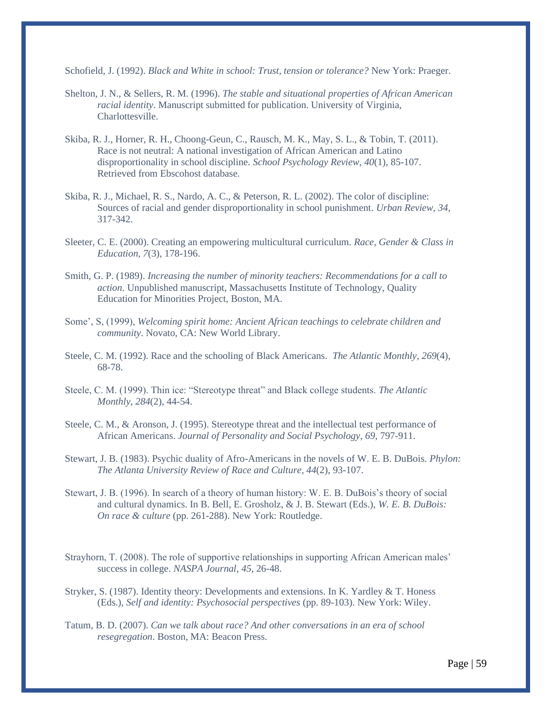Schofield, J. (1992). *Black and White in school: Trust, tension or tolerance?* New York: Praeger.

- Shelton, J. N., & Sellers, R. M. (1996). *The stable and situational properties of African American racial identity*. Manuscript submitted for publication. University of Virginia, Charlottesville.
- Skiba, R. J., Horner, R. H., Choong-Geun, C., Rausch, M. K., May, S. L., & Tobin, T. (2011). Race is not neutral: A national investigation of African American and Latino disproportionality in school discipline. *School Psychology Review*, *40*(1), 85-107. Retrieved from Ebscohost database.
- Skiba, R. J., Michael, R. S., Nardo, A. C., & Peterson, R. L. (2002). The color of discipline: Sources of racial and gender disproportionality in school punishment. *Urban Review, 34*, 317-342.
- Sleeter, C. E. (2000). Creating an empowering multicultural curriculum. *Race, Gender & Class in Education, 7*(3), 178-196.
- Smith, G. P. (1989). *Increasing the number of minority teachers: Recommendations for a call to action*. Unpublished manuscript, Massachusetts Institute of Technology, Quality Education for Minorities Project, Boston, MA.
- Some', S, (1999), *Welcoming spirit home: Ancient African teachings to celebrate children and community*. Novato, CA: New World Library.
- Steele, C. M. (1992). Race and the schooling of Black Americans. *The Atlantic Monthly*, *269*(4), 68-78.
- Steele, C. M. (1999). Thin ice: "Stereotype threat" and Black college students. *The Atlantic Monthly*, *284*(2), 44-54.
- Steele, C. M., & Aronson, J. (1995). Stereotype threat and the intellectual test performance of African Americans. *Journal of Personality and Social Psychology*, *69*, 797-911.
- Stewart, J. B. (1983). Psychic duality of Afro-Americans in the novels of W. E. B. DuBois. *Phylon: The Atlanta University Review of Race and Culture*, *44*(2), 93-107.
- Stewart, J. B. (1996). In search of a theory of human history: W. E. B. DuBois's theory of social and cultural dynamics. In B. Bell, E. Grosholz, & J. B. Stewart (Eds.), *W. E. B. DuBois: On race & culture* (pp. 261-288). New York: Routledge.
- Strayhorn, T. (2008). The role of supportive relationships in supporting African American males' success in college. *NASPA Journal*, *45*, 26-48.
- Stryker, S. (1987). Identity theory: Developments and extensions. In K. Yardley & T. Honess (Eds.), *Self and identity: Psychosocial perspectives* (pp. 89-103). New York: Wiley.
- Tatum, B. D. (2007). *Can we talk about race? And other conversations in an era of school resegregation*. Boston, MA: Beacon Press.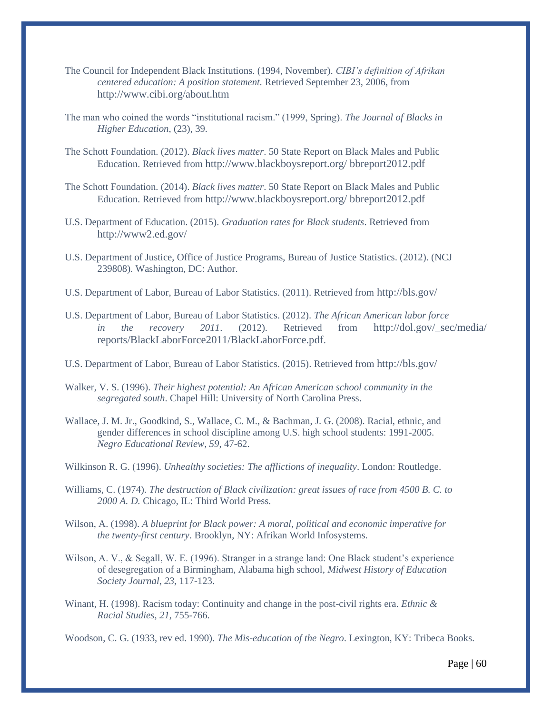- The Council for Independent Black Institutions. (1994, November). *CIBI's definition of Afrikan centered education: A position statement.* Retrieved September 23, 2006, from <http://www.cibi.org/about.htm>
- The man who coined the words "institutional racism." (1999, Spring). *The Journal of Blacks in Higher Education*, (23), 39.
- The Schott Foundation. (2012). *Black lives matter*. 50 State Report on Black Males and Public Education. Retrieved from [http://www.blackboysreport.org/ bbreport2012.pdf](http://www.blackboysreport.org/%20bbreport2012.pdf)
- The Schott Foundation. (2014). *Black lives matter*. 50 State Report on Black Males and Public Education. Retrieved from [http://www.blackboysreport.org/ bbreport2012.pdf](http://www.blackboysreport.org/%20bbreport2012.pdf)
- U.S. Department of Education. (2015). *Graduation rates for Black students*. Retrieved from <http://www2.ed.gov/>
- U.S. Department of Justice, Office of Justice Programs, Bureau of Justice Statistics. (2012). (NCJ 239808). Washington, DC: Author.
- U.S. Department of Labor, Bureau of Labor Statistics. (2011). Retrieved from <http://bls.gov/>
- U.S. Department of Labor, Bureau of Labor Statistics. (2012). *The African American labor force in the recovery 2011.* (2012). Retrieved from http://dol.gov/\_sec/media/ [reports/BlackLaborForce2011/BlackLaborForce.pdf](http://dol.gov/_sec/media/%20reports/BlackLaborForce2011/BlackLaborForce.pdf).
- U.S. Department of Labor, Bureau of Labor Statistics. (2015). Retrieved from <http://bls.gov/>
- Walker, V. S. (1996). *Their highest potential: An African American school community in the segregated south*. Chapel Hill: University of North Carolina Press.
- Wallace, J. M. Jr., Goodkind, S., Wallace, C. M., & Bachman, J. G. (2008). Racial, ethnic, and gender differences in school discipline among U.S. high school students: 1991-2005. *Negro Educational Review, 59*, 47-62.
- Wilkinson R. G. (1996). *Unhealthy societies: The afflictions of inequality*. London: Routledge.
- Williams, C. (1974). *The destruction of Black civilization: great issues of race from 4500 B. C. to 2000 A. D.* Chicago, IL: Third World Press.
- Wilson, A. (1998). *A blueprint for Black power: A moral, political and economic imperative for the twenty-first century*. Brooklyn, NY: Afrikan World Infosystems.
- Wilson, A. V., & Segall, W. E. (1996). Stranger in a strange land: One Black student's experience of desegregation of a Birmingham, Alabama high school, *Midwest History of Education Society Journal*, *23*, 117-123.
- Winant, H. (1998). Racism today: Continuity and change in the post-civil rights era. *Ethnic & Racial Studies, 21*, 755-766.

Woodson, C. G. (1933, rev ed. 1990). *The Mis-education of the Negro*. Lexington, KY: Tribeca Books.